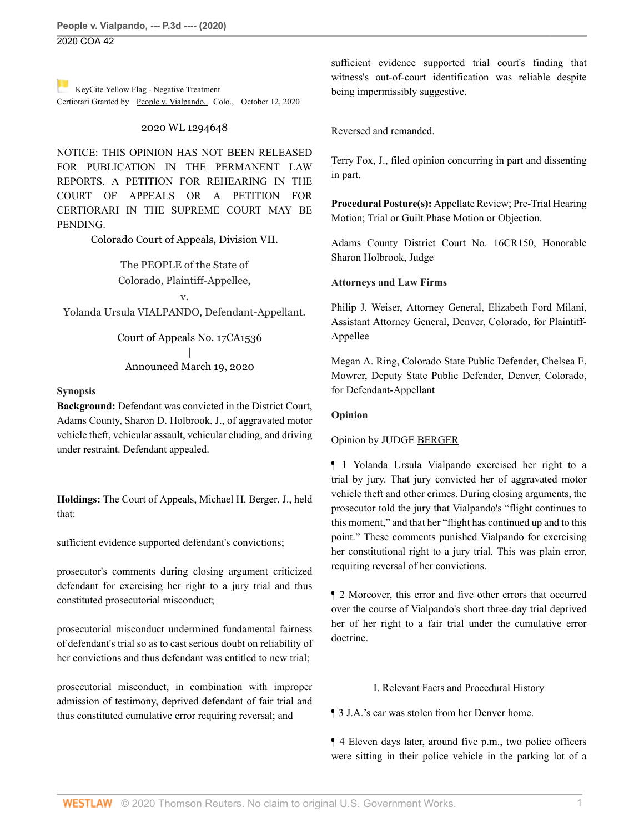**People v. Vialpando, --- P.3d ---- (2020)** 2020 COA 42

[K](https://1.next.westlaw.com/Link/RelatedInformation/Flag?documentGuid=Ifcc84ac00d5811eba034d891cc25f3cc&transitionType=Document&originationContext=docHeaderFlag&Rank=0&contextData=(sc.Search) )eyCite Yellow Flag - Negative Treatment Certiorari Granted by [People v. Vialpando, C](https://www.westlaw.com/Document/Ifcc84ac00d5811eba034d891cc25f3cc/View/FullText.html?navigationPath=RelatedInfo%2Fv4%2Fkeycite%2Fnav%2F%3ForigDocGuid%3DI933b04f06a0911ea81d388262956b33a&listSource=RelatedInfo&list=NegativeCitingReferences&rank=0&originationContext=docHeader&transitionType=NegativeTreatment&contextData=%28sc.Search%29&VR=3.0&RS=cblt1.0 )olo., October 12, 2020

#### 2020 WL 1294648

NOTICE: THIS OPINION HAS NOT BEEN RELEASED FOR PUBLICATION IN THE PERMANENT LAW REPORTS. A PETITION FOR REHEARING IN THE COURT OF APPEALS OR A PETITION FOR CERTIORARI IN THE SUPREME COURT MAY BE PENDING.

Colorado Court of Appeals, Division VII.

The PEOPLE of the State of Colorado, Plaintiff-Appellee, v.

Yolanda Ursula VIALPANDO, Defendant-Appellant.

Court of Appeals No. 17CA1536 | Announced March 19, 2020

#### **Synopsis**

**Background:** Defendant was convicted in the District Court, Adams County, [Sharon D. Holbrook,](http://www.westlaw.com/Link/Document/FullText?findType=h&pubNum=176284&cite=0463079601&originatingDoc=I933b04f06a0911ea81d388262956b33a&refType=RQ&originationContext=document&vr=3.0&rs=cblt1.0&transitionType=DocumentItem&contextData=(sc.Search)) J., of aggravated motor vehicle theft, vehicular assault, vehicular eluding, and driving under restraint. Defendant appealed.

**Holdings:** The Court of Appeals, [Michael H. Berger,](http://www.westlaw.com/Link/Document/FullText?findType=h&pubNum=176284&cite=0483497601&originatingDoc=I933b04f06a0911ea81d388262956b33a&refType=RQ&originationContext=document&vr=3.0&rs=cblt1.0&transitionType=DocumentItem&contextData=(sc.Search)) J., held that:

sufficient evidence supported defendant's convictions;

prosecutor's comments during closing argument criticized defendant for exercising her right to a jury trial and thus constituted prosecutorial misconduct;

prosecutorial misconduct undermined fundamental fairness of defendant's trial so as to cast serious doubt on reliability of her convictions and thus defendant was entitled to new trial;

prosecutorial misconduct, in combination with improper admission of testimony, deprived defendant of fair trial and thus constituted cumulative error requiring reversal; and

sufficient evidence supported trial court's finding that witness's out-of-court identification was reliable despite being impermissibly suggestive.

Reversed and remanded.

[Terry Fox,](http://www.westlaw.com/Link/Document/FullText?findType=h&pubNum=176284&cite=0365529801&originatingDoc=I933b04f06a0911ea81d388262956b33a&refType=RQ&originationContext=document&vr=3.0&rs=cblt1.0&transitionType=DocumentItem&contextData=(sc.Search)) J., filed opinion concurring in part and dissenting in part.

**Procedural Posture(s):** Appellate Review; Pre-Trial Hearing Motion; Trial or Guilt Phase Motion or Objection.

Adams County District Court No. 16CR150, Honorable [Sharon Holbrook](http://www.westlaw.com/Link/Document/FullText?findType=h&pubNum=176284&cite=0463079601&originatingDoc=I933b04f06a0911ea81d388262956b33a&refType=RQ&originationContext=document&vr=3.0&rs=cblt1.0&transitionType=DocumentItem&contextData=(sc.Search)), Judge

#### **Attorneys and Law Firms**

Philip J. Weiser, Attorney General, Elizabeth Ford Milani, Assistant Attorney General, Denver, Colorado, for Plaintiff-Appellee

Megan A. Ring, Colorado State Public Defender, Chelsea E. Mowrer, Deputy State Public Defender, Denver, Colorado, for Defendant-Appellant

#### **Opinion**

#### Opinion by JUDGE [BERGER](http://www.westlaw.com/Link/Document/FullText?findType=h&pubNum=176284&cite=0483497601&originatingDoc=I933b04f06a0911ea81d388262956b33a&refType=RQ&originationContext=document&vr=3.0&rs=cblt1.0&transitionType=DocumentItem&contextData=(sc.Search))

¶ 1 Yolanda Ursula Vialpando exercised her right to a trial by jury. That jury convicted her of aggravated motor vehicle theft and other crimes. During closing arguments, the prosecutor told the jury that Vialpando's "flight continues to this moment," and that her "flight has continued up and to this point." These comments punished Vialpando for exercising her constitutional right to a jury trial. This was plain error, requiring reversal of her convictions.

¶ 2 Moreover, this error and five other errors that occurred over the course of Vialpando's short three-day trial deprived her of her right to a fair trial under the cumulative error doctrine.

## I. Relevant Facts and Procedural History

¶ 3 J.A.'s car was stolen from her Denver home.

¶ 4 Eleven days later, around five p.m., two police officers were sitting in their police vehicle in the parking lot of a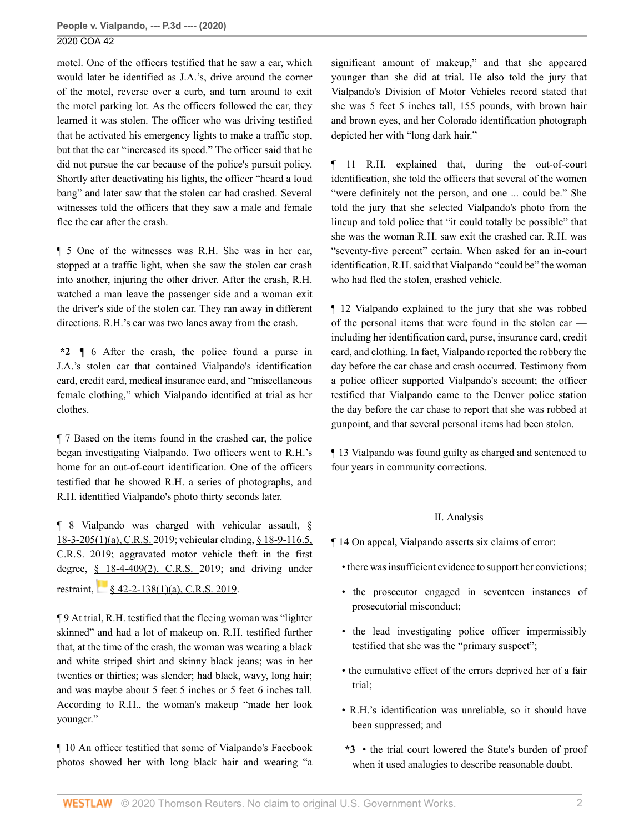motel. One of the officers testified that he saw a car, which would later be identified as J.A.'s, drive around the corner of the motel, reverse over a curb, and turn around to exit the motel parking lot. As the officers followed the car, they learned it was stolen. The officer who was driving testified that he activated his emergency lights to make a traffic stop, but that the car "increased its speed." The officer said that he did not pursue the car because of the police's pursuit policy. Shortly after deactivating his lights, the officer "heard a loud bang" and later saw that the stolen car had crashed. Several witnesses told the officers that they saw a male and female flee the car after the crash.

¶ 5 One of the witnesses was R.H. She was in her car, stopped at a traffic light, when she saw the stolen car crash into another, injuring the other driver. After the crash, R.H. watched a man leave the passenger side and a woman exit the driver's side of the stolen car. They ran away in different directions. R.H.'s car was two lanes away from the crash.

**\*2** ¶ 6 After the crash, the police found a purse in J.A.'s stolen car that contained Vialpando's identification card, credit card, medical insurance card, and "miscellaneous female clothing," which Vialpando identified at trial as her clothes.

¶ 7 Based on the items found in the crashed car, the police began investigating Vialpando. Two officers went to R.H.'s home for an out-of-court identification. One of the officers testified that he showed R.H. a series of photographs, and R.H. identified Vialpando's photo thirty seconds later.

¶ 8 Vialpando was charged with vehicular assault, [§](http://www.westlaw.com/Link/Document/FullText?findType=L&pubNum=1000517&cite=COSTS18-3-205&originatingDoc=I933b04f06a0911ea81d388262956b33a&refType=SP&originationContext=document&vr=3.0&rs=cblt1.0&transitionType=DocumentItem&contextData=(sc.Search)#co_pp_9f800000f2221) [18-3-205\(1\)\(a\), C.R.S. 2](http://www.westlaw.com/Link/Document/FullText?findType=L&pubNum=1000517&cite=COSTS18-3-205&originatingDoc=I933b04f06a0911ea81d388262956b33a&refType=SP&originationContext=document&vr=3.0&rs=cblt1.0&transitionType=DocumentItem&contextData=(sc.Search)#co_pp_9f800000f2221)019; vehicular eluding, [§ 18-9-116.5,](http://www.westlaw.com/Link/Document/FullText?findType=L&pubNum=1000517&cite=COSTS18-9-116.5&originatingDoc=I933b04f06a0911ea81d388262956b33a&refType=LQ&originationContext=document&vr=3.0&rs=cblt1.0&transitionType=DocumentItem&contextData=(sc.Search)) [C.R.S. 2](http://www.westlaw.com/Link/Document/FullText?findType=L&pubNum=1000517&cite=COSTS18-9-116.5&originatingDoc=I933b04f06a0911ea81d388262956b33a&refType=LQ&originationContext=document&vr=3.0&rs=cblt1.0&transitionType=DocumentItem&contextData=(sc.Search))019; aggravated motor vehicle theft in the first degree,  $\S$  18-4-409(2), C.R.S. 2019; and driving under restraint,  $\frac{1}{2}$  [§ 42-2-138\(1\)\(a\), C.R.S. 2019](http://www.westlaw.com/Link/Document/FullText?findType=L&pubNum=1000517&cite=COSTS42-2-138&originatingDoc=I933b04f06a0911ea81d388262956b33a&refType=SP&originationContext=document&vr=3.0&rs=cblt1.0&transitionType=DocumentItem&contextData=(sc.Search)#co_pp_9f800000f2221).

¶ 9 At trial, R.H. testified that the fleeing woman was "lighter skinned" and had a lot of makeup on. R.H. testified further that, at the time of the crash, the woman was wearing a black and white striped shirt and skinny black jeans; was in her twenties or thirties; was slender; had black, wavy, long hair; and was maybe about 5 feet 5 inches or 5 feet 6 inches tall. According to R.H., the woman's makeup "made her look younger."

¶ 10 An officer testified that some of Vialpando's Facebook photos showed her with long black hair and wearing "a significant amount of makeup," and that she appeared younger than she did at trial. He also told the jury that Vialpando's Division of Motor Vehicles record stated that she was 5 feet 5 inches tall, 155 pounds, with brown hair and brown eyes, and her Colorado identification photograph depicted her with "long dark hair."

¶ 11 R.H. explained that, during the out-of-court identification, she told the officers that several of the women "were definitely not the person, and one ... could be." She told the jury that she selected Vialpando's photo from the lineup and told police that "it could totally be possible" that she was the woman R.H. saw exit the crashed car. R.H. was "seventy-five percent" certain. When asked for an in-court identification, R.H. said that Vialpando "could be" the woman who had fled the stolen, crashed vehicle.

¶ 12 Vialpando explained to the jury that she was robbed of the personal items that were found in the stolen car including her identification card, purse, insurance card, credit card, and clothing. In fact, Vialpando reported the robbery the day before the car chase and crash occurred. Testimony from a police officer supported Vialpando's account; the officer testified that Vialpando came to the Denver police station the day before the car chase to report that she was robbed at gunpoint, and that several personal items had been stolen.

¶ 13 Vialpando was found guilty as charged and sentenced to four years in community corrections.

# II. Analysis

¶ 14 On appeal, Vialpando asserts six claims of error:

- there was insufficient evidence to support her convictions;
- the prosecutor engaged in seventeen instances of prosecutorial misconduct;
- the lead investigating police officer impermissibly testified that she was the "primary suspect";
- the cumulative effect of the errors deprived her of a fair trial;
- R.H.'s identification was unreliable, so it should have been suppressed; and
- **\*3** the trial court lowered the State's burden of proof when it used analogies to describe reasonable doubt.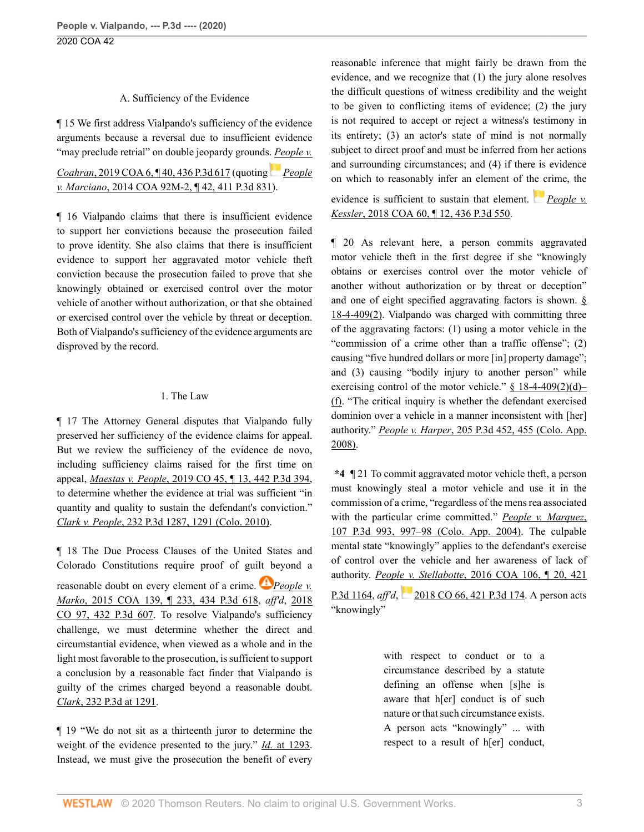#### A. Sufficiency of the Evidence

¶ 15 We first address Vialpando's sufficiency of the evidence arguments because a reversal due to insufficient evidence "may preclude retrial" on double jeopardy grounds. *[People v.](http://www.westlaw.com/Link/Document/FullText?findType=Y&serNum=2047396067&pubNum=0004645&originatingDoc=I933b04f06a0911ea81d388262956b33a&refType=RP&originationContext=document&vr=3.0&rs=cblt1.0&transitionType=DocumentItem&contextData=(sc.Search))*

# *Coahran*, 2019 COA 6, 140, 436 P.3d 617 (quoting *[People](http://www.westlaw.com/Link/Document/FullText?findType=Y&serNum=2033945208&pubNum=0004645&originatingDoc=I933b04f06a0911ea81d388262956b33a&refType=RP&originationContext=document&vr=3.0&rs=cblt1.0&transitionType=DocumentItem&contextData=(sc.Search)) v. Marciano*[, 2014 COA 92M-2, ¶ 42, 411 P.3d 831\)](http://www.westlaw.com/Link/Document/FullText?findType=Y&serNum=2033945208&pubNum=0004645&originatingDoc=I933b04f06a0911ea81d388262956b33a&refType=RP&originationContext=document&vr=3.0&rs=cblt1.0&transitionType=DocumentItem&contextData=(sc.Search)).

¶ 16 Vialpando claims that there is insufficient evidence to support her convictions because the prosecution failed to prove identity. She also claims that there is insufficient evidence to support her aggravated motor vehicle theft conviction because the prosecution failed to prove that she knowingly obtained or exercised control over the motor vehicle of another without authorization, or that she obtained or exercised control over the vehicle by threat or deception. Both of Vialpando's sufficiency of the evidence arguments are disproved by the record.

#### 1. The Law

¶ 17 The Attorney General disputes that Vialpando fully preserved her sufficiency of the evidence claims for appeal. But we review the sufficiency of the evidence de novo, including sufficiency claims raised for the first time on appeal, *Maestas v. People*[, 2019 CO 45, ¶ 13, 442 P.3d 394](http://www.westlaw.com/Link/Document/FullText?findType=Y&serNum=2048401681&pubNum=0004645&originatingDoc=I933b04f06a0911ea81d388262956b33a&refType=RP&originationContext=document&vr=3.0&rs=cblt1.0&transitionType=DocumentItem&contextData=(sc.Search)), to determine whether the evidence at trial was sufficient "in quantity and quality to sustain the defendant's conviction." *Clark v. People*[, 232 P.3d 1287, 1291 \(Colo. 2010\)](http://www.westlaw.com/Link/Document/FullText?findType=Y&serNum=2022243378&pubNum=0004645&originatingDoc=I933b04f06a0911ea81d388262956b33a&refType=RP&fi=co_pp_sp_4645_1291&originationContext=document&vr=3.0&rs=cblt1.0&transitionType=DocumentItem&contextData=(sc.Search)#co_pp_sp_4645_1291).

¶ 18 The Due Process Clauses of the United States and Colorado Constitutions require proof of gui[lt b](https://1.next.westlaw.com/Link/RelatedInformation/Flag?documentGuid=I00c673206e9b11e5a966f97caf3cb288&transitionType=InlineKeyCiteFlags&originationContext=docHeaderFlag&Rank=0&contextData=(sc.Search) )eyond a reasonable doubt on every element of a crime. *[People v.](http://www.westlaw.com/Link/Document/FullText?findType=Y&serNum=2037352073&pubNum=0004645&originatingDoc=I933b04f06a0911ea81d388262956b33a&refType=RP&originationContext=document&vr=3.0&rs=cblt1.0&transitionType=DocumentItem&contextData=(sc.Search)) Marko*[, 2015 COA 139, ¶ 233, 434 P.3d 618,](http://www.westlaw.com/Link/Document/FullText?findType=Y&serNum=2037352073&pubNum=0004645&originatingDoc=I933b04f06a0911ea81d388262956b33a&refType=RP&originationContext=document&vr=3.0&rs=cblt1.0&transitionType=DocumentItem&contextData=(sc.Search)) *aff'd*, [2018](http://www.westlaw.com/Link/Document/FullText?findType=Y&serNum=2047129537&pubNum=0004645&originatingDoc=I933b04f06a0911ea81d388262956b33a&refType=RP&originationContext=document&vr=3.0&rs=cblt1.0&transitionType=DocumentItem&contextData=(sc.Search)) [CO 97, 432 P.3d 607.](http://www.westlaw.com/Link/Document/FullText?findType=Y&serNum=2047129537&pubNum=0004645&originatingDoc=I933b04f06a0911ea81d388262956b33a&refType=RP&originationContext=document&vr=3.0&rs=cblt1.0&transitionType=DocumentItem&contextData=(sc.Search)) To resolve Vialpando's sufficiency challenge, we must determine whether the direct and circumstantial evidence, when viewed as a whole and in the light most favorable to the prosecution, is sufficient to support a conclusion by a reasonable fact finder that Vialpando is guilty of the crimes charged beyond a reasonable doubt. *Clark*[, 232 P.3d at 1291](http://www.westlaw.com/Link/Document/FullText?findType=Y&serNum=2022243378&pubNum=0004645&originatingDoc=I933b04f06a0911ea81d388262956b33a&refType=RP&fi=co_pp_sp_4645_1291&originationContext=document&vr=3.0&rs=cblt1.0&transitionType=DocumentItem&contextData=(sc.Search)#co_pp_sp_4645_1291).

¶ 19 "We do not sit as a thirteenth juror to determine the weight of the evidence presented to the jury." *Id.* [at 1293](http://www.westlaw.com/Link/Document/FullText?findType=Y&serNum=2022243378&pubNum=0004645&originatingDoc=I933b04f06a0911ea81d388262956b33a&refType=RP&fi=co_pp_sp_4645_1293&originationContext=document&vr=3.0&rs=cblt1.0&transitionType=DocumentItem&contextData=(sc.Search)#co_pp_sp_4645_1293). Instead, we must give the prosecution the benefit of every reasonable inference that might fairly be drawn from the evidence, and we recognize that (1) the jury alone resolves the difficult questions of witness credibility and the weight to be given to conflicting items of evidence; (2) the jury is not required to accept or reject a witness's testimony in its entirety; (3) an actor's state of mind is not normally subject to direct proof and must be inferred from her actions and surrounding circumstances; and (4) if there is evidence on which to reasonably infer an element of t[he c](https://1.next.westlaw.com/Link/RelatedInformation/Flag?documentGuid=Ic9aca0704f0311e8ab5389d3771bc525&transitionType=InlineKeyCiteFlags&originationContext=docHeaderFlag&Rank=0&contextData=(sc.Search) )rime, the

evidence is sufficient to sustain that element. *[People v.](http://www.westlaw.com/Link/Document/FullText?findType=Y&serNum=2044458517&pubNum=0004645&originatingDoc=I933b04f06a0911ea81d388262956b33a&refType=RP&originationContext=document&vr=3.0&rs=cblt1.0&transitionType=DocumentItem&contextData=(sc.Search)) Kessler*[, 2018 COA 60, ¶ 12, 436 P.3d 550](http://www.westlaw.com/Link/Document/FullText?findType=Y&serNum=2044458517&pubNum=0004645&originatingDoc=I933b04f06a0911ea81d388262956b33a&refType=RP&originationContext=document&vr=3.0&rs=cblt1.0&transitionType=DocumentItem&contextData=(sc.Search)).

¶ 20 As relevant here, a person commits aggravated motor vehicle theft in the first degree if she "knowingly obtains or exercises control over the motor vehicle of another without authorization or by threat or deception" and one of eight specified aggravating factors is shown. [§](http://www.westlaw.com/Link/Document/FullText?findType=L&pubNum=1000517&cite=COSTS18-4-409&originatingDoc=I933b04f06a0911ea81d388262956b33a&refType=SP&originationContext=document&vr=3.0&rs=cblt1.0&transitionType=DocumentItem&contextData=(sc.Search)#co_pp_58730000872b1) [18-4-409\(2\)](http://www.westlaw.com/Link/Document/FullText?findType=L&pubNum=1000517&cite=COSTS18-4-409&originatingDoc=I933b04f06a0911ea81d388262956b33a&refType=SP&originationContext=document&vr=3.0&rs=cblt1.0&transitionType=DocumentItem&contextData=(sc.Search)#co_pp_58730000872b1). Vialpando was charged with committing three of the aggravating factors: (1) using a motor vehicle in the "commission of a crime other than a traffic offense"; (2) causing "five hundred dollars or more [in] property damage"; and (3) causing "bodily injury to another person" while exercising control of the motor vehicle."  $§$  18-4-409(2)(d)– [\(f\).](http://www.westlaw.com/Link/Document/FullText?findType=L&pubNum=1000517&cite=COSTS18-4-409&originatingDoc=I933b04f06a0911ea81d388262956b33a&refType=SP&originationContext=document&vr=3.0&rs=cblt1.0&transitionType=DocumentItem&contextData=(sc.Search)#co_pp_93670000bd080) "The critical inquiry is whether the defendant exercised dominion over a vehicle in a manner inconsistent with [her] authority." *People v. Harper*[, 205 P.3d 452, 455 \(Colo. App.](http://www.westlaw.com/Link/Document/FullText?findType=Y&serNum=2017184074&pubNum=0004645&originatingDoc=I933b04f06a0911ea81d388262956b33a&refType=RP&fi=co_pp_sp_4645_455&originationContext=document&vr=3.0&rs=cblt1.0&transitionType=DocumentItem&contextData=(sc.Search)#co_pp_sp_4645_455) [2008\)](http://www.westlaw.com/Link/Document/FullText?findType=Y&serNum=2017184074&pubNum=0004645&originatingDoc=I933b04f06a0911ea81d388262956b33a&refType=RP&fi=co_pp_sp_4645_455&originationContext=document&vr=3.0&rs=cblt1.0&transitionType=DocumentItem&contextData=(sc.Search)#co_pp_sp_4645_455).

**\*4** ¶ 21 To commit aggravated motor vehicle theft, a person must knowingly steal a motor vehicle and use it in the commission of a crime, "regardless of the mens rea associated with the particular crime committed." *[People v. Marquez](http://www.westlaw.com/Link/Document/FullText?findType=Y&serNum=2004647916&pubNum=0004645&originatingDoc=I933b04f06a0911ea81d388262956b33a&refType=RP&fi=co_pp_sp_4645_997&originationContext=document&vr=3.0&rs=cblt1.0&transitionType=DocumentItem&contextData=(sc.Search)#co_pp_sp_4645_997)*, [107 P.3d 993, 997–98 \(Colo. App. 2004\)](http://www.westlaw.com/Link/Document/FullText?findType=Y&serNum=2004647916&pubNum=0004645&originatingDoc=I933b04f06a0911ea81d388262956b33a&refType=RP&fi=co_pp_sp_4645_997&originationContext=document&vr=3.0&rs=cblt1.0&transitionType=DocumentItem&contextData=(sc.Search)#co_pp_sp_4645_997). The culpable mental state "knowingly" applies to the defendant's exercise of control over the vehicle and her awareness of lack of authority. *People v. Stellabotte*[, 2016 COA 106, ¶ 20, 421](http://www.westlaw.com/Link/Document/FullText?findType=Y&serNum=2039395205&pubNum=0004645&originatingDoc=I933b04f06a0911ea81d388262956b33a&refType=RP&originationContext=document&vr=3.0&rs=cblt1.0&transitionType=DocumentItem&contextData=(sc.Search))

[P.3d 1164,](http://www.westlaw.com/Link/Document/FullText?findType=Y&serNum=2039395205&pubNum=0004645&originatingDoc=I933b04f06a0911ea81d388262956b33a&refType=RP&originationContext=document&vr=3.0&rs=cblt1.0&transitionType=DocumentItem&contextData=(sc.Search)) *aff'd*,[2018 CO 66, 421 P.3d 174](http://www.westlaw.com/Link/Document/FullText?findType=Y&serNum=2044850109&pubNum=0004645&originatingDoc=I933b04f06a0911ea81d388262956b33a&refType=RP&originationContext=document&vr=3.0&rs=cblt1.0&transitionType=DocumentItem&contextData=(sc.Search)). A person acts "knowingly"

> with respect to conduct or to a circumstance described by a statute defining an offense when [s]he is aware that h[er] conduct is of such nature or that such circumstance exists. A person acts "knowingly" ... with respect to a result of h[er] conduct,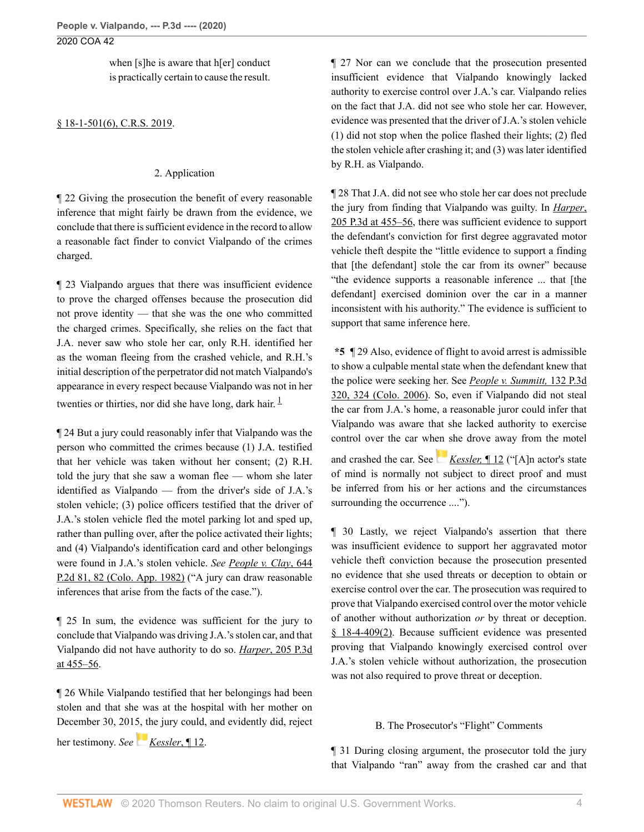when [s]he is aware that h[er] conduct is practically certain to cause the result.

## [§ 18-1-501\(6\), C.R.S. 2019.](http://www.westlaw.com/Link/Document/FullText?findType=L&pubNum=1000517&cite=COSTS18-1-501&originatingDoc=I933b04f06a0911ea81d388262956b33a&refType=SP&originationContext=document&vr=3.0&rs=cblt1.0&transitionType=DocumentItem&contextData=(sc.Search)#co_pp_1e9a0000fd6a3)

#### 2. Application

¶ 22 Giving the prosecution the benefit of every reasonable inference that might fairly be drawn from the evidence, we conclude that there is sufficient evidence in the record to allow a reasonable fact finder to convict Vialpando of the crimes charged.

¶ 23 Vialpando argues that there was insufficient evidence to prove the charged offenses because the prosecution did not prove identity — that she was the one who committed the charged crimes. Specifically, she relies on the fact that J.A. never saw who stole her car, only R.H. identified her as the woman fleeing from the crashed vehicle, and R.H.'s initial description of the perpetrator did not match Vialpando's appearance in every respect because Vialpando was not in her twenties or thirties, nor did she have long, dark hair.  $\frac{1}{1}$  $\frac{1}{1}$  $\frac{1}{1}$ 

¶ 24 But a jury could reasonably infer that Vialpando was the person who committed the crimes because (1) J.A. testified that her vehicle was taken without her consent; (2) R.H. told the jury that she saw a woman flee — whom she later identified as Vialpando — from the driver's side of J.A.'s stolen vehicle; (3) police officers testified that the driver of J.A.'s stolen vehicle fled the motel parking lot and sped up, rather than pulling over, after the police activated their lights; and (4) Vialpando's identification card and other belongings were found in J.A.'s stolen vehicle. *See [People v. Clay](http://www.westlaw.com/Link/Document/FullText?findType=Y&serNum=1982119032&pubNum=0000661&originatingDoc=I933b04f06a0911ea81d388262956b33a&refType=RP&fi=co_pp_sp_661_82&originationContext=document&vr=3.0&rs=cblt1.0&transitionType=DocumentItem&contextData=(sc.Search)#co_pp_sp_661_82)*, 644 [P.2d 81, 82 \(Colo. App. 1982\)](http://www.westlaw.com/Link/Document/FullText?findType=Y&serNum=1982119032&pubNum=0000661&originatingDoc=I933b04f06a0911ea81d388262956b33a&refType=RP&fi=co_pp_sp_661_82&originationContext=document&vr=3.0&rs=cblt1.0&transitionType=DocumentItem&contextData=(sc.Search)#co_pp_sp_661_82) ("A jury can draw reasonable inferences that arise from the facts of the case.").

¶ 25 In sum, the evidence was sufficient for the jury to conclude that Vialpando was driving J.A.'s stolen car, and that Vialpando did not have authority to do so. *Harper*[, 205 P.3d](http://www.westlaw.com/Link/Document/FullText?findType=Y&serNum=2017184074&pubNum=0004645&originatingDoc=I933b04f06a0911ea81d388262956b33a&refType=RP&fi=co_pp_sp_4645_455&originationContext=document&vr=3.0&rs=cblt1.0&transitionType=DocumentItem&contextData=(sc.Search)#co_pp_sp_4645_455) [at 455–56.](http://www.westlaw.com/Link/Document/FullText?findType=Y&serNum=2017184074&pubNum=0004645&originatingDoc=I933b04f06a0911ea81d388262956b33a&refType=RP&fi=co_pp_sp_4645_455&originationContext=document&vr=3.0&rs=cblt1.0&transitionType=DocumentItem&contextData=(sc.Search)#co_pp_sp_4645_455)

¶ 26 While Vialpando testified that her belongings had been stolen and that she was at the hospital with her mother on December 30, 2015, the jury could, and evidently did, reject

her testimony. *See[Kessler](http://www.westlaw.com/Link/Document/FullText?findType=Y&serNum=2044458517&pubNum=0007780&originatingDoc=I933b04f06a0911ea81d388262956b33a&refType=RP&originationContext=document&vr=3.0&rs=cblt1.0&transitionType=DocumentItem&contextData=(sc.Search))*, ¶ 12.

¶ 27 Nor can we conclude that the prosecution presented insufficient evidence that Vialpando knowingly lacked authority to exercise control over J.A.'s car. Vialpando relies on the fact that J.A. did not see who stole her car. However, evidence was presented that the driver of J.A.'s stolen vehicle (1) did not stop when the police flashed their lights; (2) fled the stolen vehicle after crashing it; and (3) was later identified by R.H. as Vialpando.

¶ 28 That J.A. did not see who stole her car does not preclude the jury from finding that Vialpando was guilty. In *[Harper](http://www.westlaw.com/Link/Document/FullText?findType=Y&serNum=2017184074&pubNum=0004645&originatingDoc=I933b04f06a0911ea81d388262956b33a&refType=RP&fi=co_pp_sp_4645_455&originationContext=document&vr=3.0&rs=cblt1.0&transitionType=DocumentItem&contextData=(sc.Search)#co_pp_sp_4645_455)*, [205 P.3d at 455–56,](http://www.westlaw.com/Link/Document/FullText?findType=Y&serNum=2017184074&pubNum=0004645&originatingDoc=I933b04f06a0911ea81d388262956b33a&refType=RP&fi=co_pp_sp_4645_455&originationContext=document&vr=3.0&rs=cblt1.0&transitionType=DocumentItem&contextData=(sc.Search)#co_pp_sp_4645_455) there was sufficient evidence to support the defendant's conviction for first degree aggravated motor vehicle theft despite the "little evidence to support a finding that [the defendant] stole the car from its owner" because "the evidence supports a reasonable inference ... that [the defendant] exercised dominion over the car in a manner inconsistent with his authority." The evidence is sufficient to support that same inference here.

<span id="page-3-0"></span>**\*5** ¶ 29 Also, evidence of flight to avoid arrest is admissible to show a culpable mental state when the defendant knew that the police were seeking her. See *[People v. Summitt,](http://www.westlaw.com/Link/Document/FullText?findType=Y&serNum=2008721305&pubNum=0004645&originatingDoc=I933b04f06a0911ea81d388262956b33a&refType=RP&fi=co_pp_sp_4645_324&originationContext=document&vr=3.0&rs=cblt1.0&transitionType=DocumentItem&contextData=(sc.Search)#co_pp_sp_4645_324)* 132 P.3d [320, 324 \(Colo. 2006\)](http://www.westlaw.com/Link/Document/FullText?findType=Y&serNum=2008721305&pubNum=0004645&originatingDoc=I933b04f06a0911ea81d388262956b33a&refType=RP&fi=co_pp_sp_4645_324&originationContext=document&vr=3.0&rs=cblt1.0&transitionType=DocumentItem&contextData=(sc.Search)#co_pp_sp_4645_324). So, even if Vialpando did not steal the car from J.A.'s home, a reasonable juror could infer that Vialpando was aware that she lacked authority to exercise control over the car wh[en s](https://1.next.westlaw.com/Link/RelatedInformation/Flag?documentGuid=Ic9aca0704f0311e8ab5389d3771bc525&transitionType=InlineKeyCiteFlags&originationContext=docHeaderFlag&Rank=0&contextData=(sc.Search) )he drove away from the motel and crashed the car. See *[Kessler,](http://www.westlaw.com/Link/Document/FullText?findType=Y&serNum=2044458517&pubNum=0007780&originatingDoc=I933b04f06a0911ea81d388262956b33a&refType=RP&originationContext=document&vr=3.0&rs=cblt1.0&transitionType=DocumentItem&contextData=(sc.Search))* ¶ 12 ("[A]n actor's state of mind is normally not subject to direct proof and must be inferred from his or her actions and the circumstances surrounding the occurrence ....").

¶ 30 Lastly, we reject Vialpando's assertion that there was insufficient evidence to support her aggravated motor vehicle theft conviction because the prosecution presented no evidence that she used threats or deception to obtain or exercise control over the car. The prosecution was required to prove that Vialpando exercised control over the motor vehicle of another without authorization *or* by threat or deception. [§ 18-4-409\(2\).](http://www.westlaw.com/Link/Document/FullText?findType=L&pubNum=1000517&cite=COSTS18-4-409&originatingDoc=I933b04f06a0911ea81d388262956b33a&refType=SP&originationContext=document&vr=3.0&rs=cblt1.0&transitionType=DocumentItem&contextData=(sc.Search)#co_pp_58730000872b1) Because sufficient evidence was presented proving that Vialpando knowingly exercised control over J.A.'s stolen vehicle without authorization, the prosecution was not also required to prove threat or deception.

#### B. The Prosecutor's "Flight" Comments

¶ 31 During closing argument, the prosecutor told the jury that Vialpando "ran" away from the crashed car and that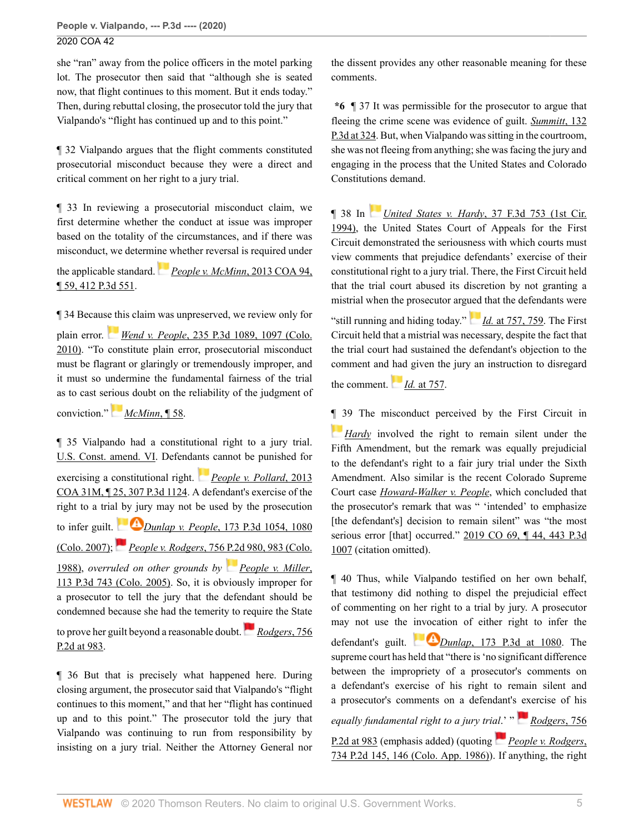she "ran" away from the police officers in the motel parking lot. The prosecutor then said that "although she is seated now, that flight continues to this moment. But it ends today." Then, during rebuttal closing, the prosecutor told the jury that Vialpando's "flight has continued up and to this point."

¶ 32 Vialpando argues that the flight comments constituted prosecutorial misconduct because they were a direct and critical comment on her right to a jury trial.

¶ 33 In reviewing a prosecutorial misconduct claim, we first determine whether the conduct at issue was improper based on the totality of the circumstances, and if there was misconduct, we determi[ne w](https://1.next.westlaw.com/Link/RelatedInformation/Flag?documentGuid=I5a652012e7e511e2a555d241dae65084&transitionType=InlineKeyCiteFlags&originationContext=docHeaderFlag&Rank=0&contextData=(sc.Search) )hether reversal is required under

the applicable standard. *[People v. McMinn](http://www.westlaw.com/Link/Document/FullText?findType=Y&serNum=2030962705&pubNum=0004645&originatingDoc=I933b04f06a0911ea81d388262956b33a&refType=RP&originationContext=document&vr=3.0&rs=cblt1.0&transitionType=DocumentItem&contextData=(sc.Search))*, 2013 COA 94, [¶ 59, 412 P.3d 551.](http://www.westlaw.com/Link/Document/FullText?findType=Y&serNum=2030962705&pubNum=0004645&originatingDoc=I933b04f06a0911ea81d388262956b33a&refType=RP&originationContext=document&vr=3.0&rs=cblt1.0&transitionType=DocumentItem&contextData=(sc.Search))

¶ 34 Becau[se th](https://1.next.westlaw.com/Link/RelatedInformation/Flag?documentGuid=I53d3204d832811df9513e5d1d488c847&transitionType=InlineKeyCiteFlags&originationContext=docHeaderFlag&Rank=0&contextData=(sc.Search) )is claim was unpreserved, we review only for

plain error. *Wend v. People*[, 235 P.3d 1089, 1097 \(Colo.](http://www.westlaw.com/Link/Document/FullText?findType=Y&serNum=2022400416&pubNum=0004645&originatingDoc=I933b04f06a0911ea81d388262956b33a&refType=RP&fi=co_pp_sp_4645_1097&originationContext=document&vr=3.0&rs=cblt1.0&transitionType=DocumentItem&contextData=(sc.Search)#co_pp_sp_4645_1097) [2010\)](http://www.westlaw.com/Link/Document/FullText?findType=Y&serNum=2022400416&pubNum=0004645&originatingDoc=I933b04f06a0911ea81d388262956b33a&refType=RP&fi=co_pp_sp_4645_1097&originationContext=document&vr=3.0&rs=cblt1.0&transitionType=DocumentItem&contextData=(sc.Search)#co_pp_sp_4645_1097). "To constitute plain error, prosecutorial misconduct must be flagrant or glaringly or tremendously improper, and it must so undermine the fundamental fairness of the trial as to cast se[riou](https://1.next.westlaw.com/Link/RelatedInformation/Flag?documentGuid=I5a652012e7e511e2a555d241dae65084&transitionType=InlineKeyCiteFlags&originationContext=docHeaderFlag&Rank=0&contextData=(sc.Search) )s doubt on the reliability of the judgment of

conviction." *[McMinn](http://www.westlaw.com/Link/Document/FullText?findType=Y&serNum=2030962705&originatingDoc=I933b04f06a0911ea81d388262956b33a&refType=RP&originationContext=document&vr=3.0&rs=cblt1.0&transitionType=DocumentItem&contextData=(sc.Search))*, ¶ 58.

¶ 35 Vialpando had a constitutional right to a jury trial. [U.S. Const. amend. VI.](http://www.westlaw.com/Link/Document/FullText?findType=L&pubNum=1000583&cite=USCOAMENDVI&originatingDoc=I933b04f06a0911ea81d388262956b33a&refType=LQ&originationContext=document&vr=3.0&rs=cblt1.0&transitionType=DocumentItem&contextData=(sc.Search)) Defenda[nts](https://1.next.westlaw.com/Link/RelatedInformation/Flag?documentGuid=Ia08dfe428ada11e287a9c52cdddac4f7&transitionType=InlineKeyCiteFlags&originationContext=docHeaderFlag&Rank=0&contextData=(sc.Search) ) cannot be punished for exercising a constitutional right. *[People v. Pollard](http://www.westlaw.com/Link/Document/FullText?findType=Y&serNum=2030134328&pubNum=0004645&originatingDoc=I933b04f06a0911ea81d388262956b33a&refType=RP&originationContext=document&vr=3.0&rs=cblt1.0&transitionType=DocumentItem&contextData=(sc.Search))*, 2013 [COA 31M, ¶ 25, 307 P.3d 1124](http://www.westlaw.com/Link/Document/FullText?findType=Y&serNum=2030134328&pubNum=0004645&originatingDoc=I933b04f06a0911ea81d388262956b33a&refType=RP&originationContext=document&vr=3.0&rs=cblt1.0&transitionType=DocumentItem&contextData=(sc.Search)). A defendant's exercise of the right to a tria[l by jur](https://1.next.westlaw.com/Link/RelatedInformation/Flag?documentGuid=I145bbc56021411dcb92c924f6a2d2928&transitionType=InlineKeyCiteFlags&originationContext=docHeaderFlag&Rank=0&contextData=(sc.Search) )y may not be used by the prosecution to infer guilt.*Dunlap v. People*[, 173 P.3d 1054, 1080](http://www.westlaw.com/Link/Document/FullText?findType=Y&serNum=2012237904&pubNum=0004645&originatingDoc=I933b04f06a0911ea81d388262956b33a&refType=RP&fi=co_pp_sp_4645_1080&originationContext=document&vr=3.0&rs=cblt1.0&transitionType=DocumentItem&contextData=(sc.Search)#co_pp_sp_4645_1080) [\(Colo. 2007\);](http://www.westlaw.com/Link/Document/FullText?findType=Y&serNum=2012237904&pubNum=0004645&originatingDoc=I933b04f06a0911ea81d388262956b33a&refType=RP&fi=co_pp_sp_4645_1080&originationContext=document&vr=3.0&rs=cblt1.0&transitionType=DocumentItem&contextData=(sc.Search)#co_pp_sp_4645_1080) *People v. Rodgers*[, 756 P.2d 980, 983 \(Colo.](http://www.westlaw.com/Link/Document/FullText?findType=Y&serNum=1988068103&pubNum=0000661&originatingDoc=I933b04f06a0911ea81d388262956b33a&refType=RP&fi=co_pp_sp_661_983&originationContext=document&vr=3.0&rs=cblt1.0&transitionType=DocumentItem&contextData=(sc.Search)#co_pp_sp_661_983) [1988\)](http://www.westlaw.com/Link/Document/FullText?findType=Y&serNum=1988068103&pubNum=0000661&originatingDoc=I933b04f06a0911ea81d388262956b33a&refType=RP&fi=co_pp_sp_661_983&originationContext=document&vr=3.0&rs=cblt1.0&transitionType=DocumentItem&contextData=(sc.Search)#co_pp_sp_661_983), *overruled on other grounds by [People v. Miller](http://www.westlaw.com/Link/Document/FullText?findType=Y&serNum=2006742413&pubNum=0004645&originatingDoc=I933b04f06a0911ea81d388262956b33a&refType=RP&originationContext=document&vr=3.0&rs=cblt1.0&transitionType=DocumentItem&contextData=(sc.Search))*, [113 P.3d 743 \(Colo. 2005\)](http://www.westlaw.com/Link/Document/FullText?findType=Y&serNum=2006742413&pubNum=0004645&originatingDoc=I933b04f06a0911ea81d388262956b33a&refType=RP&originationContext=document&vr=3.0&rs=cblt1.0&transitionType=DocumentItem&contextData=(sc.Search)). So, it is obviously improper for

a prosecutor to tell the jury that the defendant should be condemned because she had the temerity to [requ](https://1.next.westlaw.com/Link/RelatedInformation/Flag?documentGuid=Iba689b23f39311d983e7e9deff98dc6f&transitionType=InlineKeyCiteFlags&originationContext=docHeaderFlag&Rank=0&contextData=(sc.Search) )ire the State

to prove her guilt beyond a reasonable doubt. *[Rodgers](http://www.westlaw.com/Link/Document/FullText?findType=Y&serNum=1988068103&pubNum=0000661&originatingDoc=I933b04f06a0911ea81d388262956b33a&refType=RP&fi=co_pp_sp_661_983&originationContext=document&vr=3.0&rs=cblt1.0&transitionType=DocumentItem&contextData=(sc.Search)#co_pp_sp_661_983)*, 756 [P.2d at 983](http://www.westlaw.com/Link/Document/FullText?findType=Y&serNum=1988068103&pubNum=0000661&originatingDoc=I933b04f06a0911ea81d388262956b33a&refType=RP&fi=co_pp_sp_661_983&originationContext=document&vr=3.0&rs=cblt1.0&transitionType=DocumentItem&contextData=(sc.Search)#co_pp_sp_661_983).

¶ 36 But that is precisely what happened here. During closing argument, the prosecutor said that Vialpando's "flight continues to this moment," and that her "flight has continued up and to this point." The prosecutor told the jury that Vialpando was continuing to run from responsibility by insisting on a jury trial. Neither the Attorney General nor the dissent provides any other reasonable meaning for these comments.

**\*6** ¶ 37 It was permissible for the prosecutor to argue that fleeing the crime scene was evidence of guilt. *[Summitt](http://www.westlaw.com/Link/Document/FullText?findType=Y&serNum=2008721305&pubNum=0004645&originatingDoc=I933b04f06a0911ea81d388262956b33a&refType=RP&fi=co_pp_sp_4645_324&originationContext=document&vr=3.0&rs=cblt1.0&transitionType=DocumentItem&contextData=(sc.Search)#co_pp_sp_4645_324)*, 132 [P.3d at 324.](http://www.westlaw.com/Link/Document/FullText?findType=Y&serNum=2008721305&pubNum=0004645&originatingDoc=I933b04f06a0911ea81d388262956b33a&refType=RP&fi=co_pp_sp_4645_324&originationContext=document&vr=3.0&rs=cblt1.0&transitionType=DocumentItem&contextData=(sc.Search)#co_pp_sp_4645_324) But, when Vialpando was sitting in the courtroom, she was not fleeing from anything; she was facing the jury and engaging in the process that the United States and Colorado Constitutions demand.

¶ 38 In *United States v. Hardy*[, 37 F.3d 753 \(1st Cir.](http://www.westlaw.com/Link/Document/FullText?findType=Y&serNum=1994201747&pubNum=0000506&originatingDoc=I933b04f06a0911ea81d388262956b33a&refType=RP&originationContext=document&vr=3.0&rs=cblt1.0&transitionType=DocumentItem&contextData=(sc.Search)) [1994\)](http://www.westlaw.com/Link/Document/FullText?findType=Y&serNum=1994201747&pubNum=0000506&originatingDoc=I933b04f06a0911ea81d388262956b33a&refType=RP&originationContext=document&vr=3.0&rs=cblt1.0&transitionType=DocumentItem&contextData=(sc.Search)), the United States Court of Appeals for the First Circuit demonstrated the seriousness with which courts must view comments that prejudice defendants' exercise of their constitutional right to a jury trial. There, the First Circuit held that the trial court abused its discretion by not granting a mistrial when the prosecutor arg[ued](https://1.next.westlaw.com/Link/RelatedInformation/Flag?documentGuid=Iddfd4357970a11d9bc61beebb95be672&transitionType=InlineKeyCiteFlags&originationContext=docHeaderFlag&Rank=0&contextData=(sc.Search) ) that the defendants were

"still running and hiding today." *Id.* [at 757, 759.](http://www.westlaw.com/Link/Document/FullText?findType=Y&serNum=1994201747&pubNum=0000506&originatingDoc=I933b04f06a0911ea81d388262956b33a&refType=RP&fi=co_pp_sp_506_757&originationContext=document&vr=3.0&rs=cblt1.0&transitionType=DocumentItem&contextData=(sc.Search)#co_pp_sp_506_757) The First Circuit held that a mistrial was necessary, despite the fact that the trial court had sustained the defendant's objection to the comment and [had](https://1.next.westlaw.com/Link/RelatedInformation/Flag?documentGuid=Iddfd4357970a11d9bc61beebb95be672&transitionType=InlineKeyCiteFlags&originationContext=docHeaderFlag&Rank=0&contextData=(sc.Search) ) given the jury an instruction to disregard

the comment. *Id.* [at 757.](http://www.westlaw.com/Link/Document/FullText?findType=Y&serNum=1994201747&pubNum=0000506&originatingDoc=I933b04f06a0911ea81d388262956b33a&refType=RP&fi=co_pp_sp_506_757&originationContext=document&vr=3.0&rs=cblt1.0&transitionType=DocumentItem&contextData=(sc.Search)#co_pp_sp_506_757)

[¶ 3](https://1.next.westlaw.com/Link/RelatedInformation/Flag?documentGuid=Iddfd4357970a11d9bc61beebb95be672&transitionType=InlineKeyCiteFlags&originationContext=docHeaderFlag&Rank=0&contextData=(sc.Search) )9 The misconduct perceived by the First Circuit in *[Hardy](http://www.westlaw.com/Link/Document/FullText?findType=Y&serNum=1994201747&pubNum=0000506&originatingDoc=I933b04f06a0911ea81d388262956b33a&refType=RP&originationContext=document&vr=3.0&rs=cblt1.0&transitionType=DocumentItem&contextData=(sc.Search))* involved the right to remain silent under the Fifth Amendment, but the remark was equally prejudicial to the defendant's right to a fair jury trial under the Sixth Amendment. Also similar is the recent Colorado Supreme Court case *[Howard-Walker v. People](http://www.westlaw.com/Link/Document/FullText?findType=Y&serNum=2048603237&pubNum=0004645&originatingDoc=I933b04f06a0911ea81d388262956b33a&refType=RP&originationContext=document&vr=3.0&rs=cblt1.0&transitionType=DocumentItem&contextData=(sc.Search))*, which concluded that the prosecutor's remark that was " 'intended' to emphasize [the defendant's] decision to remain silent" was "the most serious error [that] occurred." [2019 CO 69, ¶ 44, 443 P.3d](http://www.westlaw.com/Link/Document/FullText?findType=Y&serNum=2048603237&pubNum=0004645&originatingDoc=I933b04f06a0911ea81d388262956b33a&refType=RP&originationContext=document&vr=3.0&rs=cblt1.0&transitionType=DocumentItem&contextData=(sc.Search)) [1007](http://www.westlaw.com/Link/Document/FullText?findType=Y&serNum=2048603237&pubNum=0004645&originatingDoc=I933b04f06a0911ea81d388262956b33a&refType=RP&originationContext=document&vr=3.0&rs=cblt1.0&transitionType=DocumentItem&contextData=(sc.Search)) (citation omitted).

¶ 40 Thus, while Vialpando testified on her own behalf, that testimony did nothing to dispel the prejudicial effect of commenting on her right to a trial by jury. A prosecutor may not use the [invoca](https://1.next.westlaw.com/Link/RelatedInformation/Flag?documentGuid=I145bbc56021411dcb92c924f6a2d2928&transitionType=InlineKeyCiteFlags&originationContext=docHeaderFlag&Rank=0&contextData=(sc.Search) )tion of either right to infer the defendant's guilt. *Dunlap*[, 173 P.3d at 1080.](http://www.westlaw.com/Link/Document/FullText?findType=Y&serNum=2012237904&pubNum=0004645&originatingDoc=I933b04f06a0911ea81d388262956b33a&refType=RP&fi=co_pp_sp_4645_1080&originationContext=document&vr=3.0&rs=cblt1.0&transitionType=DocumentItem&contextData=(sc.Search)#co_pp_sp_4645_1080) The supreme court has held that "there is 'no significant difference between the impropriety of a prosecutor's comments on a defendant's exercise of his right to remain silent and a prosecutor's comments on a defendant's [ex](https://1.next.westlaw.com/Link/RelatedInformation/Flag?documentGuid=Iba689b23f39311d983e7e9deff98dc6f&transitionType=InlineKeyCiteFlags&originationContext=docHeaderFlag&Rank=0&contextData=(sc.Search) )ercise of his

*equally fundamental right to a jury trial*[.'](https://1.next.westlaw.com/Link/RelatedInformation/Flag?documentGuid=I92d96bf8f38611d99439b076ef9ec4de&transitionType=InlineKeyCiteFlags&originationContext=docHeaderFlag&Rank=0&contextData=(sc.Search) ) " *[Rodgers](http://www.westlaw.com/Link/Document/FullText?findType=Y&serNum=1988068103&pubNum=0000661&originatingDoc=I933b04f06a0911ea81d388262956b33a&refType=RP&fi=co_pp_sp_661_983&originationContext=document&vr=3.0&rs=cblt1.0&transitionType=DocumentItem&contextData=(sc.Search)#co_pp_sp_661_983)*, 756

[P.2d at 983](http://www.westlaw.com/Link/Document/FullText?findType=Y&serNum=1988068103&pubNum=0000661&originatingDoc=I933b04f06a0911ea81d388262956b33a&refType=RP&fi=co_pp_sp_661_983&originationContext=document&vr=3.0&rs=cblt1.0&transitionType=DocumentItem&contextData=(sc.Search)#co_pp_sp_661_983) (emphasis added) (quoting *[People v. Rodgers](http://www.westlaw.com/Link/Document/FullText?findType=Y&serNum=1987003533&pubNum=0000661&originatingDoc=I933b04f06a0911ea81d388262956b33a&refType=RP&fi=co_pp_sp_661_146&originationContext=document&vr=3.0&rs=cblt1.0&transitionType=DocumentItem&contextData=(sc.Search)#co_pp_sp_661_146)*, [734 P.2d 145, 146 \(Colo. App. 1986\)](http://www.westlaw.com/Link/Document/FullText?findType=Y&serNum=1987003533&pubNum=0000661&originatingDoc=I933b04f06a0911ea81d388262956b33a&refType=RP&fi=co_pp_sp_661_146&originationContext=document&vr=3.0&rs=cblt1.0&transitionType=DocumentItem&contextData=(sc.Search)#co_pp_sp_661_146)). If anything, the right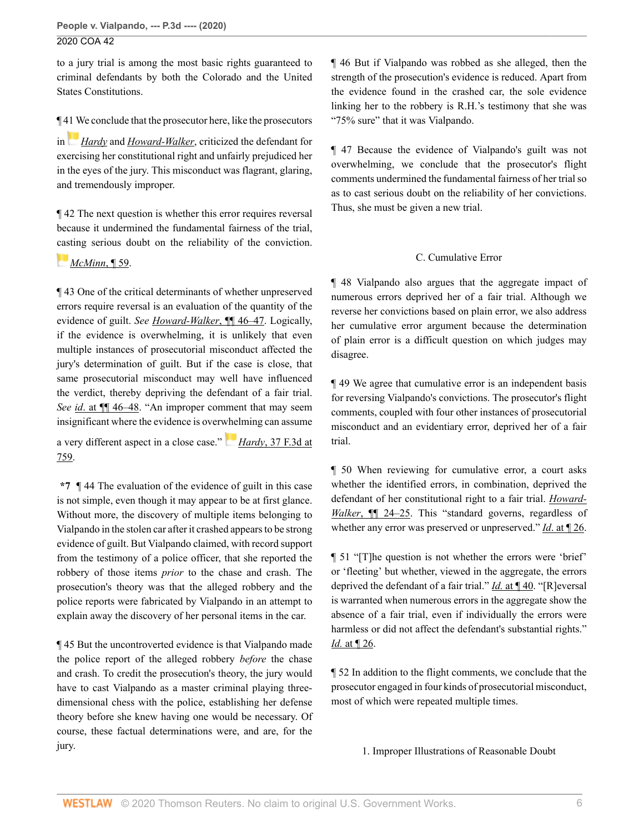to a jury trial is among the most basic rights guaranteed to criminal defendants by both the Colorado and the United States Constitutions.

¶ [41 W](https://1.next.westlaw.com/Link/RelatedInformation/Flag?documentGuid=Iddfd4357970a11d9bc61beebb95be672&transitionType=InlineKeyCiteFlags&originationContext=docHeaderFlag&Rank=0&contextData=(sc.Search) )e conclude that the prosecutor here, like the prosecutors

in *[Hardy](http://www.westlaw.com/Link/Document/FullText?findType=Y&serNum=1994201747&pubNum=0000506&originatingDoc=I933b04f06a0911ea81d388262956b33a&refType=RP&originationContext=document&vr=3.0&rs=cblt1.0&transitionType=DocumentItem&contextData=(sc.Search))* and *[Howard-Walker](http://www.westlaw.com/Link/Document/FullText?findType=Y&serNum=2048603237&pubNum=0007779&originatingDoc=I933b04f06a0911ea81d388262956b33a&refType=RP&originationContext=document&vr=3.0&rs=cblt1.0&transitionType=DocumentItem&contextData=(sc.Search))*, criticized the defendant for exercising her constitutional right and unfairly prejudiced her in the eyes of the jury. This misconduct was flagrant, glaring, and tremendously improper.

¶ 42 The next question is whether this error requires reversal because it undermined the fundamental fairness of the trial, [cast](https://1.next.westlaw.com/Link/RelatedInformation/Flag?documentGuid=I5a652012e7e511e2a555d241dae65084&transitionType=InlineKeyCiteFlags&originationContext=docHeaderFlag&Rank=0&contextData=(sc.Search) )ing serious doubt on the reliability of the conviction.

# *[McMinn](http://www.westlaw.com/Link/Document/FullText?findType=Y&serNum=2030962705&pubNum=0007780&originatingDoc=I933b04f06a0911ea81d388262956b33a&refType=RP&originationContext=document&vr=3.0&rs=cblt1.0&transitionType=DocumentItem&contextData=(sc.Search))*, ¶ 59.

¶ 43 One of the critical determinants of whether unpreserved errors require reversal is an evaluation of the quantity of the evidence of guilt. *See [Howard-Walker](http://www.westlaw.com/Link/Document/FullText?findType=Y&serNum=2048603237&pubNum=0007779&originatingDoc=I933b04f06a0911ea81d388262956b33a&refType=RP&originationContext=document&vr=3.0&rs=cblt1.0&transitionType=DocumentItem&contextData=(sc.Search))*, ¶¶ 46–47. Logically, if the evidence is overwhelming, it is unlikely that even multiple instances of prosecutorial misconduct affected the jury's determination of guilt. But if the case is close, that same prosecutorial misconduct may well have influenced the verdict, thereby depriving the defendant of a fair trial. *See id*[. at ¶¶ 46–48](http://www.westlaw.com/Link/Document/FullText?findType=Y&serNum=2048603237&pubNum=0007779&originatingDoc=I933b04f06a0911ea81d388262956b33a&refType=RP&originationContext=document&vr=3.0&rs=cblt1.0&transitionType=DocumentItem&contextData=(sc.Search)). "An improper comment that may seem insignificant where the evidence is over[whel](https://1.next.westlaw.com/Link/RelatedInformation/Flag?documentGuid=Iddfd4357970a11d9bc61beebb95be672&transitionType=InlineKeyCiteFlags&originationContext=docHeaderFlag&Rank=0&contextData=(sc.Search) )ming can assume

a very different aspect in a close case." *Hardy*[, 37 F.3d at](http://www.westlaw.com/Link/Document/FullText?findType=Y&serNum=1994201747&pubNum=0000506&originatingDoc=I933b04f06a0911ea81d388262956b33a&refType=RP&fi=co_pp_sp_506_759&originationContext=document&vr=3.0&rs=cblt1.0&transitionType=DocumentItem&contextData=(sc.Search)#co_pp_sp_506_759) [759](http://www.westlaw.com/Link/Document/FullText?findType=Y&serNum=1994201747&pubNum=0000506&originatingDoc=I933b04f06a0911ea81d388262956b33a&refType=RP&fi=co_pp_sp_506_759&originationContext=document&vr=3.0&rs=cblt1.0&transitionType=DocumentItem&contextData=(sc.Search)#co_pp_sp_506_759).

**\*7** ¶ 44 The evaluation of the evidence of guilt in this case is not simple, even though it may appear to be at first glance. Without more, the discovery of multiple items belonging to Vialpando in the stolen car after it crashed appears to be strong evidence of guilt. But Vialpando claimed, with record support from the testimony of a police officer, that she reported the robbery of those items *prior* to the chase and crash. The prosecution's theory was that the alleged robbery and the police reports were fabricated by Vialpando in an attempt to explain away the discovery of her personal items in the car.

¶ 45 But the uncontroverted evidence is that Vialpando made the police report of the alleged robbery *before* the chase and crash. To credit the prosecution's theory, the jury would have to cast Vialpando as a master criminal playing threedimensional chess with the police, establishing her defense theory before she knew having one would be necessary. Of course, these factual determinations were, and are, for the jury.

¶ 46 But if Vialpando was robbed as she alleged, then the strength of the prosecution's evidence is reduced. Apart from the evidence found in the crashed car, the sole evidence linking her to the robbery is R.H.'s testimony that she was "75% sure" that it was Vialpando.

¶ 47 Because the evidence of Vialpando's guilt was not overwhelming, we conclude that the prosecutor's flight comments undermined the fundamental fairness of her trial so as to cast serious doubt on the reliability of her convictions. Thus, she must be given a new trial.

# C. Cumulative Error

¶ 48 Vialpando also argues that the aggregate impact of numerous errors deprived her of a fair trial. Although we reverse her convictions based on plain error, we also address her cumulative error argument because the determination of plain error is a difficult question on which judges may disagree.

¶ 49 We agree that cumulative error is an independent basis for reversing Vialpando's convictions. The prosecutor's flight comments, coupled with four other instances of prosecutorial misconduct and an evidentiary error, deprived her of a fair trial.

¶ 50 When reviewing for cumulative error, a court asks whether the identified errors, in combination, deprived the defendant of her constitutional right to a fair trial. *[Howard-](http://www.westlaw.com/Link/Document/FullText?findType=Y&serNum=2048603237&originatingDoc=I933b04f06a0911ea81d388262956b33a&refType=RP&originationContext=document&vr=3.0&rs=cblt1.0&transitionType=DocumentItem&contextData=(sc.Search))Walker*[, ¶¶ 24–25](http://www.westlaw.com/Link/Document/FullText?findType=Y&serNum=2048603237&originatingDoc=I933b04f06a0911ea81d388262956b33a&refType=RP&originationContext=document&vr=3.0&rs=cblt1.0&transitionType=DocumentItem&contextData=(sc.Search)). This "standard governs, regardless of whether any error was preserved or unpreserved." *Id*[. at ¶ 26.](http://www.westlaw.com/Link/Document/FullText?findType=Y&serNum=2048603237&pubNum=0007779&originatingDoc=I933b04f06a0911ea81d388262956b33a&refType=RP&originationContext=document&vr=3.0&rs=cblt1.0&transitionType=DocumentItem&contextData=(sc.Search))

¶ 51 "[T]he question is not whether the errors were 'brief' or 'fleeting' but whether, viewed in the aggregate, the errors deprived the defendant of a fair trial." *Id.* [at ¶ 40](http://www.westlaw.com/Link/Document/FullText?findType=Y&serNum=2048603237&pubNum=0007779&originatingDoc=I933b04f06a0911ea81d388262956b33a&refType=RP&originationContext=document&vr=3.0&rs=cblt1.0&transitionType=DocumentItem&contextData=(sc.Search)). "[R]eversal is warranted when numerous errors in the aggregate show the absence of a fair trial, even if individually the errors were harmless or did not affect the defendant's substantial rights." *Id.* [at ¶ 26](http://www.westlaw.com/Link/Document/FullText?findType=Y&serNum=2048603237&pubNum=0007779&originatingDoc=I933b04f06a0911ea81d388262956b33a&refType=RP&originationContext=document&vr=3.0&rs=cblt1.0&transitionType=DocumentItem&contextData=(sc.Search)).

¶ 52 In addition to the flight comments, we conclude that the prosecutor engaged in four kinds of prosecutorial misconduct, most of which were repeated multiple times.

1. Improper Illustrations of Reasonable Doubt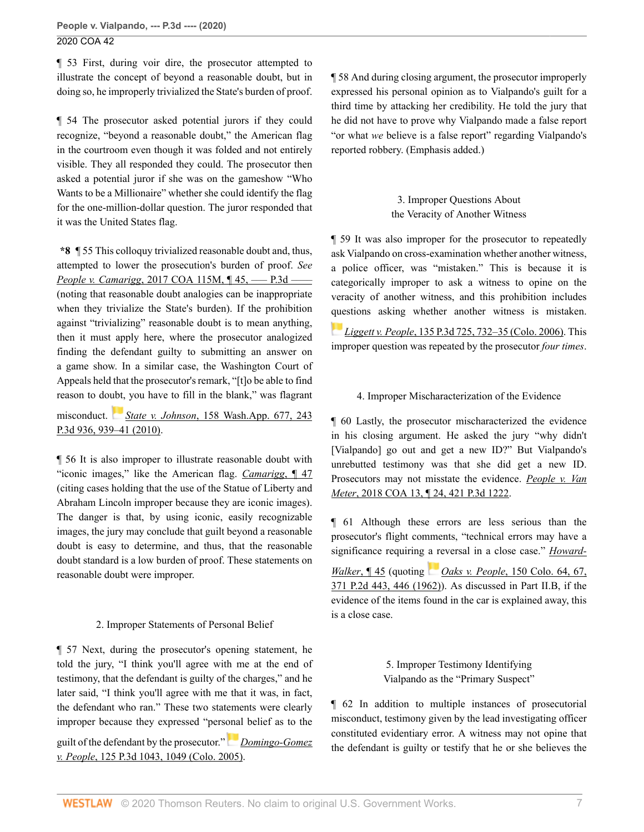¶ 53 First, during voir dire, the prosecutor attempted to illustrate the concept of beyond a reasonable doubt, but in doing so, he improperly trivialized the State's burden of proof.

¶ 54 The prosecutor asked potential jurors if they could recognize, "beyond a reasonable doubt," the American flag in the courtroom even though it was folded and not entirely visible. They all responded they could. The prosecutor then asked a potential juror if she was on the gameshow "Who Wants to be a Millionaire" whether she could identify the flag for the one-million-dollar question. The juror responded that it was the United States flag.

**\*8** ¶ 55 This colloquy trivialized reasonable doubt and, thus, attempted to lower the prosecution's burden of proof. *See People v. Camarigg, 2017 COA 115M,*  $\P$  45, — P.3d — (noting that reasonable doubt analogies can be inappropriate when they trivialize the State's burden). If the prohibition against "trivializing" reasonable doubt is to mean anything, then it must apply here, where the prosecutor analogized finding the defendant guilty to submitting an answer on a game show. In a similar case, the Washington Court of Appeals held that the prosecutor's remark, "[t]o be able to find reason to do[ubt,](https://1.next.westlaw.com/Link/RelatedInformation/Flag?documentGuid=Ice3dd488f95111df80558336ea473530&transitionType=InlineKeyCiteFlags&originationContext=docHeaderFlag&Rank=0&contextData=(sc.Search) ) you have to fill in the blank," was flagrant

misconduct. *State v. Johnson*[, 158 Wash.App. 677, 243](http://www.westlaw.com/Link/Document/FullText?findType=Y&serNum=2023869143&pubNum=0004645&originatingDoc=I933b04f06a0911ea81d388262956b33a&refType=RP&fi=co_pp_sp_4645_939&originationContext=document&vr=3.0&rs=cblt1.0&transitionType=DocumentItem&contextData=(sc.Search)#co_pp_sp_4645_939) [P.3d 936, 939–41 \(2010\).](http://www.westlaw.com/Link/Document/FullText?findType=Y&serNum=2023869143&pubNum=0004645&originatingDoc=I933b04f06a0911ea81d388262956b33a&refType=RP&fi=co_pp_sp_4645_939&originationContext=document&vr=3.0&rs=cblt1.0&transitionType=DocumentItem&contextData=(sc.Search)#co_pp_sp_4645_939)

¶ 56 It is also improper to illustrate reasonable doubt with "iconic images," like the American flag. *[Camarigg](http://www.westlaw.com/Link/Document/FullText?findType=Y&serNum=2042559903&pubNum=0007780&originatingDoc=I933b04f06a0911ea81d388262956b33a&refType=RP&originationContext=document&vr=3.0&rs=cblt1.0&transitionType=DocumentItem&contextData=(sc.Search))*, ¶ 47 (citing cases holding that the use of the Statue of Liberty and Abraham Lincoln improper because they are iconic images). The danger is that, by using iconic, easily recognizable images, the jury may conclude that guilt beyond a reasonable doubt is easy to determine, and thus, that the reasonable doubt standard is a low burden of proof. These statements on reasonable doubt were improper.

# 2. Improper Statements of Personal Belief

¶ 57 Next, during the prosecutor's opening statement, he told the jury, "I think you'll agree with me at the end of testimony, that the defendant is guilty of the charges," and he later said, "I think you'll agree with me that it was, in fact, the defendant who ran." These two statements were clearly improper because they expressed "pers[onal](https://1.next.westlaw.com/Link/RelatedInformation/Flag?documentGuid=I8fddc2b470ce11daa20eccddde63d628&transitionType=InlineKeyCiteFlags&originationContext=docHeaderFlag&Rank=0&contextData=(sc.Search) ) belief as to the

guilt of the defendant by the prosecutor." *[Domingo-Gomez](http://www.westlaw.com/Link/Document/FullText?findType=Y&serNum=2007908950&pubNum=0004645&originatingDoc=I933b04f06a0911ea81d388262956b33a&refType=RP&fi=co_pp_sp_4645_1049&originationContext=document&vr=3.0&rs=cblt1.0&transitionType=DocumentItem&contextData=(sc.Search)#co_pp_sp_4645_1049) v. People*[, 125 P.3d 1043, 1049 \(Colo. 2005\).](http://www.westlaw.com/Link/Document/FullText?findType=Y&serNum=2007908950&pubNum=0004645&originatingDoc=I933b04f06a0911ea81d388262956b33a&refType=RP&fi=co_pp_sp_4645_1049&originationContext=document&vr=3.0&rs=cblt1.0&transitionType=DocumentItem&contextData=(sc.Search)#co_pp_sp_4645_1049)

¶ 58 And during closing argument, the prosecutor improperly expressed his personal opinion as to Vialpando's guilt for a third time by attacking her credibility. He told the jury that he did not have to prove why Vialpando made a false report "or what *we* believe is a false report" regarding Vialpando's reported robbery. (Emphasis added.)

# 3. Improper Questions About the Veracity of Another Witness

¶ 59 It was also improper for the prosecutor to repeatedly ask Vialpando on cross-examination whether another witness, a police officer, was "mistaken." This is because it is categorically improper to ask a witness to opine on the veracity of another witness, and this prohibition includes [que](https://1.next.westlaw.com/Link/RelatedInformation/Flag?documentGuid=I4c1ab3b6e41711da8b56def3c325596e&transitionType=InlineKeyCiteFlags&originationContext=docHeaderFlag&Rank=0&contextData=(sc.Search) )stions asking whether another witness is mistaken.

*Liggett v. People*[, 135 P.3d 725, 732–35 \(Colo. 2006\).](http://www.westlaw.com/Link/Document/FullText?findType=Y&serNum=2009156830&pubNum=0004645&originatingDoc=I933b04f06a0911ea81d388262956b33a&refType=RP&fi=co_pp_sp_4645_732&originationContext=document&vr=3.0&rs=cblt1.0&transitionType=DocumentItem&contextData=(sc.Search)#co_pp_sp_4645_732) This improper question was repeated by the prosecutor *four times*.

# 4. Improper Mischaracterization of the Evidence

¶ 60 Lastly, the prosecutor mischaracterized the evidence in his closing argument. He asked the jury "why didn't [Vialpando] go out and get a new ID?" But Vialpando's unrebutted testimony was that she did get a new ID. Prosecutors may not misstate the evidence. *[People v. Van](http://www.westlaw.com/Link/Document/FullText?findType=Y&serNum=2043776406&pubNum=0004645&originatingDoc=I933b04f06a0911ea81d388262956b33a&refType=RP&originationContext=document&vr=3.0&rs=cblt1.0&transitionType=DocumentItem&contextData=(sc.Search)) Meter*[, 2018 COA 13, ¶ 24, 421 P.3d 1222.](http://www.westlaw.com/Link/Document/FullText?findType=Y&serNum=2043776406&pubNum=0004645&originatingDoc=I933b04f06a0911ea81d388262956b33a&refType=RP&originationContext=document&vr=3.0&rs=cblt1.0&transitionType=DocumentItem&contextData=(sc.Search))

¶ 61 Although these errors are less serious than the prosecutor's flight comments, "technical errors may have a significance requiring [a re](https://1.next.westlaw.com/Link/RelatedInformation/Flag?documentGuid=If88a18adf7c811d9bf60c1d57ebc853e&transitionType=InlineKeyCiteFlags&originationContext=docHeaderFlag&Rank=0&contextData=(sc.Search) )versal in a close case." *[Howard-](http://www.westlaw.com/Link/Document/FullText?findType=Y&serNum=2048603237&pubNum=0007779&originatingDoc=I933b04f06a0911ea81d388262956b33a&refType=RP&originationContext=document&vr=3.0&rs=cblt1.0&transitionType=DocumentItem&contextData=(sc.Search))*

*[Walker](http://www.westlaw.com/Link/Document/FullText?findType=Y&serNum=2048603237&pubNum=0007779&originatingDoc=I933b04f06a0911ea81d388262956b33a&refType=RP&originationContext=document&vr=3.0&rs=cblt1.0&transitionType=DocumentItem&contextData=(sc.Search))*, ¶ 45 (quoting *Oaks v. People*[, 150 Colo. 64, 67,](http://www.westlaw.com/Link/Document/FullText?findType=Y&serNum=1962126146&pubNum=0000661&originatingDoc=I933b04f06a0911ea81d388262956b33a&refType=RP&fi=co_pp_sp_661_446&originationContext=document&vr=3.0&rs=cblt1.0&transitionType=DocumentItem&contextData=(sc.Search)#co_pp_sp_661_446) [371 P.2d 443, 446 \(1962\)](http://www.westlaw.com/Link/Document/FullText?findType=Y&serNum=1962126146&pubNum=0000661&originatingDoc=I933b04f06a0911ea81d388262956b33a&refType=RP&fi=co_pp_sp_661_446&originationContext=document&vr=3.0&rs=cblt1.0&transitionType=DocumentItem&contextData=(sc.Search)#co_pp_sp_661_446)). As discussed in Part II.B, if the evidence of the items found in the car is explained away, this is a close case.

> 5. Improper Testimony Identifying Vialpando as the "Primary Suspect"

¶ 62 In addition to multiple instances of prosecutorial misconduct, testimony given by the lead investigating officer constituted evidentiary error. A witness may not opine that the defendant is guilty or testify that he or she believes the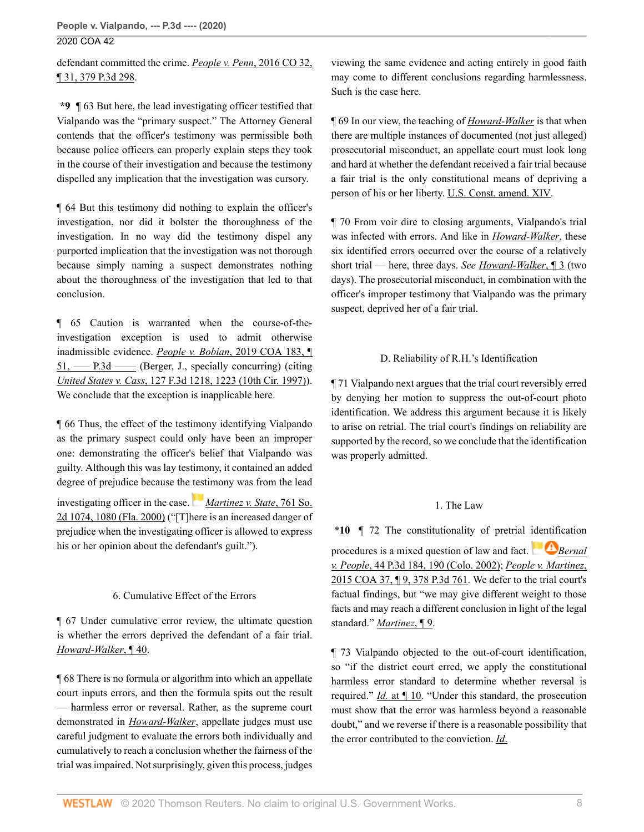defendant committed the crime. *[People v. Penn](http://www.westlaw.com/Link/Document/FullText?findType=Y&serNum=2038852787&pubNum=0004645&originatingDoc=I933b04f06a0911ea81d388262956b33a&refType=RP&originationContext=document&vr=3.0&rs=cblt1.0&transitionType=DocumentItem&contextData=(sc.Search))*, 2016 CO 32, [¶ 31, 379 P.3d 298.](http://www.westlaw.com/Link/Document/FullText?findType=Y&serNum=2038852787&pubNum=0004645&originatingDoc=I933b04f06a0911ea81d388262956b33a&refType=RP&originationContext=document&vr=3.0&rs=cblt1.0&transitionType=DocumentItem&contextData=(sc.Search))

**\*9** ¶ 63 But here, the lead investigating officer testified that Vialpando was the "primary suspect." The Attorney General contends that the officer's testimony was permissible both because police officers can properly explain steps they took in the course of their investigation and because the testimony dispelled any implication that the investigation was cursory.

¶ 64 But this testimony did nothing to explain the officer's investigation, nor did it bolster the thoroughness of the investigation. In no way did the testimony dispel any purported implication that the investigation was not thorough because simply naming a suspect demonstrates nothing about the thoroughness of the investigation that led to that conclusion.

¶ 65 Caution is warranted when the course-of-theinvestigation exception is used to admit otherwise inadmissible evidence. *People v. Bobian*[, 2019 COA 183, ¶](http://www.westlaw.com/Link/Document/FullText?findType=Y&serNum=2049884545&pubNum=0007780&originatingDoc=I933b04f06a0911ea81d388262956b33a&refType=RP&originationContext=document&vr=3.0&rs=cblt1.0&transitionType=DocumentItem&contextData=(sc.Search))  $51,$  —– P.3d —– (Berger, J., specially concurring) (citing *United States v. Cass*[, 127 F.3d 1218, 1223 \(10th Cir. 1997\)](http://www.westlaw.com/Link/Document/FullText?findType=Y&serNum=1997208669&pubNum=0000506&originatingDoc=I933b04f06a0911ea81d388262956b33a&refType=RP&fi=co_pp_sp_506_1223&originationContext=document&vr=3.0&rs=cblt1.0&transitionType=DocumentItem&contextData=(sc.Search)#co_pp_sp_506_1223)). We conclude that the exception is inapplicable here.

¶ 66 Thus, the effect of the testimony identifying Vialpando as the primary suspect could only have been an improper one: demonstrating the officer's belief that Vialpando was guilty. Although this was lay testimony, it contained an added degree of prejudice because the [test](https://1.next.westlaw.com/Link/RelatedInformation/Flag?documentGuid=Ib8ff01540c5a11d9bc18e8274af85244&transitionType=InlineKeyCiteFlags&originationContext=docHeaderFlag&Rank=0&contextData=(sc.Search) )imony was from the lead

investigating officer in the case. *[Martinez v. State](http://www.westlaw.com/Link/Document/FullText?findType=Y&serNum=2000380721&pubNum=0000735&originatingDoc=I933b04f06a0911ea81d388262956b33a&refType=RP&fi=co_pp_sp_735_1080&originationContext=document&vr=3.0&rs=cblt1.0&transitionType=DocumentItem&contextData=(sc.Search)#co_pp_sp_735_1080)*, 761 So. [2d 1074, 1080 \(Fla. 2000\)](http://www.westlaw.com/Link/Document/FullText?findType=Y&serNum=2000380721&pubNum=0000735&originatingDoc=I933b04f06a0911ea81d388262956b33a&refType=RP&fi=co_pp_sp_735_1080&originationContext=document&vr=3.0&rs=cblt1.0&transitionType=DocumentItem&contextData=(sc.Search)#co_pp_sp_735_1080) ("[T]here is an increased danger of prejudice when the investigating officer is allowed to express his or her opinion about the defendant's guilt.").

## 6. Cumulative Effect of the Errors

¶ 67 Under cumulative error review, the ultimate question is whether the errors deprived the defendant of a fair trial. *[Howard-Walker](http://www.westlaw.com/Link/Document/FullText?findType=Y&serNum=2048603237&pubNum=0007779&originatingDoc=I933b04f06a0911ea81d388262956b33a&refType=RP&originationContext=document&vr=3.0&rs=cblt1.0&transitionType=DocumentItem&contextData=(sc.Search))*, ¶ 40.

¶ 68 There is no formula or algorithm into which an appellate court inputs errors, and then the formula spits out the result — harmless error or reversal. Rather, as the supreme court demonstrated in *[Howard-Walker](http://www.westlaw.com/Link/Document/FullText?findType=Y&serNum=2048603237&pubNum=0007779&originatingDoc=I933b04f06a0911ea81d388262956b33a&refType=RP&originationContext=document&vr=3.0&rs=cblt1.0&transitionType=DocumentItem&contextData=(sc.Search))*, appellate judges must use careful judgment to evaluate the errors both individually and cumulatively to reach a conclusion whether the fairness of the trial was impaired. Not surprisingly, given this process, judges

viewing the same evidence and acting entirely in good faith may come to different conclusions regarding harmlessness. Such is the case here.

¶ 69 In our view, the teaching of *[Howard-Walker](http://www.westlaw.com/Link/Document/FullText?findType=Y&serNum=2048603237&pubNum=0007779&originatingDoc=I933b04f06a0911ea81d388262956b33a&refType=RP&originationContext=document&vr=3.0&rs=cblt1.0&transitionType=DocumentItem&contextData=(sc.Search))* is that when there are multiple instances of documented (not just alleged) prosecutorial misconduct, an appellate court must look long and hard at whether the defendant received a fair trial because a fair trial is the only constitutional means of depriving a person of his or her liberty. [U.S. Const. amend. XIV.](http://www.westlaw.com/Link/Document/FullText?findType=L&pubNum=1000583&cite=USCOAMENDXIV&originatingDoc=I933b04f06a0911ea81d388262956b33a&refType=LQ&originationContext=document&vr=3.0&rs=cblt1.0&transitionType=DocumentItem&contextData=(sc.Search))

¶ 70 From voir dire to closing arguments, Vialpando's trial was infected with errors. And like in *[Howard-Walker](http://www.westlaw.com/Link/Document/FullText?findType=Y&serNum=2048603237&pubNum=0007779&originatingDoc=I933b04f06a0911ea81d388262956b33a&refType=RP&originationContext=document&vr=3.0&rs=cblt1.0&transitionType=DocumentItem&contextData=(sc.Search))*, these six identified errors occurred over the course of a relatively short trial — here, three days. *See [Howard-Walker](http://www.westlaw.com/Link/Document/FullText?findType=Y&serNum=2048603237&originatingDoc=I933b04f06a0911ea81d388262956b33a&refType=RP&originationContext=document&vr=3.0&rs=cblt1.0&transitionType=DocumentItem&contextData=(sc.Search))*, ¶ 3 (two days). The prosecutorial misconduct, in combination with the officer's improper testimony that Vialpando was the primary suspect, deprived her of a fair trial.

# D. Reliability of R.H.'s Identification

¶ 71 Vialpando next argues that the trial court reversibly erred by denying her motion to suppress the out-of-court photo identification. We address this argument because it is likely to arise on retrial. The trial court's findings on reliability are supported by the record, so we conclude that the identification was properly admitted.

# 1. The Law

**\*10** ¶ 72 The constitutionality of pretrial [identifi](https://1.next.westlaw.com/Link/RelatedInformation/Flag?documentGuid=Ia5068b66f53d11d983e7e9deff98dc6f&transitionType=InlineKeyCiteFlags&originationContext=docHeaderFlag&Rank=0&contextData=(sc.Search) )cation procedures is a mixed question of law and fact. **B**ernal *v. People*[, 44 P.3d 184, 190 \(Colo. 2002\);](http://www.westlaw.com/Link/Document/FullText?findType=Y&serNum=2002185488&pubNum=0004645&originatingDoc=I933b04f06a0911ea81d388262956b33a&refType=RP&fi=co_pp_sp_4645_190&originationContext=document&vr=3.0&rs=cblt1.0&transitionType=DocumentItem&contextData=(sc.Search)#co_pp_sp_4645_190) *[People v. Martinez](http://www.westlaw.com/Link/Document/FullText?findType=Y&serNum=2035807917&pubNum=0004645&originatingDoc=I933b04f06a0911ea81d388262956b33a&refType=RP&originationContext=document&vr=3.0&rs=cblt1.0&transitionType=DocumentItem&contextData=(sc.Search))*, [2015 COA 37, ¶ 9, 378 P.3d 761.](http://www.westlaw.com/Link/Document/FullText?findType=Y&serNum=2035807917&pubNum=0004645&originatingDoc=I933b04f06a0911ea81d388262956b33a&refType=RP&originationContext=document&vr=3.0&rs=cblt1.0&transitionType=DocumentItem&contextData=(sc.Search)) We defer to the trial court's factual findings, but "we may give different weight to those facts and may reach a different conclusion in light of the legal standard." *[Martinez](http://www.westlaw.com/Link/Document/FullText?findType=Y&serNum=2035807917&pubNum=0007780&originatingDoc=I933b04f06a0911ea81d388262956b33a&refType=RP&originationContext=document&vr=3.0&rs=cblt1.0&transitionType=DocumentItem&contextData=(sc.Search))*, ¶ 9.

¶ 73 Vialpando objected to the out-of-court identification, so "if the district court erred, we apply the constitutional harmless error standard to determine whether reversal is required." *Id.* [at ¶ 10.](http://www.westlaw.com/Link/Document/FullText?findType=Y&serNum=2035807917&pubNum=0007780&originatingDoc=I933b04f06a0911ea81d388262956b33a&refType=RP&originationContext=document&vr=3.0&rs=cblt1.0&transitionType=DocumentItem&contextData=(sc.Search)) "Under this standard, the prosecution must show that the error was harmless beyond a reasonable doubt," and we reverse if there is a reasonable possibility that the error contributed to the conviction. *[Id](http://www.westlaw.com/Link/Document/FullText?findType=Y&serNum=2035807917&pubNum=0007780&originatingDoc=I933b04f06a0911ea81d388262956b33a&refType=RP&originationContext=document&vr=3.0&rs=cblt1.0&transitionType=DocumentItem&contextData=(sc.Search))*.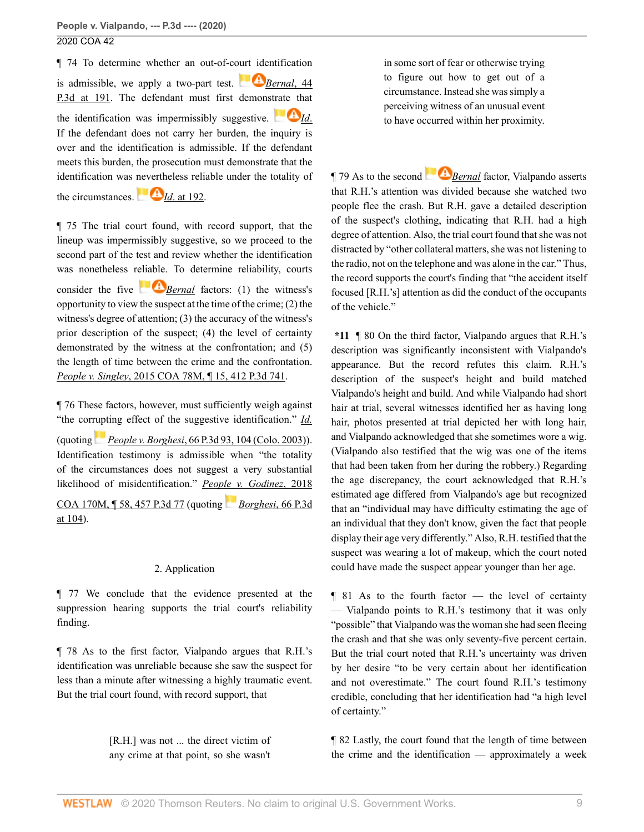¶ 74 To determine whether an out-of-c[ourt ide](https://1.next.westlaw.com/Link/RelatedInformation/Flag?documentGuid=Ia5068b66f53d11d983e7e9deff98dc6f&transitionType=InlineKeyCiteFlags&originationContext=docHeaderFlag&Rank=0&contextData=(sc.Search) )ntification is admissible, we apply a two-part test.  $B$  *[Bernal](http://www.westlaw.com/Link/Document/FullText?findType=Y&serNum=2002185488&pubNum=0004645&originatingDoc=I933b04f06a0911ea81d388262956b33a&refType=RP&fi=co_pp_sp_4645_191&originationContext=document&vr=3.0&rs=cblt1.0&transitionType=DocumentItem&contextData=(sc.Search)#co_pp_sp_4645_191)*, 44 [P.3d at 191.](http://www.westlaw.com/Link/Document/FullText?findType=Y&serNum=2002185488&pubNum=0004645&originatingDoc=I933b04f06a0911ea81d388262956b33a&refType=RP&fi=co_pp_sp_4645_191&originationContext=document&vr=3.0&rs=cblt1.0&transitionType=DocumentItem&contextData=(sc.Search)#co_pp_sp_4645_191) The defendant must first demons[trate th](https://1.next.westlaw.com/Link/RelatedInformation/Flag?documentGuid=Ia5068b66f53d11d983e7e9deff98dc6f&transitionType=InlineKeyCiteFlags&originationContext=docHeaderFlag&Rank=0&contextData=(sc.Search) )at the identification was impermissibly suggestive.  $\bullet$  *[Id](http://www.westlaw.com/Link/Document/FullText?findType=Y&serNum=2002185488&pubNum=0004645&originatingDoc=I933b04f06a0911ea81d388262956b33a&refType=RP&originationContext=document&vr=3.0&rs=cblt1.0&transitionType=DocumentItem&contextData=(sc.Search))*. If the defendant does not carry her burden, the inquiry is over and the identification is admissible. If the defendant meets this burden, the prosecution must demonstrate that the identification was [neverth](https://1.next.westlaw.com/Link/RelatedInformation/Flag?documentGuid=Ia5068b66f53d11d983e7e9deff98dc6f&transitionType=InlineKeyCiteFlags&originationContext=docHeaderFlag&Rank=0&contextData=(sc.Search) )eless reliable under the totality of

the circumstances.  $\blacksquare$  *Id.* at 192.

¶ 75 The trial court found, with record support, that the lineup was impermissibly suggestive, so we proceed to the second part of the test and review whether the identification was nonetheless r[eliable.](https://1.next.westlaw.com/Link/RelatedInformation/Flag?documentGuid=Ia5068b66f53d11d983e7e9deff98dc6f&transitionType=InlineKeyCiteFlags&originationContext=docHeaderFlag&Rank=0&contextData=(sc.Search) ) To determine reliability, courts consider the five **B**<u>[Bernal](http://www.westlaw.com/Link/Document/FullText?findType=Y&serNum=2002185488&pubNum=0004645&originatingDoc=I933b04f06a0911ea81d388262956b33a&refType=RP&originationContext=document&vr=3.0&rs=cblt1.0&transitionType=DocumentItem&contextData=(sc.Search))</u> factors: (1) the witness's opportunity to view the suspect at the time of the crime; (2) the witness's degree of attention; (3) the accuracy of the witness's prior description of the suspect; (4) the level of certainty demonstrated by the witness at the confrontation; and (5) the length of time between the crime and the confrontation. *People v. Singley*[, 2015 COA 78M, ¶ 15, 412 P.3d 741](http://www.westlaw.com/Link/Document/FullText?findType=Y&serNum=2036483221&pubNum=0004645&originatingDoc=I933b04f06a0911ea81d388262956b33a&refType=RP&originationContext=document&vr=3.0&rs=cblt1.0&transitionType=DocumentItem&contextData=(sc.Search)).

¶ 76 These factors, however, must sufficiently weigh against "the cor[rupt](https://1.next.westlaw.com/Link/RelatedInformation/Flag?documentGuid=I5449b87cf59511d9bf60c1d57ebc853e&transitionType=InlineKeyCiteFlags&originationContext=docHeaderFlag&Rank=0&contextData=(sc.Search) )ing effect of the suggestive identification." *[Id.](http://www.westlaw.com/Link/Document/FullText?findType=Y&serNum=2036483221&pubNum=0007780&originatingDoc=I933b04f06a0911ea81d388262956b33a&refType=RP&originationContext=document&vr=3.0&rs=cblt1.0&transitionType=DocumentItem&contextData=(sc.Search))*

(quoting *People v. Borghesi*[, 66 P.3d 93, 104 \(Colo. 2003\)](http://www.westlaw.com/Link/Document/FullText?findType=Y&serNum=2003235215&pubNum=0004645&originatingDoc=I933b04f06a0911ea81d388262956b33a&refType=RP&fi=co_pp_sp_4645_104&originationContext=document&vr=3.0&rs=cblt1.0&transitionType=DocumentItem&contextData=(sc.Search)#co_pp_sp_4645_104)). Identification testimony is admissible when "the totality of the circumstances does not suggest a very substantial likelihood of misidentification." *[People v. Godinez](http://www.westlaw.com/Link/Document/FullText?findType=Y&serNum=2047090506&pubNum=0004645&originatingDoc=I933b04f06a0911ea81d388262956b33a&refType=RP&originationContext=document&vr=3.0&rs=cblt1.0&transitionType=DocumentItem&contextData=(sc.Search))*, 2018

[COA 170M, ¶ 58, 457 P.3d 77](http://www.westlaw.com/Link/Document/FullText?findType=Y&serNum=2047090506&pubNum=0004645&originatingDoc=I933b04f06a0911ea81d388262956b33a&refType=RP&originationContext=document&vr=3.0&rs=cblt1.0&transitionType=DocumentItem&contextData=(sc.Search)) (quoting *[Borghesi](http://www.westlaw.com/Link/Document/FullText?findType=Y&serNum=2003235215&pubNum=0004645&originatingDoc=I933b04f06a0911ea81d388262956b33a&refType=RP&fi=co_pp_sp_4645_104&originationContext=document&vr=3.0&rs=cblt1.0&transitionType=DocumentItem&contextData=(sc.Search)#co_pp_sp_4645_104)*, 66 P.3d [at 104\)](http://www.westlaw.com/Link/Document/FullText?findType=Y&serNum=2003235215&pubNum=0004645&originatingDoc=I933b04f06a0911ea81d388262956b33a&refType=RP&fi=co_pp_sp_4645_104&originationContext=document&vr=3.0&rs=cblt1.0&transitionType=DocumentItem&contextData=(sc.Search)#co_pp_sp_4645_104).

# 2. Application

¶ 77 We conclude that the evidence presented at the suppression hearing supports the trial court's reliability finding.

¶ 78 As to the first factor, Vialpando argues that R.H.'s identification was unreliable because she saw the suspect for less than a minute after witnessing a highly traumatic event. But the trial court found, with record support, that

> [R.H.] was not ... the direct victim of any crime at that point, so she wasn't

in some sort of fear or otherwise trying to figure out how to get out of a circumstance. Instead she was simply a perceiving witness of an unusual event to have occurred within her proximity.

¶ 79 As to the second*[Bernal](http://www.westlaw.com/Link/Document/FullText?findType=Y&serNum=2002185488&pubNum=0004645&originatingDoc=I933b04f06a0911ea81d388262956b33a&refType=RP&originationContext=document&vr=3.0&rs=cblt1.0&transitionType=DocumentItem&contextData=(sc.Search))* factor, Vialpando asserts that R.H.'s attention was divided because she watched two people flee the crash. But R.H. gave a detailed description of the suspect's clothing, indicating that R.H. had a high degree of attention. Also, the trial court found that she was not distracted by "other collateral matters, she was not listening to the radio, not on the telephone and was alone in the car." Thus, the record supports the court's finding that "the accident itself focused [R.H.'s] attention as did the conduct of the occupants of the vehicle."

**\*11** ¶ 80 On the third factor, Vialpando argues that R.H.'s description was significantly inconsistent with Vialpando's appearance. But the record refutes this claim. R.H.'s description of the suspect's height and build matched Vialpando's height and build. And while Vialpando had short hair at trial, several witnesses identified her as having long hair, photos presented at trial depicted her with long hair, and Vialpando acknowledged that she sometimes wore a wig. (Vialpando also testified that the wig was one of the items that had been taken from her during the robbery.) Regarding the age discrepancy, the court acknowledged that R.H.'s estimated age differed from Vialpando's age but recognized that an "individual may have difficulty estimating the age of an individual that they don't know, given the fact that people display their age very differently." Also, R.H. testified that the suspect was wearing a lot of makeup, which the court noted could have made the suspect appear younger than her age.

¶ 81 As to the fourth factor — the level of certainty — Vialpando points to R.H.'s testimony that it was only "possible" that Vialpando was the woman she had seen fleeing the crash and that she was only seventy-five percent certain. But the trial court noted that R.H.'s uncertainty was driven by her desire "to be very certain about her identification and not overestimate." The court found R.H.'s testimony credible, concluding that her identification had "a high level of certainty."

¶ 82 Lastly, the court found that the length of time between the crime and the identification — approximately a week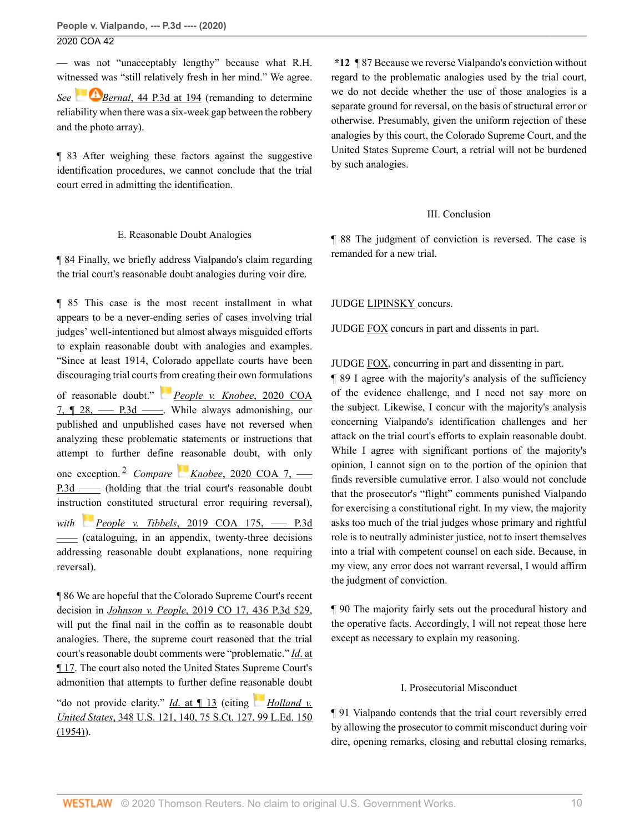— was not "unacceptably lengthy" because what R.H. witnessed was "still relatively fresh in her mind." We agree. *See* **Bernal**[, 44 P.3d at 194](http://www.westlaw.com/Link/Document/FullText?findType=Y&serNum=2002185488&pubNum=0004645&originatingDoc=I933b04f06a0911ea81d388262956b33a&refType=RP&fi=co_pp_sp_4645_194&originationContext=document&vr=3.0&rs=cblt1.0&transitionType=DocumentItem&contextData=(sc.Search)#co_pp_sp_4645_194) (remanding to determine reliability when there was a six-week gap between the robbery and the photo array).

¶ 83 After weighing these factors against the suggestive identification procedures, we cannot conclude that the trial court erred in admitting the identification.

#### E. Reasonable Doubt Analogies

¶ 84 Finally, we briefly address Vialpando's claim regarding the trial court's reasonable doubt analogies during voir dire.

¶ 85 This case is the most recent installment in what appears to be a never-ending series of cases involving trial judges' well-intentioned but almost always misguided efforts to explain reasonable doubt with analogies and examples. "Since at least 1914, Colorado appellate courts have been discouraging trial courts [from](https://1.next.westlaw.com/Link/RelatedInformation/Flag?documentGuid=Ieca6ccc0388d11eaac0ee4466ee51240&transitionType=InlineKeyCiteFlags&originationContext=docHeaderFlag&Rank=0&contextData=(sc.Search) ) creating their own formulations

<span id="page-9-0"></span>of reasonable doubt." *[People v. Knobee](http://www.westlaw.com/Link/Document/FullText?findType=Y&serNum=2050140800&pubNum=0007780&originatingDoc=I933b04f06a0911ea81d388262956b33a&refType=RP&originationContext=document&vr=3.0&rs=cblt1.0&transitionType=DocumentItem&contextData=(sc.Search))*, 2020 COA 7,  $\P$  28, — P.3d — United always admonishing, our published and unpublished cases have not reversed when analyzing these problematic statements or instructions that attempt to further define reasonable doubt, with only one exception. [2](#page-19-1) *Compare Knobee*[, 2020 COA 7, –––](http://www.westlaw.com/Link/Document/FullText?findType=Y&serNum=2050140800&pubNum=0007780&originatingDoc=I933b04f06a0911ea81d388262956b33a&refType=RP&originationContext=document&vr=3.0&rs=cblt1.0&transitionType=DocumentItem&contextData=(sc.Search)) P.3d —– (holding that the trial court's reasonable doubt instruction constituted structural error requiring reversal), *with People v. Tibbels*, 2019 COA 175, - P.3d [––––](http://www.westlaw.com/Link/Document/FullText?findType=Y&serNum=2049705760&pubNum=0007780&originatingDoc=I933b04f06a0911ea81d388262956b33a&refType=RP&originationContext=document&vr=3.0&rs=cblt1.0&transitionType=DocumentItem&contextData=(sc.Search)) (cataloguing, in an appendix, twenty-three decisions addressing reasonable doubt explanations, none requiring reversal).

¶ 86 We are hopeful that the Colorado Supreme Court's recent decision in *Johnson v. People*[, 2019 CO 17, 436 P.3d 529](http://www.westlaw.com/Link/Document/FullText?findType=Y&serNum=2047736056&pubNum=0004645&originatingDoc=I933b04f06a0911ea81d388262956b33a&refType=RP&originationContext=document&vr=3.0&rs=cblt1.0&transitionType=DocumentItem&contextData=(sc.Search)), will put the final nail in the coffin as to reasonable doubt analogies. There, the supreme court reasoned that the trial court's reasonable doubt comments were "problematic." *Id*[. at](http://www.westlaw.com/Link/Document/FullText?findType=Y&serNum=2047736056&pubNum=0007780&originatingDoc=I933b04f06a0911ea81d388262956b33a&refType=RP&originationContext=document&vr=3.0&rs=cblt1.0&transitionType=DocumentItem&contextData=(sc.Search)) [¶ 17.](http://www.westlaw.com/Link/Document/FullText?findType=Y&serNum=2047736056&pubNum=0007780&originatingDoc=I933b04f06a0911ea81d388262956b33a&refType=RP&originationContext=document&vr=3.0&rs=cblt1.0&transitionType=DocumentItem&contextData=(sc.Search)) The court also noted the United States Supreme Court's admonition that attempts to further define rea[son](https://1.next.westlaw.com/Link/RelatedInformation/Flag?documentGuid=I236e3f8a9c1e11d9bdd1cfdd544ca3a4&transitionType=InlineKeyCiteFlags&originationContext=docHeaderFlag&Rank=0&contextData=(sc.Search) )able doubt

"do not provide clarity." *Id.* at 13 (citing *[Holland v.](http://www.westlaw.com/Link/Document/FullText?findType=Y&serNum=1954118568&pubNum=0000780&originatingDoc=I933b04f06a0911ea81d388262956b33a&refType=RP&fi=co_pp_sp_780_140&originationContext=document&vr=3.0&rs=cblt1.0&transitionType=DocumentItem&contextData=(sc.Search)#co_pp_sp_780_140) United States*[, 348 U.S. 121, 140, 75 S.Ct. 127, 99 L.Ed. 150](http://www.westlaw.com/Link/Document/FullText?findType=Y&serNum=1954118568&pubNum=0000780&originatingDoc=I933b04f06a0911ea81d388262956b33a&refType=RP&fi=co_pp_sp_780_140&originationContext=document&vr=3.0&rs=cblt1.0&transitionType=DocumentItem&contextData=(sc.Search)#co_pp_sp_780_140) [\(1954\)\)](http://www.westlaw.com/Link/Document/FullText?findType=Y&serNum=1954118568&pubNum=0000780&originatingDoc=I933b04f06a0911ea81d388262956b33a&refType=RP&fi=co_pp_sp_780_140&originationContext=document&vr=3.0&rs=cblt1.0&transitionType=DocumentItem&contextData=(sc.Search)#co_pp_sp_780_140).

**\*12** ¶ 87 Because we reverse Vialpando's conviction without regard to the problematic analogies used by the trial court, we do not decide whether the use of those analogies is a separate ground for reversal, on the basis of structural error or otherwise. Presumably, given the uniform rejection of these analogies by this court, the Colorado Supreme Court, and the United States Supreme Court, a retrial will not be burdened by such analogies.

## III. Conclusion

¶ 88 The judgment of conviction is reversed. The case is remanded for a new trial.

## JUDGE [LIPINSKY](http://www.westlaw.com/Link/Document/FullText?findType=h&pubNum=176284&cite=0513564901&originatingDoc=I933b04f06a0911ea81d388262956b33a&refType=RQ&originationContext=document&vr=3.0&rs=cblt1.0&transitionType=DocumentItem&contextData=(sc.Search)) concurs.

JUDGE [FOX](http://www.westlaw.com/Link/Document/FullText?findType=h&pubNum=176284&cite=0365529801&originatingDoc=I933b04f06a0911ea81d388262956b33a&refType=RQ&originationContext=document&vr=3.0&rs=cblt1.0&transitionType=DocumentItem&contextData=(sc.Search)) concurs in part and dissents in part.

JUDGE [FOX](http://www.westlaw.com/Link/Document/FullText?findType=h&pubNum=176284&cite=0365529801&originatingDoc=I933b04f06a0911ea81d388262956b33a&refType=RQ&originationContext=document&vr=3.0&rs=cblt1.0&transitionType=DocumentItem&contextData=(sc.Search)), concurring in part and dissenting in part.

¶ 89 I agree with the majority's analysis of the sufficiency of the evidence challenge, and I need not say more on the subject. Likewise, I concur with the majority's analysis concerning Vialpando's identification challenges and her attack on the trial court's efforts to explain reasonable doubt. While I agree with significant portions of the majority's opinion, I cannot sign on to the portion of the opinion that finds reversible cumulative error. I also would not conclude that the prosecutor's "flight" comments punished Vialpando for exercising a constitutional right. In my view, the majority asks too much of the trial judges whose primary and rightful role is to neutrally administer justice, not to insert themselves into a trial with competent counsel on each side. Because, in my view, any error does not warrant reversal, I would affirm the judgment of conviction.

¶ 90 The majority fairly sets out the procedural history and the operative facts. Accordingly, I will not repeat those here except as necessary to explain my reasoning.

## I. Prosecutorial Misconduct

¶ 91 Vialpando contends that the trial court reversibly erred by allowing the prosecutor to commit misconduct during voir dire, opening remarks, closing and rebuttal closing remarks,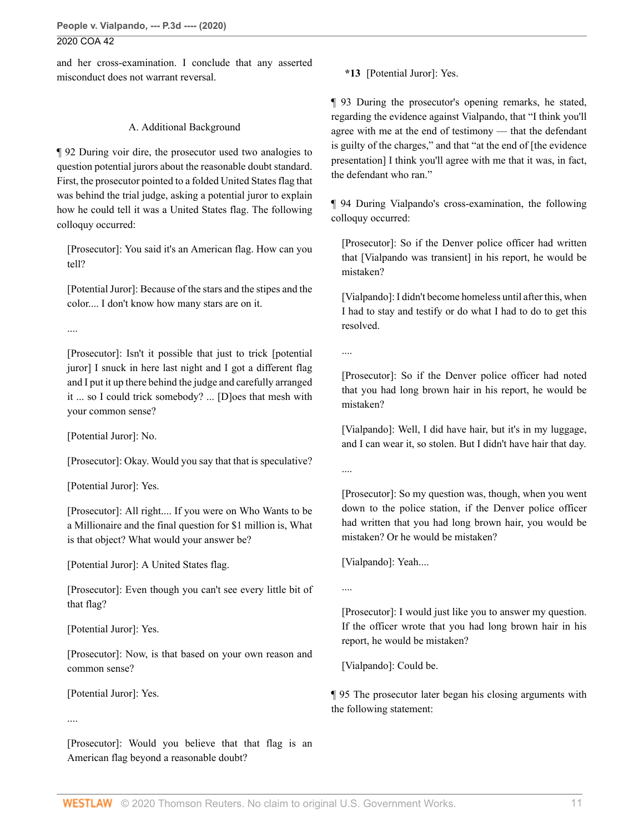and her cross-examination. I conclude that any asserted misconduct does not warrant reversal.

## A. Additional Background

¶ 92 During voir dire, the prosecutor used two analogies to question potential jurors about the reasonable doubt standard. First, the prosecutor pointed to a folded United States flag that was behind the trial judge, asking a potential juror to explain how he could tell it was a United States flag. The following colloquy occurred:

[Prosecutor]: You said it's an American flag. How can you tell?

[Potential Juror]: Because of the stars and the stipes and the color.... I don't know how many stars are on it.

....

[Prosecutor]: Isn't it possible that just to trick [potential juror] I snuck in here last night and I got a different flag and I put it up there behind the judge and carefully arranged it ... so I could trick somebody? ... [D]oes that mesh with your common sense?

[Potential Juror]: No.

[Prosecutor]: Okay. Would you say that that is speculative?

[Potential Juror]: Yes.

[Prosecutor]: All right.... If you were on Who Wants to be a Millionaire and the final question for \$1 million is, What is that object? What would your answer be?

[Potential Juror]: A United States flag.

[Prosecutor]: Even though you can't see every little bit of that flag?

[Potential Juror]: Yes.

[Prosecutor]: Now, is that based on your own reason and common sense?

[Potential Juror]: Yes.

....

[Prosecutor]: Would you believe that that flag is an American flag beyond a reasonable doubt?

**\*13** [Potential Juror]: Yes.

¶ 93 During the prosecutor's opening remarks, he stated, regarding the evidence against Vialpando, that "I think you'll agree with me at the end of testimony — that the defendant is guilty of the charges," and that "at the end of [the evidence presentation] I think you'll agree with me that it was, in fact, the defendant who ran."

¶ 94 During Vialpando's cross-examination, the following colloquy occurred:

[Prosecutor]: So if the Denver police officer had written that [Vialpando was transient] in his report, he would be mistaken?

[Vialpando]: I didn't become homeless until after this, when I had to stay and testify or do what I had to do to get this resolved.

....

[Prosecutor]: So if the Denver police officer had noted that you had long brown hair in his report, he would be mistaken?

[Vialpando]: Well, I did have hair, but it's in my luggage, and I can wear it, so stolen. But I didn't have hair that day.

....

[Prosecutor]: So my question was, though, when you went down to the police station, if the Denver police officer had written that you had long brown hair, you would be mistaken? Or he would be mistaken?

[Vialpando]: Yeah....

....

[Prosecutor]: I would just like you to answer my question. If the officer wrote that you had long brown hair in his report, he would be mistaken?

[Vialpando]: Could be.

¶ 95 The prosecutor later began his closing arguments with the following statement: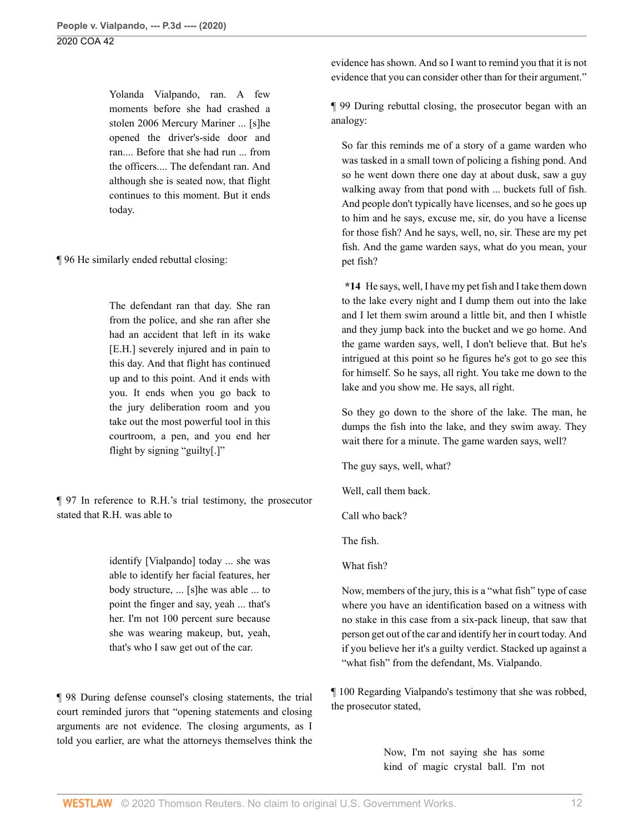Yolanda Vialpando, ran. A few moments before she had crashed a stolen 2006 Mercury Mariner ... [s]he opened the driver's-side door and ran.... Before that she had run ... from the officers.... The defendant ran. And although she is seated now, that flight continues to this moment. But it ends today.

¶ 96 He similarly ended rebuttal closing:

The defendant ran that day. She ran from the police, and she ran after she had an accident that left in its wake [E.H.] severely injured and in pain to this day. And that flight has continued up and to this point. And it ends with you. It ends when you go back to the jury deliberation room and you take out the most powerful tool in this courtroom, a pen, and you end her flight by signing "guilty[.]"

¶ 97 In reference to R.H.'s trial testimony, the prosecutor stated that R.H. was able to

> identify [Vialpando] today ... she was able to identify her facial features, her body structure, ... [s]he was able ... to point the finger and say, yeah ... that's her. I'm not 100 percent sure because she was wearing makeup, but, yeah, that's who I saw get out of the car.

¶ 98 During defense counsel's closing statements, the trial court reminded jurors that "opening statements and closing arguments are not evidence. The closing arguments, as I told you earlier, are what the attorneys themselves think the evidence has shown. And so I want to remind you that it is not evidence that you can consider other than for their argument."

¶ 99 During rebuttal closing, the prosecutor began with an analogy:

So far this reminds me of a story of a game warden who was tasked in a small town of policing a fishing pond. And so he went down there one day at about dusk, saw a guy walking away from that pond with ... buckets full of fish. And people don't typically have licenses, and so he goes up to him and he says, excuse me, sir, do you have a license for those fish? And he says, well, no, sir. These are my pet fish. And the game warden says, what do you mean, your pet fish?

**\*14** He says, well, I have my pet fish and I take them down to the lake every night and I dump them out into the lake and I let them swim around a little bit, and then I whistle and they jump back into the bucket and we go home. And the game warden says, well, I don't believe that. But he's intrigued at this point so he figures he's got to go see this for himself. So he says, all right. You take me down to the lake and you show me. He says, all right.

So they go down to the shore of the lake. The man, he dumps the fish into the lake, and they swim away. They wait there for a minute. The game warden says, well?

The guy says, well, what?

Well, call them back.

Call who back?

The fish.

What fish?

Now, members of the jury, this is a "what fish" type of case where you have an identification based on a witness with no stake in this case from a six-pack lineup, that saw that person get out of the car and identify her in court today. And if you believe her it's a guilty verdict. Stacked up against a "what fish" from the defendant, Ms. Vialpando.

¶ 100 Regarding Vialpando's testimony that she was robbed, the prosecutor stated,

> Now, I'm not saying she has some kind of magic crystal ball. I'm not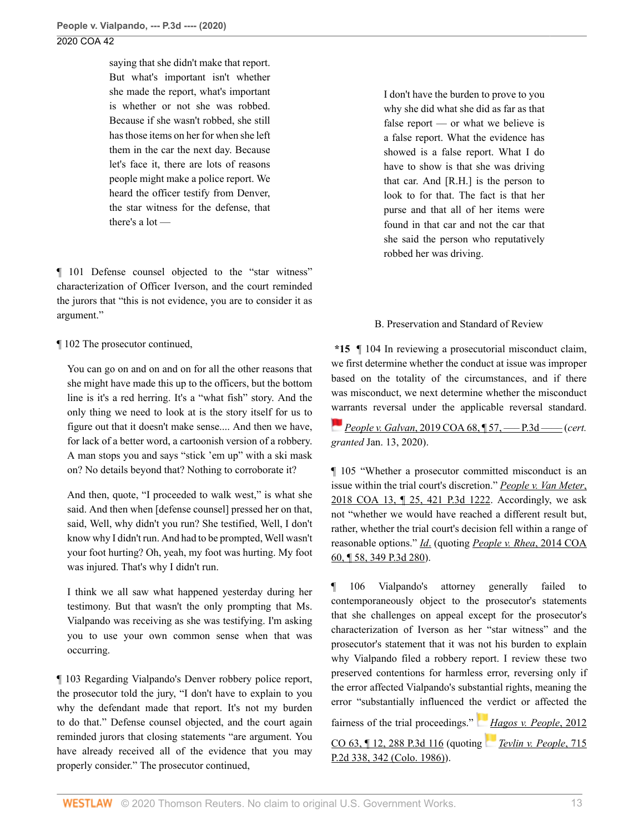saying that she didn't make that report. But what's important isn't whether she made the report, what's important is whether or not she was robbed. Because if she wasn't robbed, she still has those items on her for when she left them in the car the next day. Because let's face it, there are lots of reasons people might make a police report. We heard the officer testify from Denver, the star witness for the defense, that there's a lot —

¶ 101 Defense counsel objected to the "star witness" characterization of Officer Iverson, and the court reminded the jurors that "this is not evidence, you are to consider it as argument."

¶ 102 The prosecutor continued,

You can go on and on and on for all the other reasons that she might have made this up to the officers, but the bottom line is it's a red herring. It's a "what fish" story. And the only thing we need to look at is the story itself for us to figure out that it doesn't make sense.... And then we have, for lack of a better word, a cartoonish version of a robbery. A man stops you and says "stick 'em up" with a ski mask on? No details beyond that? Nothing to corroborate it?

And then, quote, "I proceeded to walk west," is what she said. And then when [defense counsel] pressed her on that, said, Well, why didn't you run? She testified, Well, I don't know why I didn't run. And had to be prompted, Well wasn't your foot hurting? Oh, yeah, my foot was hurting. My foot was injured. That's why I didn't run.

I think we all saw what happened yesterday during her testimony. But that wasn't the only prompting that Ms. Vialpando was receiving as she was testifying. I'm asking you to use your own common sense when that was occurring.

¶ 103 Regarding Vialpando's Denver robbery police report, the prosecutor told the jury, "I don't have to explain to you why the defendant made that report. It's not my burden to do that." Defense counsel objected, and the court again reminded jurors that closing statements "are argument. You have already received all of the evidence that you may properly consider." The prosecutor continued,

I don't have the burden to prove to you why she did what she did as far as that false report — or what we believe is a false report. What the evidence has showed is a false report. What I do have to show is that she was driving that car. And [R.H.] is the person to look to for that. The fact is that her purse and that all of her items were found in that car and not the car that she said the person who reputatively robbed her was driving.

## B. Preservation and Standard of Review

**\*15** ¶ 104 In reviewing a prosecutorial misconduct claim, we first determine whether the conduct at issue was improper based on the totality of the circumstances, and if there was misconduct, we next determine whether the misconduct [war](https://1.next.westlaw.com/Link/RelatedInformation/Flag?documentGuid=I7e392320729811e9bd0ba8207862fe83&transitionType=InlineKeyCiteFlags&originationContext=docHeaderFlag&Rank=0&contextData=(sc.Search) )rants reversal under the applicable reversal standard.

*People v. Galvan*[, 2019 COA 68, ¶ 57, ––– P.3d ––––](http://www.westlaw.com/Link/Document/FullText?findType=Y&serNum=2048234622&pubNum=0007780&originatingDoc=I933b04f06a0911ea81d388262956b33a&refType=RP&originationContext=document&vr=3.0&rs=cblt1.0&transitionType=DocumentItem&contextData=(sc.Search)) (*cert. granted* Jan. 13, 2020).

¶ 105 "Whether a prosecutor committed misconduct is an issue within the trial court's discretion." *[People v. Van Meter](http://www.westlaw.com/Link/Document/FullText?findType=Y&serNum=2043776406&pubNum=0004645&originatingDoc=I933b04f06a0911ea81d388262956b33a&refType=RP&originationContext=document&vr=3.0&rs=cblt1.0&transitionType=DocumentItem&contextData=(sc.Search))*, [2018 COA 13, ¶ 25, 421 P.3d 1222](http://www.westlaw.com/Link/Document/FullText?findType=Y&serNum=2043776406&pubNum=0004645&originatingDoc=I933b04f06a0911ea81d388262956b33a&refType=RP&originationContext=document&vr=3.0&rs=cblt1.0&transitionType=DocumentItem&contextData=(sc.Search)). Accordingly, we ask not "whether we would have reached a different result but, rather, whether the trial court's decision fell within a range of reasonable options." *[Id](http://www.westlaw.com/Link/Document/FullText?findType=Y&serNum=2043776406&pubNum=0007780&originatingDoc=I933b04f06a0911ea81d388262956b33a&refType=RP&originationContext=document&vr=3.0&rs=cblt1.0&transitionType=DocumentItem&contextData=(sc.Search))*. (quoting *[People v. Rhea](http://www.westlaw.com/Link/Document/FullText?findType=Y&serNum=2033349184&pubNum=0004645&originatingDoc=I933b04f06a0911ea81d388262956b33a&refType=RP&originationContext=document&vr=3.0&rs=cblt1.0&transitionType=DocumentItem&contextData=(sc.Search))*, 2014 COA [60, ¶ 58, 349 P.3d 280\)](http://www.westlaw.com/Link/Document/FullText?findType=Y&serNum=2033349184&pubNum=0004645&originatingDoc=I933b04f06a0911ea81d388262956b33a&refType=RP&originationContext=document&vr=3.0&rs=cblt1.0&transitionType=DocumentItem&contextData=(sc.Search)).

¶ 106 Vialpando's attorney generally failed to contemporaneously object to the prosecutor's statements that she challenges on appeal except for the prosecutor's characterization of Iverson as her "star witness" and the prosecutor's statement that it was not his burden to explain why Vialpando filed a robbery report. I review these two preserved contentions for harmless error, reversing only if the error affected Vialpando's substantial rights, meaning the error "substantially influenced t[he v](https://1.next.westlaw.com/Link/RelatedInformation/Flag?documentGuid=I7b72f870281611e28757b822cf994add&transitionType=InlineKeyCiteFlags&originationContext=docHeaderFlag&Rank=0&contextData=(sc.Search) )erdict or affected the

fairness of the trial proceedings." *[Hagos v. People](http://www.westlaw.com/Link/Document/FullText?findType=Y&serNum=2029140604&pubNum=0004645&originatingDoc=I933b04f06a0911ea81d388262956b33a&refType=RP&originationContext=document&vr=3.0&rs=cblt1.0&transitionType=DocumentItem&contextData=(sc.Search))*, 2012

[CO 63, ¶ 12, 288 P.3d 116](http://www.westlaw.com/Link/Document/FullText?findType=Y&serNum=2029140604&pubNum=0004645&originatingDoc=I933b04f06a0911ea81d388262956b33a&refType=RP&originationContext=document&vr=3.0&rs=cblt1.0&transitionType=DocumentItem&contextData=(sc.Search)) (quoting *[Tevlin v. People](http://www.westlaw.com/Link/Document/FullText?findType=Y&serNum=1986112577&pubNum=0000661&originatingDoc=I933b04f06a0911ea81d388262956b33a&refType=RP&fi=co_pp_sp_661_342&originationContext=document&vr=3.0&rs=cblt1.0&transitionType=DocumentItem&contextData=(sc.Search)#co_pp_sp_661_342)*, 715 [P.2d 338, 342 \(Colo. 1986\)](http://www.westlaw.com/Link/Document/FullText?findType=Y&serNum=1986112577&pubNum=0000661&originatingDoc=I933b04f06a0911ea81d388262956b33a&refType=RP&fi=co_pp_sp_661_342&originationContext=document&vr=3.0&rs=cblt1.0&transitionType=DocumentItem&contextData=(sc.Search)#co_pp_sp_661_342)).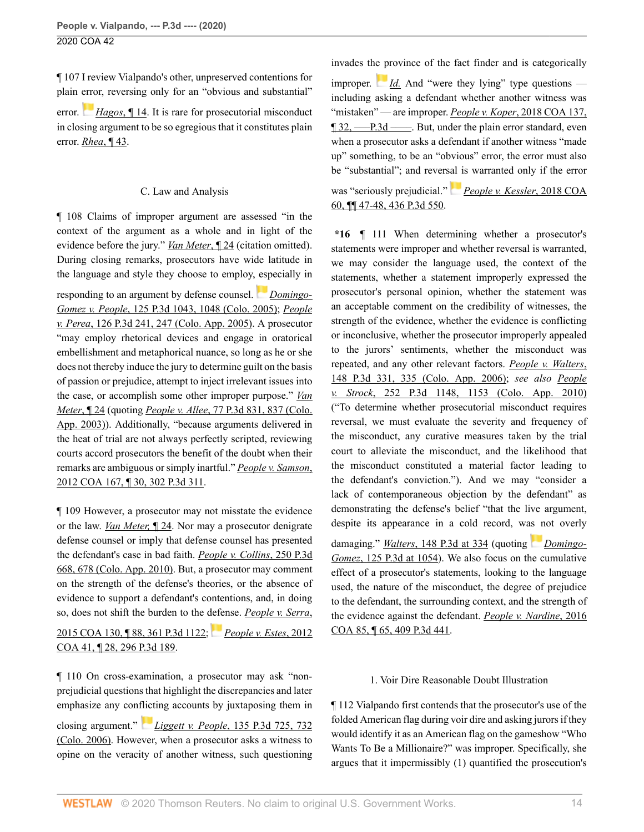¶ 107 I review Vialpando's other, unpreserved contentions for plain [erro](https://1.next.westlaw.com/Link/RelatedInformation/Flag?documentGuid=I7b72f870281611e28757b822cf994add&transitionType=InlineKeyCiteFlags&originationContext=docHeaderFlag&Rank=0&contextData=(sc.Search) )r, reversing only for an "obvious and substantial"

error. *[Hagos](http://www.westlaw.com/Link/Document/FullText?findType=Y&serNum=2029140604&pubNum=0007779&originatingDoc=I933b04f06a0911ea81d388262956b33a&refType=RP&originationContext=document&vr=3.0&rs=cblt1.0&transitionType=DocumentItem&contextData=(sc.Search))*, ¶ 14. It is rare for prosecutorial misconduct in closing argument to be so egregious that it constitutes plain error. *Rhea*[, ¶ 43](http://www.westlaw.com/Link/Document/FullText?findType=Y&serNum=2033349184&originatingDoc=I933b04f06a0911ea81d388262956b33a&refType=RP&originationContext=document&vr=3.0&rs=cblt1.0&transitionType=DocumentItem&contextData=(sc.Search)).

## C. Law and Analysis

¶ 108 Claims of improper argument are assessed "in the context of the argument as a whole and in light of the evidence before the jury." *[Van Meter](http://www.westlaw.com/Link/Document/FullText?findType=Y&serNum=2043776406&pubNum=0007780&originatingDoc=I933b04f06a0911ea81d388262956b33a&refType=RP&originationContext=document&vr=3.0&rs=cblt1.0&transitionType=DocumentItem&contextData=(sc.Search))*, ¶ 24 (citation omitted). During closing remarks, prosecutors have wide latitude in the language and style they choose to employ, [esp](https://1.next.westlaw.com/Link/RelatedInformation/Flag?documentGuid=I8fddc2b470ce11daa20eccddde63d628&transitionType=InlineKeyCiteFlags&originationContext=docHeaderFlag&Rank=0&contextData=(sc.Search) )ecially in

responding to an argument by defense counsel. *[Domingo-](http://www.westlaw.com/Link/Document/FullText?findType=Y&serNum=2007908950&pubNum=0004645&originatingDoc=I933b04f06a0911ea81d388262956b33a&refType=RP&fi=co_pp_sp_4645_1048&originationContext=document&vr=3.0&rs=cblt1.0&transitionType=DocumentItem&contextData=(sc.Search)#co_pp_sp_4645_1048)Gomez v. People*[, 125 P.3d 1043, 1048 \(Colo. 2005\);](http://www.westlaw.com/Link/Document/FullText?findType=Y&serNum=2007908950&pubNum=0004645&originatingDoc=I933b04f06a0911ea81d388262956b33a&refType=RP&fi=co_pp_sp_4645_1048&originationContext=document&vr=3.0&rs=cblt1.0&transitionType=DocumentItem&contextData=(sc.Search)#co_pp_sp_4645_1048) *[People](http://www.westlaw.com/Link/Document/FullText?findType=Y&serNum=2007047168&pubNum=0004645&originatingDoc=I933b04f06a0911ea81d388262956b33a&refType=RP&fi=co_pp_sp_4645_247&originationContext=document&vr=3.0&rs=cblt1.0&transitionType=DocumentItem&contextData=(sc.Search)#co_pp_sp_4645_247) v. Perea*[, 126 P.3d 241, 247 \(Colo. App. 2005\).](http://www.westlaw.com/Link/Document/FullText?findType=Y&serNum=2007047168&pubNum=0004645&originatingDoc=I933b04f06a0911ea81d388262956b33a&refType=RP&fi=co_pp_sp_4645_247&originationContext=document&vr=3.0&rs=cblt1.0&transitionType=DocumentItem&contextData=(sc.Search)#co_pp_sp_4645_247) A prosecutor "may employ rhetorical devices and engage in oratorical embellishment and metaphorical nuance, so long as he or she does not thereby induce the jury to determine guilt on the basis of passion or prejudice, attempt to inject irrelevant issues into the case, or accomplish some other improper purpose." *[Van](http://www.westlaw.com/Link/Document/FullText?findType=Y&serNum=2043776406&pubNum=0007780&originatingDoc=I933b04f06a0911ea81d388262956b33a&refType=RP&originationContext=document&vr=3.0&rs=cblt1.0&transitionType=DocumentItem&contextData=(sc.Search)) [Meter](http://www.westlaw.com/Link/Document/FullText?findType=Y&serNum=2043776406&pubNum=0007780&originatingDoc=I933b04f06a0911ea81d388262956b33a&refType=RP&originationContext=document&vr=3.0&rs=cblt1.0&transitionType=DocumentItem&contextData=(sc.Search))*, ¶ 24 (quoting *People v. Allee*[, 77 P.3d 831, 837 \(Colo.](http://www.westlaw.com/Link/Document/FullText?findType=Y&serNum=2003275785&pubNum=0004645&originatingDoc=I933b04f06a0911ea81d388262956b33a&refType=RP&fi=co_pp_sp_4645_837&originationContext=document&vr=3.0&rs=cblt1.0&transitionType=DocumentItem&contextData=(sc.Search)#co_pp_sp_4645_837) [App. 2003\)](http://www.westlaw.com/Link/Document/FullText?findType=Y&serNum=2003275785&pubNum=0004645&originatingDoc=I933b04f06a0911ea81d388262956b33a&refType=RP&fi=co_pp_sp_4645_837&originationContext=document&vr=3.0&rs=cblt1.0&transitionType=DocumentItem&contextData=(sc.Search)#co_pp_sp_4645_837)). Additionally, "because arguments delivered in the heat of trial are not always perfectly scripted, reviewing courts accord prosecutors the benefit of the doubt when their remarks are ambiguous or simply inartful." *[People v. Samson](http://www.westlaw.com/Link/Document/FullText?findType=Y&serNum=2028832112&pubNum=0004645&originatingDoc=I933b04f06a0911ea81d388262956b33a&refType=RP&originationContext=document&vr=3.0&rs=cblt1.0&transitionType=DocumentItem&contextData=(sc.Search))*, [2012 COA 167, ¶ 30, 302 P.3d 311.](http://www.westlaw.com/Link/Document/FullText?findType=Y&serNum=2028832112&pubNum=0004645&originatingDoc=I933b04f06a0911ea81d388262956b33a&refType=RP&originationContext=document&vr=3.0&rs=cblt1.0&transitionType=DocumentItem&contextData=(sc.Search))

¶ 109 However, a prosecutor may not misstate the evidence or the law. *[Van Meter,](http://www.westlaw.com/Link/Document/FullText?findType=Y&serNum=2043776406&pubNum=0007780&originatingDoc=I933b04f06a0911ea81d388262956b33a&refType=RP&originationContext=document&vr=3.0&rs=cblt1.0&transitionType=DocumentItem&contextData=(sc.Search))* ¶ 24. Nor may a prosecutor denigrate defense counsel or imply that defense counsel has presented the defendant's case in bad faith. *[People v. Collins](http://www.westlaw.com/Link/Document/FullText?findType=Y&serNum=2021370100&pubNum=0004645&originatingDoc=I933b04f06a0911ea81d388262956b33a&refType=RP&fi=co_pp_sp_4645_678&originationContext=document&vr=3.0&rs=cblt1.0&transitionType=DocumentItem&contextData=(sc.Search)#co_pp_sp_4645_678)*, 250 P.3d [668, 678 \(Colo. App. 2010\)](http://www.westlaw.com/Link/Document/FullText?findType=Y&serNum=2021370100&pubNum=0004645&originatingDoc=I933b04f06a0911ea81d388262956b33a&refType=RP&fi=co_pp_sp_4645_678&originationContext=document&vr=3.0&rs=cblt1.0&transitionType=DocumentItem&contextData=(sc.Search)#co_pp_sp_4645_678). But, a prosecutor may comment on the strength of the defense's theories, or the absence of evidence to support a defendant's contentions, and, in doing so, does not shift the burden to the [defe](https://1.next.westlaw.com/Link/RelatedInformation/Flag?documentGuid=I8db1791f6ee511e196ddf76f9be2cc49&transitionType=InlineKeyCiteFlags&originationContext=docHeaderFlag&Rank=0&contextData=(sc.Search) )nse. *[People v. Serra](http://www.westlaw.com/Link/Document/FullText?findType=Y&serNum=2037237958&pubNum=0004645&originatingDoc=I933b04f06a0911ea81d388262956b33a&refType=RP&originationContext=document&vr=3.0&rs=cblt1.0&transitionType=DocumentItem&contextData=(sc.Search))*,

[2015 COA 130, ¶ 88, 361 P.3d 1122;](http://www.westlaw.com/Link/Document/FullText?findType=Y&serNum=2037237958&pubNum=0004645&originatingDoc=I933b04f06a0911ea81d388262956b33a&refType=RP&originationContext=document&vr=3.0&rs=cblt1.0&transitionType=DocumentItem&contextData=(sc.Search)) *[People v. Estes](http://www.westlaw.com/Link/Document/FullText?findType=Y&serNum=2027323163&pubNum=0004645&originatingDoc=I933b04f06a0911ea81d388262956b33a&refType=RP&originationContext=document&vr=3.0&rs=cblt1.0&transitionType=DocumentItem&contextData=(sc.Search))*, 2012 [COA 41, ¶ 28, 296 P.3d 189.](http://www.westlaw.com/Link/Document/FullText?findType=Y&serNum=2027323163&pubNum=0004645&originatingDoc=I933b04f06a0911ea81d388262956b33a&refType=RP&originationContext=document&vr=3.0&rs=cblt1.0&transitionType=DocumentItem&contextData=(sc.Search))

¶ 110 On cross-examination, a prosecutor may ask "nonprejudicial questions that highlight the discrepancies and later emphasize any con[flict](https://1.next.westlaw.com/Link/RelatedInformation/Flag?documentGuid=I4c1ab3b6e41711da8b56def3c325596e&transitionType=InlineKeyCiteFlags&originationContext=docHeaderFlag&Rank=0&contextData=(sc.Search) )ing accounts by juxtaposing them in closing argument." *Liggett v. People*[, 135 P.3d 725, 732](http://www.westlaw.com/Link/Document/FullText?findType=Y&serNum=2009156830&pubNum=0004645&originatingDoc=I933b04f06a0911ea81d388262956b33a&refType=RP&fi=co_pp_sp_4645_732&originationContext=document&vr=3.0&rs=cblt1.0&transitionType=DocumentItem&contextData=(sc.Search)#co_pp_sp_4645_732) [\(Colo. 2006\)](http://www.westlaw.com/Link/Document/FullText?findType=Y&serNum=2009156830&pubNum=0004645&originatingDoc=I933b04f06a0911ea81d388262956b33a&refType=RP&fi=co_pp_sp_4645_732&originationContext=document&vr=3.0&rs=cblt1.0&transitionType=DocumentItem&contextData=(sc.Search)#co_pp_sp_4645_732). However, when a prosecutor asks a witness to opine on the veracity of another witness, such questioning invades th[e p](https://1.next.westlaw.com/Link/RelatedInformation/Flag?documentGuid=I4c1ab3b6e41711da8b56def3c325596e&transitionType=InlineKeyCiteFlags&originationContext=docHeaderFlag&Rank=0&contextData=(sc.Search) )rovince of the fact finder and is categorically improper.  $Id$ . And "were they lying" type questions including asking a defendant whether another witness was "mistaken" — are improper. *People v. Koper*[, 2018 COA 137,](http://www.westlaw.com/Link/Document/FullText?findType=Y&serNum=2045548817&pubNum=0007780&originatingDoc=I933b04f06a0911ea81d388262956b33a&refType=RP&originationContext=document&vr=3.0&rs=cblt1.0&transitionType=DocumentItem&contextData=(sc.Search)) [¶ 32, –––P.3d ––––](http://www.westlaw.com/Link/Document/FullText?findType=Y&serNum=2045548817&pubNum=0007780&originatingDoc=I933b04f06a0911ea81d388262956b33a&refType=RP&originationContext=document&vr=3.0&rs=cblt1.0&transitionType=DocumentItem&contextData=(sc.Search)). But, under the plain error standard, even when a prosecutor asks a defendant if another witness "made up" something, to be an "obvious" error, the error must also be "substantial"; and revers[al i](https://1.next.westlaw.com/Link/RelatedInformation/Flag?documentGuid=Ic9aca0704f0311e8ab5389d3771bc525&transitionType=InlineKeyCiteFlags&originationContext=docHeaderFlag&Rank=0&contextData=(sc.Search) )s warranted only if the error

was "seriously prejudicial." *[People v. Kessler](http://www.westlaw.com/Link/Document/FullText?findType=Y&serNum=2044458517&pubNum=0004645&originatingDoc=I933b04f06a0911ea81d388262956b33a&refType=RP&originationContext=document&vr=3.0&rs=cblt1.0&transitionType=DocumentItem&contextData=(sc.Search))*, 2018 COA [60, ¶¶ 47-48, 436 P.3d 550.](http://www.westlaw.com/Link/Document/FullText?findType=Y&serNum=2044458517&pubNum=0004645&originatingDoc=I933b04f06a0911ea81d388262956b33a&refType=RP&originationContext=document&vr=3.0&rs=cblt1.0&transitionType=DocumentItem&contextData=(sc.Search))

**\*16** ¶ 111 When determining whether a prosecutor's statements were improper and whether reversal is warranted, we may consider the language used, the context of the statements, whether a statement improperly expressed the prosecutor's personal opinion, whether the statement was an acceptable comment on the credibility of witnesses, the strength of the evidence, whether the evidence is conflicting or inconclusive, whether the prosecutor improperly appealed to the jurors' sentiments, whether the misconduct was repeated, and any other relevant factors. *[People v. Walters](http://www.westlaw.com/Link/Document/FullText?findType=Y&serNum=2009542973&pubNum=0004645&originatingDoc=I933b04f06a0911ea81d388262956b33a&refType=RP&fi=co_pp_sp_4645_335&originationContext=document&vr=3.0&rs=cblt1.0&transitionType=DocumentItem&contextData=(sc.Search)#co_pp_sp_4645_335)*, [148 P.3d 331, 335 \(Colo. App. 2006\)](http://www.westlaw.com/Link/Document/FullText?findType=Y&serNum=2009542973&pubNum=0004645&originatingDoc=I933b04f06a0911ea81d388262956b33a&refType=RP&fi=co_pp_sp_4645_335&originationContext=document&vr=3.0&rs=cblt1.0&transitionType=DocumentItem&contextData=(sc.Search)#co_pp_sp_4645_335); *see also [People](http://www.westlaw.com/Link/Document/FullText?findType=Y&serNum=2022800269&pubNum=0004645&originatingDoc=I933b04f06a0911ea81d388262956b33a&refType=RP&fi=co_pp_sp_4645_1153&originationContext=document&vr=3.0&rs=cblt1.0&transitionType=DocumentItem&contextData=(sc.Search)#co_pp_sp_4645_1153) v. Strock*[, 252 P.3d 1148, 1153 \(Colo. App. 2010\)](http://www.westlaw.com/Link/Document/FullText?findType=Y&serNum=2022800269&pubNum=0004645&originatingDoc=I933b04f06a0911ea81d388262956b33a&refType=RP&fi=co_pp_sp_4645_1153&originationContext=document&vr=3.0&rs=cblt1.0&transitionType=DocumentItem&contextData=(sc.Search)#co_pp_sp_4645_1153) ("To determine whether prosecutorial misconduct requires reversal, we must evaluate the severity and frequency of the misconduct, any curative measures taken by the trial court to alleviate the misconduct, and the likelihood that the misconduct constituted a material factor leading to the defendant's conviction."). And we may "consider a lack of contemporaneous objection by the defendant" as demonstrating the defense's belief "that the live argument, despite its appearance in a cold record, wa[s n](https://1.next.westlaw.com/Link/RelatedInformation/Flag?documentGuid=I8fddc2b470ce11daa20eccddde63d628&transitionType=InlineKeyCiteFlags&originationContext=docHeaderFlag&Rank=0&contextData=(sc.Search) )ot overly

damaging." *Walters*[, 148 P.3d at 334](http://www.westlaw.com/Link/Document/FullText?findType=Y&serNum=2009542973&pubNum=0004645&originatingDoc=I933b04f06a0911ea81d388262956b33a&refType=RP&fi=co_pp_sp_4645_334&originationContext=document&vr=3.0&rs=cblt1.0&transitionType=DocumentItem&contextData=(sc.Search)#co_pp_sp_4645_334) (quoting *[Domingo-](http://www.westlaw.com/Link/Document/FullText?findType=Y&serNum=2007908950&pubNum=0004645&originatingDoc=I933b04f06a0911ea81d388262956b33a&refType=RP&fi=co_pp_sp_4645_1054&originationContext=document&vr=3.0&rs=cblt1.0&transitionType=DocumentItem&contextData=(sc.Search)#co_pp_sp_4645_1054)Gomez*[, 125 P.3d at 1054\)](http://www.westlaw.com/Link/Document/FullText?findType=Y&serNum=2007908950&pubNum=0004645&originatingDoc=I933b04f06a0911ea81d388262956b33a&refType=RP&fi=co_pp_sp_4645_1054&originationContext=document&vr=3.0&rs=cblt1.0&transitionType=DocumentItem&contextData=(sc.Search)#co_pp_sp_4645_1054). We also focus on the cumulative effect of a prosecutor's statements, looking to the language used, the nature of the misconduct, the degree of prejudice to the defendant, the surrounding context, and the strength of the evidence against the defendant. *[People v. Nardine](http://www.westlaw.com/Link/Document/FullText?findType=Y&serNum=2038989684&pubNum=0004645&originatingDoc=I933b04f06a0911ea81d388262956b33a&refType=RP&originationContext=document&vr=3.0&rs=cblt1.0&transitionType=DocumentItem&contextData=(sc.Search))*, 2016 [COA 85, ¶ 65, 409 P.3d 441.](http://www.westlaw.com/Link/Document/FullText?findType=Y&serNum=2038989684&pubNum=0004645&originatingDoc=I933b04f06a0911ea81d388262956b33a&refType=RP&originationContext=document&vr=3.0&rs=cblt1.0&transitionType=DocumentItem&contextData=(sc.Search))

## 1. Voir Dire Reasonable Doubt Illustration

¶ 112 Vialpando first contends that the prosecutor's use of the folded American flag during voir dire and asking jurors if they would identify it as an American flag on the gameshow "Who Wants To Be a Millionaire?" was improper. Specifically, she argues that it impermissibly (1) quantified the prosecution's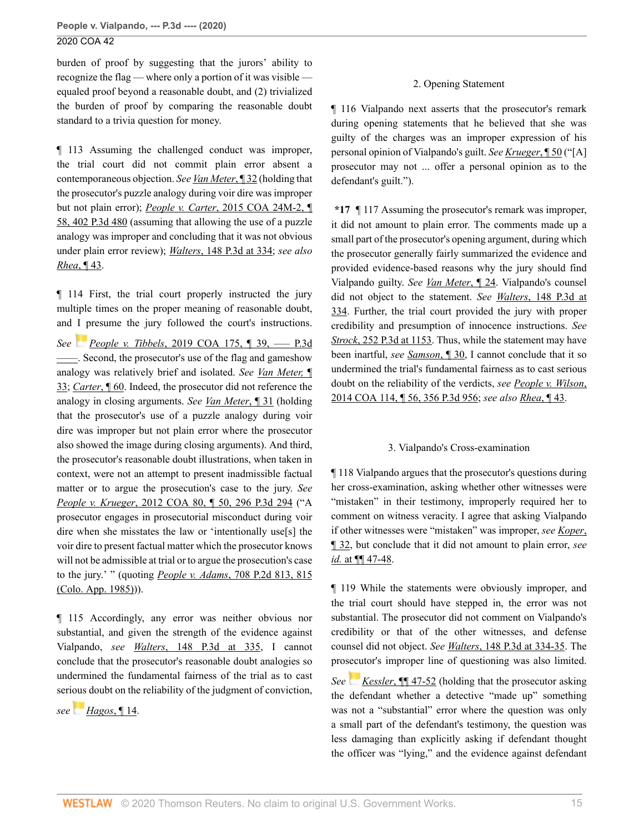burden of proof by suggesting that the jurors' ability to recognize the flag — where only a portion of it was visible equaled proof beyond a reasonable doubt, and (2) trivialized the burden of proof by comparing the reasonable doubt standard to a trivia question for money.

¶ 113 Assuming the challenged conduct was improper, the trial court did not commit plain error absent a contemporaneous objection. *See [Van Meter](http://www.westlaw.com/Link/Document/FullText?findType=Y&serNum=2043776406&pubNum=0007780&originatingDoc=I933b04f06a0911ea81d388262956b33a&refType=RP&originationContext=document&vr=3.0&rs=cblt1.0&transitionType=DocumentItem&contextData=(sc.Search))*, ¶ 32 (holding that the prosecutor's puzzle analogy during voir dire was improper but not plain error); *People v. Carter*[, 2015 COA 24M-2, ¶](http://www.westlaw.com/Link/Document/FullText?findType=Y&serNum=2035618086&pubNum=0004645&originatingDoc=I933b04f06a0911ea81d388262956b33a&refType=RP&originationContext=document&vr=3.0&rs=cblt1.0&transitionType=DocumentItem&contextData=(sc.Search)) [58, 402 P.3d 480](http://www.westlaw.com/Link/Document/FullText?findType=Y&serNum=2035618086&pubNum=0004645&originatingDoc=I933b04f06a0911ea81d388262956b33a&refType=RP&originationContext=document&vr=3.0&rs=cblt1.0&transitionType=DocumentItem&contextData=(sc.Search)) (assuming that allowing the use of a puzzle analogy was improper and concluding that it was not obvious under plain error review); *Walters*[, 148 P.3d at 334](http://www.westlaw.com/Link/Document/FullText?findType=Y&serNum=2009542973&pubNum=0004645&originatingDoc=I933b04f06a0911ea81d388262956b33a&refType=RP&fi=co_pp_sp_4645_334&originationContext=document&vr=3.0&rs=cblt1.0&transitionType=DocumentItem&contextData=(sc.Search)#co_pp_sp_4645_334); *see also Rhea*[, ¶ 43.](http://www.westlaw.com/Link/Document/FullText?findType=Y&serNum=2033349184&originatingDoc=I933b04f06a0911ea81d388262956b33a&refType=RP&originationContext=document&vr=3.0&rs=cblt1.0&transitionType=DocumentItem&contextData=(sc.Search))

¶ 114 First, the trial court properly instructed the jury multiple times on the proper meaning of reasonable doubt, and I presume the jury followed the court's instructions.

*See [P](https://1.next.westlaw.com/Link/RelatedInformation/Flag?documentGuid=I22f1b100114211ea8d9494c64d4c96f1&transitionType=InlineKeyCiteFlags&originationContext=docHeaderFlag&Rank=0&contextData=(sc.Search) )eople v. Tibbels*[, 2019 COA 175, ¶ 39, ––– P.3d](http://www.westlaw.com/Link/Document/FullText?findType=Y&serNum=2049705760&pubNum=0007780&originatingDoc=I933b04f06a0911ea81d388262956b33a&refType=RP&originationContext=document&vr=3.0&rs=cblt1.0&transitionType=DocumentItem&contextData=(sc.Search)) [––––](http://www.westlaw.com/Link/Document/FullText?findType=Y&serNum=2049705760&pubNum=0007780&originatingDoc=I933b04f06a0911ea81d388262956b33a&refType=RP&originationContext=document&vr=3.0&rs=cblt1.0&transitionType=DocumentItem&contextData=(sc.Search)). Second, the prosecutor's use of the flag and gameshow analogy was relatively brief and isolated. *See [Van Meter,](http://www.westlaw.com/Link/Document/FullText?findType=Y&serNum=2043776406&pubNum=0007780&originatingDoc=I933b04f06a0911ea81d388262956b33a&refType=RP&originationContext=document&vr=3.0&rs=cblt1.0&transitionType=DocumentItem&contextData=(sc.Search))* ¶ [33](http://www.westlaw.com/Link/Document/FullText?findType=Y&serNum=2043776406&pubNum=0007780&originatingDoc=I933b04f06a0911ea81d388262956b33a&refType=RP&originationContext=document&vr=3.0&rs=cblt1.0&transitionType=DocumentItem&contextData=(sc.Search)); *[Carter](http://www.westlaw.com/Link/Document/FullText?findType=Y&serNum=2035618086&pubNum=0007780&originatingDoc=I933b04f06a0911ea81d388262956b33a&refType=RP&originationContext=document&vr=3.0&rs=cblt1.0&transitionType=DocumentItem&contextData=(sc.Search))*, ¶ 60. Indeed, the prosecutor did not reference the analogy in closing arguments. *See [Van Meter](http://www.westlaw.com/Link/Document/FullText?findType=Y&serNum=2043776406&pubNum=0007780&originatingDoc=I933b04f06a0911ea81d388262956b33a&refType=RP&originationContext=document&vr=3.0&rs=cblt1.0&transitionType=DocumentItem&contextData=(sc.Search))*, ¶ 31 (holding that the prosecutor's use of a puzzle analogy during voir dire was improper but not plain error where the prosecutor also showed the image during closing arguments). And third, the prosecutor's reasonable doubt illustrations, when taken in context, were not an attempt to present inadmissible factual matter or to argue the prosecution's case to the jury. *See People v. Krueger*[, 2012 COA 80, ¶ 50, 296 P.3d 294](http://www.westlaw.com/Link/Document/FullText?findType=Y&serNum=2027673463&pubNum=0004645&originatingDoc=I933b04f06a0911ea81d388262956b33a&refType=RP&originationContext=document&vr=3.0&rs=cblt1.0&transitionType=DocumentItem&contextData=(sc.Search)) ("A prosecutor engages in prosecutorial misconduct during voir dire when she misstates the law or 'intentionally use[s] the voir dire to present factual matter which the prosecutor knows will not be admissible at trial or to argue the prosecution's case to the jury.' " (quoting *People v. Adams*[, 708 P.2d 813, 815](http://www.westlaw.com/Link/Document/FullText?findType=Y&serNum=1985154970&pubNum=0000661&originatingDoc=I933b04f06a0911ea81d388262956b33a&refType=RP&fi=co_pp_sp_661_815&originationContext=document&vr=3.0&rs=cblt1.0&transitionType=DocumentItem&contextData=(sc.Search)#co_pp_sp_661_815) [\(Colo. App. 1985\)](http://www.westlaw.com/Link/Document/FullText?findType=Y&serNum=1985154970&pubNum=0000661&originatingDoc=I933b04f06a0911ea81d388262956b33a&refType=RP&fi=co_pp_sp_661_815&originationContext=document&vr=3.0&rs=cblt1.0&transitionType=DocumentItem&contextData=(sc.Search)#co_pp_sp_661_815))).

¶ 115 Accordingly, any error was neither obvious nor substantial, and given the strength of the evidence against Vialpando, *see Walters*[, 148 P.3d at 335,](http://www.westlaw.com/Link/Document/FullText?findType=Y&serNum=2009542973&pubNum=0004645&originatingDoc=I933b04f06a0911ea81d388262956b33a&refType=RP&fi=co_pp_sp_4645_335&originationContext=document&vr=3.0&rs=cblt1.0&transitionType=DocumentItem&contextData=(sc.Search)#co_pp_sp_4645_335) I cannot conclude that the prosecutor's reasonable doubt analogies so undermined the fundamental fairness of the trial as to cast serious doubt on the reliability of the judgment of conviction,

*see[Hagos](http://www.westlaw.com/Link/Document/FullText?findType=Y&serNum=2029140604&pubNum=0007779&originatingDoc=I933b04f06a0911ea81d388262956b33a&refType=RP&originationContext=document&vr=3.0&rs=cblt1.0&transitionType=DocumentItem&contextData=(sc.Search))*, ¶ 14.

## 2. Opening Statement

¶ 116 Vialpando next asserts that the prosecutor's remark during opening statements that he believed that she was guilty of the charges was an improper expression of his personal opinion of Vialpando's guilt. *See [Krueger](http://www.westlaw.com/Link/Document/FullText?findType=Y&serNum=2027673463&pubNum=0007780&originatingDoc=I933b04f06a0911ea81d388262956b33a&refType=RP&originationContext=document&vr=3.0&rs=cblt1.0&transitionType=DocumentItem&contextData=(sc.Search))*, ¶ 50 ("[A] prosecutor may not ... offer a personal opinion as to the defendant's guilt.").

**\*17** ¶ 117 Assuming the prosecutor's remark was improper, it did not amount to plain error. The comments made up a small part of the prosecutor's opening argument, during which the prosecutor generally fairly summarized the evidence and provided evidence-based reasons why the jury should find Vialpando guilty. *See [Van Meter](http://www.westlaw.com/Link/Document/FullText?findType=Y&serNum=2043776406&pubNum=0007780&originatingDoc=I933b04f06a0911ea81d388262956b33a&refType=RP&originationContext=document&vr=3.0&rs=cblt1.0&transitionType=DocumentItem&contextData=(sc.Search))*, ¶ 24. Vialpando's counsel did not object to the statement. *See Walters*[, 148 P.3d at](http://www.westlaw.com/Link/Document/FullText?findType=Y&serNum=2009542973&pubNum=0004645&originatingDoc=I933b04f06a0911ea81d388262956b33a&refType=RP&fi=co_pp_sp_4645_334&originationContext=document&vr=3.0&rs=cblt1.0&transitionType=DocumentItem&contextData=(sc.Search)#co_pp_sp_4645_334) [334](http://www.westlaw.com/Link/Document/FullText?findType=Y&serNum=2009542973&pubNum=0004645&originatingDoc=I933b04f06a0911ea81d388262956b33a&refType=RP&fi=co_pp_sp_4645_334&originationContext=document&vr=3.0&rs=cblt1.0&transitionType=DocumentItem&contextData=(sc.Search)#co_pp_sp_4645_334). Further, the trial court provided the jury with proper credibility and presumption of innocence instructions. *See Strock*[, 252 P.3d at 1153.](http://www.westlaw.com/Link/Document/FullText?findType=Y&serNum=2022800269&pubNum=0004645&originatingDoc=I933b04f06a0911ea81d388262956b33a&refType=RP&fi=co_pp_sp_4645_1153&originationContext=document&vr=3.0&rs=cblt1.0&transitionType=DocumentItem&contextData=(sc.Search)#co_pp_sp_4645_1153) Thus, while the statement may have been inartful, *see [Samson](http://www.westlaw.com/Link/Document/FullText?findType=Y&serNum=2028832112&pubNum=0007780&originatingDoc=I933b04f06a0911ea81d388262956b33a&refType=RP&originationContext=document&vr=3.0&rs=cblt1.0&transitionType=DocumentItem&contextData=(sc.Search))*, ¶ 30, I cannot conclude that it so undermined the trial's fundamental fairness as to cast serious doubt on the reliability of the verdicts, *see [People v. Wilson](http://www.westlaw.com/Link/Document/FullText?findType=Y&serNum=2034320486&pubNum=0004645&originatingDoc=I933b04f06a0911ea81d388262956b33a&refType=RP&originationContext=document&vr=3.0&rs=cblt1.0&transitionType=DocumentItem&contextData=(sc.Search))*, [2014 COA 114, ¶ 56, 356 P.3d 956;](http://www.westlaw.com/Link/Document/FullText?findType=Y&serNum=2034320486&pubNum=0004645&originatingDoc=I933b04f06a0911ea81d388262956b33a&refType=RP&originationContext=document&vr=3.0&rs=cblt1.0&transitionType=DocumentItem&contextData=(sc.Search)) *see also Rhea*[, ¶ 43.](http://www.westlaw.com/Link/Document/FullText?findType=Y&serNum=2033349184&originatingDoc=I933b04f06a0911ea81d388262956b33a&refType=RP&originationContext=document&vr=3.0&rs=cblt1.0&transitionType=DocumentItem&contextData=(sc.Search))

## 3. Vialpando's Cross-examination

¶ 118 Vialpando argues that the prosecutor's questions during her cross-examination, asking whether other witnesses were "mistaken" in their testimony, improperly required her to comment on witness veracity. I agree that asking Vialpando if other witnesses were "mistaken" was improper, *see [Koper](http://www.westlaw.com/Link/Document/FullText?findType=Y&serNum=2045548817&pubNum=0007780&originatingDoc=I933b04f06a0911ea81d388262956b33a&refType=RP&originationContext=document&vr=3.0&rs=cblt1.0&transitionType=DocumentItem&contextData=(sc.Search))*, [¶ 32,](http://www.westlaw.com/Link/Document/FullText?findType=Y&serNum=2045548817&pubNum=0007780&originatingDoc=I933b04f06a0911ea81d388262956b33a&refType=RP&originationContext=document&vr=3.0&rs=cblt1.0&transitionType=DocumentItem&contextData=(sc.Search)) but conclude that it did not amount to plain error, *see id.* [at ¶¶ 47-48](http://www.westlaw.com/Link/Document/FullText?findType=Y&serNum=2045548817&pubNum=0007780&originatingDoc=I933b04f06a0911ea81d388262956b33a&refType=RP&originationContext=document&vr=3.0&rs=cblt1.0&transitionType=DocumentItem&contextData=(sc.Search)).

¶ 119 While the statements were obviously improper, and the trial court should have stepped in, the error was not substantial. The prosecutor did not comment on Vialpando's credibility or that of the other witnesses, and defense counsel did not object. *See Walters*[, 148 P.3d at 334-35](http://www.westlaw.com/Link/Document/FullText?findType=Y&serNum=2009542973&pubNum=0004645&originatingDoc=I933b04f06a0911ea81d388262956b33a&refType=RP&fi=co_pp_sp_4645_334&originationContext=document&vr=3.0&rs=cblt1.0&transitionType=DocumentItem&contextData=(sc.Search)#co_pp_sp_4645_334). The prosecutor's improper line of questioning was also limited.

*See Kessler*, **[147-52** (holding that the prosecutor asking the defendant whether a detective "made up" something was not a "substantial" error where the question was only a small part of the defendant's testimony, the question was less damaging than explicitly asking if defendant thought the officer was "lying," and the evidence against defendant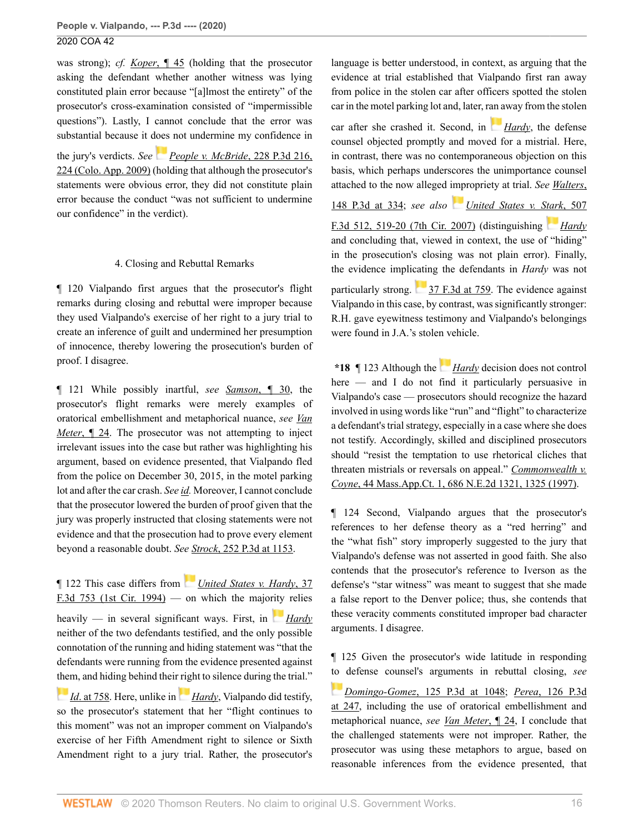was strong); *cf. Koper*[, ¶ 45](http://www.westlaw.com/Link/Document/FullText?findType=Y&serNum=2045548817&pubNum=0007780&originatingDoc=I933b04f06a0911ea81d388262956b33a&refType=RP&originationContext=document&vr=3.0&rs=cblt1.0&transitionType=DocumentItem&contextData=(sc.Search)) (holding that the prosecutor asking the defendant whether another witness was lying constituted plain error because "[a]lmost the entirety" of the prosecutor's cross-examination consisted of "impermissible questions"). Lastly, I cannot conclude that the error was substantial because it does not undermine my confidence in

the jury's verdicts. *See [People v. McBride](http://www.westlaw.com/Link/Document/FullText?findType=Y&serNum=2019925833&pubNum=0004645&originatingDoc=I933b04f06a0911ea81d388262956b33a&refType=RP&fi=co_pp_sp_4645_224&originationContext=document&vr=3.0&rs=cblt1.0&transitionType=DocumentItem&contextData=(sc.Search)#co_pp_sp_4645_224)*, 228 P.3d 216, [224 \(Colo. App. 2009\)](http://www.westlaw.com/Link/Document/FullText?findType=Y&serNum=2019925833&pubNum=0004645&originatingDoc=I933b04f06a0911ea81d388262956b33a&refType=RP&fi=co_pp_sp_4645_224&originationContext=document&vr=3.0&rs=cblt1.0&transitionType=DocumentItem&contextData=(sc.Search)#co_pp_sp_4645_224) (holding that although the prosecutor's statements were obvious error, they did not constitute plain error because the conduct "was not sufficient to undermine our confidence" in the verdict).

## 4. Closing and Rebuttal Remarks

¶ 120 Vialpando first argues that the prosecutor's flight remarks during closing and rebuttal were improper because they used Vialpando's exercise of her right to a jury trial to create an inference of guilt and undermined her presumption of innocence, thereby lowering the prosecution's burden of proof. I disagree.

¶ 121 While possibly inartful, *see [Samson](http://www.westlaw.com/Link/Document/FullText?findType=Y&serNum=2028832112&pubNum=0007780&originatingDoc=I933b04f06a0911ea81d388262956b33a&refType=RP&originationContext=document&vr=3.0&rs=cblt1.0&transitionType=DocumentItem&contextData=(sc.Search))*, ¶ 30, the prosecutor's flight remarks were merely examples of oratorical embellishment and metaphorical nuance, *see [Van](http://www.westlaw.com/Link/Document/FullText?findType=Y&serNum=2043776406&pubNum=0007780&originatingDoc=I933b04f06a0911ea81d388262956b33a&refType=RP&originationContext=document&vr=3.0&rs=cblt1.0&transitionType=DocumentItem&contextData=(sc.Search)) Meter*[, ¶ 24.](http://www.westlaw.com/Link/Document/FullText?findType=Y&serNum=2043776406&pubNum=0007780&originatingDoc=I933b04f06a0911ea81d388262956b33a&refType=RP&originationContext=document&vr=3.0&rs=cblt1.0&transitionType=DocumentItem&contextData=(sc.Search)) The prosecutor was not attempting to inject irrelevant issues into the case but rather was highlighting his argument, based on evidence presented, that Vialpando fled from the police on December 30, 2015, in the motel parking lot and after the car crash. *See [id.](http://www.westlaw.com/Link/Document/FullText?findType=Y&serNum=2043776406&pubNum=0004645&originatingDoc=I933b04f06a0911ea81d388262956b33a&refType=RP&originationContext=document&vr=3.0&rs=cblt1.0&transitionType=DocumentItem&contextData=(sc.Search))* Moreover, I cannot conclude that the prosecutor lowered the burden of proof given that the jury was properly instructed that closing statements were not evidence and that the prosecution had to prove every element beyond a reasonable doubt. *See Strock*[, 252 P.3d at 1153.](http://www.westlaw.com/Link/Document/FullText?findType=Y&serNum=2022800269&pubNum=0004645&originatingDoc=I933b04f06a0911ea81d388262956b33a&refType=RP&fi=co_pp_sp_4645_1153&originationContext=document&vr=3.0&rs=cblt1.0&transitionType=DocumentItem&contextData=(sc.Search)#co_pp_sp_4645_1153)

¶ 122 This case differs from *[United States v. Hardy](http://www.westlaw.com/Link/Document/FullText?findType=Y&serNum=1994201747&pubNum=0000506&originatingDoc=I933b04f06a0911ea81d388262956b33a&refType=RP&originationContext=document&vr=3.0&rs=cblt1.0&transitionType=DocumentItem&contextData=(sc.Search))*, 37 [F.3d 753 \(1st Cir. 1994\)](http://www.westlaw.com/Link/Document/FullText?findType=Y&serNum=1994201747&pubNum=0000506&originatingDoc=I933b04f06a0911ea81d388262956b33a&refType=RP&originationContext=document&vr=3.0&rs=cblt1.0&transitionType=DocumentItem&contextData=(sc.Search)) — on which the majo[rity](https://1.next.westlaw.com/Link/RelatedInformation/Flag?documentGuid=Iddfd4357970a11d9bc61beebb95be672&transitionType=InlineKeyCiteFlags&originationContext=docHeaderFlag&Rank=0&contextData=(sc.Search) ) relies heavily — in several significant ways. First, in **[Hardy](http://www.westlaw.com/Link/Document/FullText?findType=Y&serNum=1994201747&pubNum=0000506&originatingDoc=I933b04f06a0911ea81d388262956b33a&refType=RP&originationContext=document&vr=3.0&rs=cblt1.0&transitionType=DocumentItem&contextData=(sc.Search))** neither of the two defendants testified, and the only possible connotation of the running and hiding statement was "that the defendants were running from the evidence presented against [them](https://1.next.westlaw.com/Link/RelatedInformation/Flag?documentGuid=Iddfd4357970a11d9bc61beebb95be672&transitionType=InlineKeyCiteFlags&originationContext=docHeaderFlag&Rank=0&contextData=(sc.Search) ), and hiding behind their [rig](https://1.next.westlaw.com/Link/RelatedInformation/Flag?documentGuid=Iddfd4357970a11d9bc61beebb95be672&transitionType=InlineKeyCiteFlags&originationContext=docHeaderFlag&Rank=0&contextData=(sc.Search) )ht to silence during the trial."

*Id.* at 758. Here, unlike in *[Hardy](http://www.westlaw.com/Link/Document/FullText?findType=Y&serNum=1994201747&pubNum=0000506&originatingDoc=I933b04f06a0911ea81d388262956b33a&refType=RP&originationContext=document&vr=3.0&rs=cblt1.0&transitionType=DocumentItem&contextData=(sc.Search))*, Vialpando did testify, so the prosecutor's statement that her "flight continues to this moment" was not an improper comment on Vialpando's exercise of her Fifth Amendment right to silence or Sixth Amendment right to a jury trial. Rather, the prosecutor's language is better understood, in context, as arguing that the evidence at trial established that Vialpando first ran away from police in the stolen car after officers spotted the stolen car in the motel parking lot and, later, r[an a](https://1.next.westlaw.com/Link/RelatedInformation/Flag?documentGuid=Iddfd4357970a11d9bc61beebb95be672&transitionType=InlineKeyCiteFlags&originationContext=docHeaderFlag&Rank=0&contextData=(sc.Search) )way from the stolen

car after she crashed it. Second, in *[Hardy](http://www.westlaw.com/Link/Document/FullText?findType=Y&serNum=1994201747&pubNum=0000506&originatingDoc=I933b04f06a0911ea81d388262956b33a&refType=RP&originationContext=document&vr=3.0&rs=cblt1.0&transitionType=DocumentItem&contextData=(sc.Search))*, the defense counsel objected promptly and moved for a mistrial. Here, in contrast, there was no contemporaneous objection on this basis, which perhaps underscores the unimportance counsel attached to the now alleged impropriety at trial. *See [Walters](http://www.westlaw.com/Link/Document/FullText?findType=Y&serNum=2009542973&pubNum=0004645&originatingDoc=I933b04f06a0911ea81d388262956b33a&refType=RP&fi=co_pp_sp_4645_334&originationContext=document&vr=3.0&rs=cblt1.0&transitionType=DocumentItem&contextData=(sc.Search)#co_pp_sp_4645_334)*, [148 P.3d at 334;](http://www.westlaw.com/Link/Document/FullText?findType=Y&serNum=2009542973&pubNum=0004645&originatingDoc=I933b04f06a0911ea81d388262956b33a&refType=RP&fi=co_pp_sp_4645_334&originationContext=document&vr=3.0&rs=cblt1.0&transitionType=DocumentItem&contextData=(sc.Search)#co_pp_sp_4645_334) *see also [United States v. Stark](http://www.westlaw.com/Link/Document/FullText?findType=Y&serNum=2013702908&pubNum=0000506&originatingDoc=I933b04f06a0911ea81d388262956b33a&refType=RP&fi=co_pp_sp_506_519&originationContext=document&vr=3.0&rs=cblt1.0&transitionType=DocumentItem&contextData=(sc.Search)#co_pp_sp_506_519)*, 507 [F.3d 512, 519-20 \(7th Cir. 2007\)](http://www.westlaw.com/Link/Document/FullText?findType=Y&serNum=2013702908&pubNum=0000506&originatingDoc=I933b04f06a0911ea81d388262956b33a&refType=RP&fi=co_pp_sp_506_519&originationContext=document&vr=3.0&rs=cblt1.0&transitionType=DocumentItem&contextData=(sc.Search)#co_pp_sp_506_519) (distinguishing *[Hardy](http://www.westlaw.com/Link/Document/FullText?findType=Y&serNum=1994201747&pubNum=0000506&originatingDoc=I933b04f06a0911ea81d388262956b33a&refType=RP&originationContext=document&vr=3.0&rs=cblt1.0&transitionType=DocumentItem&contextData=(sc.Search))* and concluding that, viewed in context, the use of "hiding" in the prosecution's closing was not plain error). Finally, the evidence implicating the defendants in *Hardy* was not particularly strong. [37 F.3d at 759.](http://www.westlaw.com/Link/Document/FullText?findType=Y&serNum=1994201747&pubNum=0000506&originatingDoc=I933b04f06a0911ea81d388262956b33a&refType=RP&fi=co_pp_sp_506_759&originationContext=document&vr=3.0&rs=cblt1.0&transitionType=DocumentItem&contextData=(sc.Search)#co_pp_sp_506_759) The evidence against Vialpando in this case, by contrast, was significantly stronger: R.H. gave eyewitness testimony and Vialpando's belongings

**\*18** ¶ 123 Although the *[Hardy](http://www.westlaw.com/Link/Document/FullText?findType=Y&serNum=1994201747&pubNum=0000506&originatingDoc=I933b04f06a0911ea81d388262956b33a&refType=RP&originationContext=document&vr=3.0&rs=cblt1.0&transitionType=DocumentItem&contextData=(sc.Search))* decision does not control here — and I do not find it particularly persuasive in Vialpando's case — prosecutors should recognize the hazard involved in using words like "run" and "flight" to characterize a defendant's trial strategy, especially in a case where she does not testify. Accordingly, skilled and disciplined prosecutors should "resist the temptation to use rhetorical cliches that threaten mistrials or reversals on appeal." *[Commonwealth v.](http://www.westlaw.com/Link/Document/FullText?findType=Y&serNum=1997229582&pubNum=0000578&originatingDoc=I933b04f06a0911ea81d388262956b33a&refType=RP&fi=co_pp_sp_578_1325&originationContext=document&vr=3.0&rs=cblt1.0&transitionType=DocumentItem&contextData=(sc.Search)#co_pp_sp_578_1325) Coyne*[, 44 Mass.App.Ct. 1, 686 N.E.2d 1321, 1325 \(1997\)](http://www.westlaw.com/Link/Document/FullText?findType=Y&serNum=1997229582&pubNum=0000578&originatingDoc=I933b04f06a0911ea81d388262956b33a&refType=RP&fi=co_pp_sp_578_1325&originationContext=document&vr=3.0&rs=cblt1.0&transitionType=DocumentItem&contextData=(sc.Search)#co_pp_sp_578_1325).

were found in J.A.'s stolen vehicle.

¶ 124 Second, Vialpando argues that the prosecutor's references to her defense theory as a "red herring" and the "what fish" story improperly suggested to the jury that Vialpando's defense was not asserted in good faith. She also contends that the prosecutor's reference to Iverson as the defense's "star witness" was meant to suggest that she made a false report to the Denver police; thus, she contends that these veracity comments constituted improper bad character arguments. I disagree.

¶ 125 Given the prosecutor's wide latitude in responding [to](https://1.next.westlaw.com/Link/RelatedInformation/Flag?documentGuid=I8fddc2b470ce11daa20eccddde63d628&transitionType=InlineKeyCiteFlags&originationContext=docHeaderFlag&Rank=0&contextData=(sc.Search) ) defense counsel's arguments in rebuttal closing, *see*

*Domingo-Gomez*[, 125 P.3d at 1048](http://www.westlaw.com/Link/Document/FullText?findType=Y&serNum=2007908950&pubNum=0004645&originatingDoc=I933b04f06a0911ea81d388262956b33a&refType=RP&fi=co_pp_sp_4645_1048&originationContext=document&vr=3.0&rs=cblt1.0&transitionType=DocumentItem&contextData=(sc.Search)#co_pp_sp_4645_1048); *Perea*[, 126 P.3d](http://www.westlaw.com/Link/Document/FullText?findType=Y&serNum=2007047168&pubNum=0004645&originatingDoc=I933b04f06a0911ea81d388262956b33a&refType=RP&fi=co_pp_sp_4645_247&originationContext=document&vr=3.0&rs=cblt1.0&transitionType=DocumentItem&contextData=(sc.Search)#co_pp_sp_4645_247) [at 247,](http://www.westlaw.com/Link/Document/FullText?findType=Y&serNum=2007047168&pubNum=0004645&originatingDoc=I933b04f06a0911ea81d388262956b33a&refType=RP&fi=co_pp_sp_4645_247&originationContext=document&vr=3.0&rs=cblt1.0&transitionType=DocumentItem&contextData=(sc.Search)#co_pp_sp_4645_247) including the use of oratorical embellishment and metaphorical nuance, *see [Van Meter](http://www.westlaw.com/Link/Document/FullText?findType=Y&serNum=2043776406&pubNum=0007780&originatingDoc=I933b04f06a0911ea81d388262956b33a&refType=RP&originationContext=document&vr=3.0&rs=cblt1.0&transitionType=DocumentItem&contextData=(sc.Search))*, ¶ 24, I conclude that the challenged statements were not improper. Rather, the prosecutor was using these metaphors to argue, based on reasonable inferences from the evidence presented, that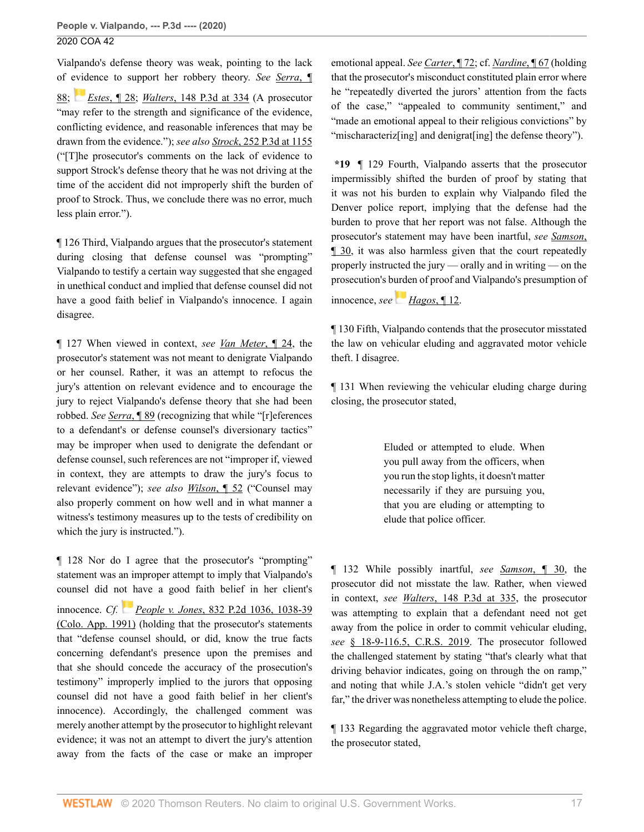Vialpando's defense theory was weak, pointing to the lack of [evid](https://1.next.westlaw.com/Link/RelatedInformation/Flag?documentGuid=I8db1791f6ee511e196ddf76f9be2cc49&transitionType=InlineKeyCiteFlags&originationContext=docHeaderFlag&Rank=0&contextData=(sc.Search) )ence to support her robbery theory. *See [Serra](http://www.westlaw.com/Link/Document/FullText?findType=Y&serNum=2037237958&pubNum=0007780&originatingDoc=I933b04f06a0911ea81d388262956b33a&refType=RP&originationContext=document&vr=3.0&rs=cblt1.0&transitionType=DocumentItem&contextData=(sc.Search))*, ¶ [88](http://www.westlaw.com/Link/Document/FullText?findType=Y&serNum=2037237958&pubNum=0007780&originatingDoc=I933b04f06a0911ea81d388262956b33a&refType=RP&originationContext=document&vr=3.0&rs=cblt1.0&transitionType=DocumentItem&contextData=(sc.Search)); *Estes*[, ¶ 28;](http://www.westlaw.com/Link/Document/FullText?findType=Y&serNum=2027323163&pubNum=0007780&originatingDoc=I933b04f06a0911ea81d388262956b33a&refType=RP&originationContext=document&vr=3.0&rs=cblt1.0&transitionType=DocumentItem&contextData=(sc.Search)) *Walters*[, 148 P.3d at 334](http://www.westlaw.com/Link/Document/FullText?findType=Y&serNum=2009542973&pubNum=0004645&originatingDoc=I933b04f06a0911ea81d388262956b33a&refType=RP&fi=co_pp_sp_4645_334&originationContext=document&vr=3.0&rs=cblt1.0&transitionType=DocumentItem&contextData=(sc.Search)#co_pp_sp_4645_334) (A prosecutor "may refer to the strength and significance of the evidence, conflicting evidence, and reasonable inferences that may be drawn from the evidence."); *see also Strock*[, 252 P.3d at 1155](http://www.westlaw.com/Link/Document/FullText?findType=Y&serNum=2022800269&pubNum=0004645&originatingDoc=I933b04f06a0911ea81d388262956b33a&refType=RP&fi=co_pp_sp_4645_1155&originationContext=document&vr=3.0&rs=cblt1.0&transitionType=DocumentItem&contextData=(sc.Search)#co_pp_sp_4645_1155) ("[T]he prosecutor's comments on the lack of evidence to support Strock's defense theory that he was not driving at the time of the accident did not improperly shift the burden of proof to Strock. Thus, we conclude there was no error, much less plain error.").

¶ 126 Third, Vialpando argues that the prosecutor's statement during closing that defense counsel was "prompting" Vialpando to testify a certain way suggested that she engaged in unethical conduct and implied that defense counsel did not have a good faith belief in Vialpando's innocence. I again disagree.

¶ 127 When viewed in context, *see [Van Meter](http://www.westlaw.com/Link/Document/FullText?findType=Y&serNum=2043776406&pubNum=0007780&originatingDoc=I933b04f06a0911ea81d388262956b33a&refType=RP&originationContext=document&vr=3.0&rs=cblt1.0&transitionType=DocumentItem&contextData=(sc.Search))*, ¶ 24, the prosecutor's statement was not meant to denigrate Vialpando or her counsel. Rather, it was an attempt to refocus the jury's attention on relevant evidence and to encourage the jury to reject Vialpando's defense theory that she had been robbed. *See [Serra](http://www.westlaw.com/Link/Document/FullText?findType=Y&serNum=2037237958&pubNum=0007780&originatingDoc=I933b04f06a0911ea81d388262956b33a&refType=RP&originationContext=document&vr=3.0&rs=cblt1.0&transitionType=DocumentItem&contextData=(sc.Search))*, ¶ 89 (recognizing that while "[r]eferences to a defendant's or defense counsel's diversionary tactics" may be improper when used to denigrate the defendant or defense counsel, such references are not "improper if, viewed in context, they are attempts to draw the jury's focus to relevant evidence"); *see also [Wilson](http://www.westlaw.com/Link/Document/FullText?findType=Y&serNum=2034320486&originatingDoc=I933b04f06a0911ea81d388262956b33a&refType=RP&originationContext=document&vr=3.0&rs=cblt1.0&transitionType=DocumentItem&contextData=(sc.Search))*, ¶ 52 ("Counsel may also properly comment on how well and in what manner a witness's testimony measures up to the tests of credibility on which the jury is instructed.").

¶ 128 Nor do I agree that the prosecutor's "prompting" statement was an improper attempt to imply that Vialpando's counsel did not have a good faith belief in her client's innocence. *Cf. [P](https://1.next.westlaw.com/Link/RelatedInformation/Flag?documentGuid=I04ea8dbdf78211d9b386b232635db992&transitionType=InlineKeyCiteFlags&originationContext=docHeaderFlag&Rank=0&contextData=(sc.Search) )eople v. Jones*[, 832 P.2d 1036, 1038-39](http://www.westlaw.com/Link/Document/FullText?findType=Y&serNum=1991207446&pubNum=0000661&originatingDoc=I933b04f06a0911ea81d388262956b33a&refType=RP&fi=co_pp_sp_661_1038&originationContext=document&vr=3.0&rs=cblt1.0&transitionType=DocumentItem&contextData=(sc.Search)#co_pp_sp_661_1038) [\(Colo. App. 1991\)](http://www.westlaw.com/Link/Document/FullText?findType=Y&serNum=1991207446&pubNum=0000661&originatingDoc=I933b04f06a0911ea81d388262956b33a&refType=RP&fi=co_pp_sp_661_1038&originationContext=document&vr=3.0&rs=cblt1.0&transitionType=DocumentItem&contextData=(sc.Search)#co_pp_sp_661_1038) (holding that the prosecutor's statements that "defense counsel should, or did, know the true facts concerning defendant's presence upon the premises and that she should concede the accuracy of the prosecution's testimony" improperly implied to the jurors that opposing counsel did not have a good faith belief in her client's innocence). Accordingly, the challenged comment was merely another attempt by the prosecutor to highlight relevant evidence; it was not an attempt to divert the jury's attention away from the facts of the case or make an improper

emotional appeal. *See [Carter](http://www.westlaw.com/Link/Document/FullText?findType=Y&serNum=2035618086&pubNum=0007780&originatingDoc=I933b04f06a0911ea81d388262956b33a&refType=RP&originationContext=document&vr=3.0&rs=cblt1.0&transitionType=DocumentItem&contextData=(sc.Search))*, ¶ 72; cf. *[Nardine](http://www.westlaw.com/Link/Document/FullText?findType=Y&serNum=2038989684&pubNum=0007780&originatingDoc=I933b04f06a0911ea81d388262956b33a&refType=RP&originationContext=document&vr=3.0&rs=cblt1.0&transitionType=DocumentItem&contextData=(sc.Search))*, ¶ 67 (holding that the prosecutor's misconduct constituted plain error where he "repeatedly diverted the jurors' attention from the facts of the case," "appealed to community sentiment," and "made an emotional appeal to their religious convictions" by "mischaracteriz<sup>[ing]</sup> and denigrat<sup>[ing]</sup> the defense theory").

**\*19** ¶ 129 Fourth, Vialpando asserts that the prosecutor impermissibly shifted the burden of proof by stating that it was not his burden to explain why Vialpando filed the Denver police report, implying that the defense had the burden to prove that her report was not false. Although the prosecutor's statement may have been inartful, *see [Samson](http://www.westlaw.com/Link/Document/FullText?findType=Y&serNum=2028832112&pubNum=0007780&originatingDoc=I933b04f06a0911ea81d388262956b33a&refType=RP&originationContext=document&vr=3.0&rs=cblt1.0&transitionType=DocumentItem&contextData=(sc.Search))*, [¶ 30,](http://www.westlaw.com/Link/Document/FullText?findType=Y&serNum=2028832112&pubNum=0007780&originatingDoc=I933b04f06a0911ea81d388262956b33a&refType=RP&originationContext=document&vr=3.0&rs=cblt1.0&transitionType=DocumentItem&contextData=(sc.Search)) it was also harmless given that the court repeatedly properly instructed the jury — orally and in writing — on the prosecution's burden of proof and Vialpando's presumption of

innocence, *see [Hagos](http://www.westlaw.com/Link/Document/FullText?findType=Y&serNum=2029140604&pubNum=0007779&originatingDoc=I933b04f06a0911ea81d388262956b33a&refType=RP&originationContext=document&vr=3.0&rs=cblt1.0&transitionType=DocumentItem&contextData=(sc.Search))*, ¶ 12.

¶ 130 Fifth, Vialpando contends that the prosecutor misstated the law on vehicular eluding and aggravated motor vehicle theft. I disagree.

¶ 131 When reviewing the vehicular eluding charge during closing, the prosecutor stated,

> Eluded or attempted to elude. When you pull away from the officers, when you run the stop lights, it doesn't matter necessarily if they are pursuing you, that you are eluding or attempting to elude that police officer.

¶ 132 While possibly inartful, *see [Samson](http://www.westlaw.com/Link/Document/FullText?findType=Y&serNum=2028832112&pubNum=0007780&originatingDoc=I933b04f06a0911ea81d388262956b33a&refType=RP&originationContext=document&vr=3.0&rs=cblt1.0&transitionType=DocumentItem&contextData=(sc.Search))*, ¶ 30, the prosecutor did not misstate the law. Rather, when viewed in context, *see Walters*[, 148 P.3d at 335,](http://www.westlaw.com/Link/Document/FullText?findType=Y&serNum=2009542973&pubNum=0004645&originatingDoc=I933b04f06a0911ea81d388262956b33a&refType=RP&fi=co_pp_sp_4645_335&originationContext=document&vr=3.0&rs=cblt1.0&transitionType=DocumentItem&contextData=(sc.Search)#co_pp_sp_4645_335) the prosecutor was attempting to explain that a defendant need not get away from the police in order to commit vehicular eluding, *see* [§ 18-9-116.5, C.R.S. 2019](http://www.westlaw.com/Link/Document/FullText?findType=L&pubNum=1000517&cite=COSTS18-9-116.5&originatingDoc=I933b04f06a0911ea81d388262956b33a&refType=LQ&originationContext=document&vr=3.0&rs=cblt1.0&transitionType=DocumentItem&contextData=(sc.Search)). The prosecutor followed the challenged statement by stating "that's clearly what that driving behavior indicates, going on through the on ramp," and noting that while J.A.'s stolen vehicle "didn't get very far," the driver was nonetheless attempting to elude the police.

¶ 133 Regarding the aggravated motor vehicle theft charge, the prosecutor stated,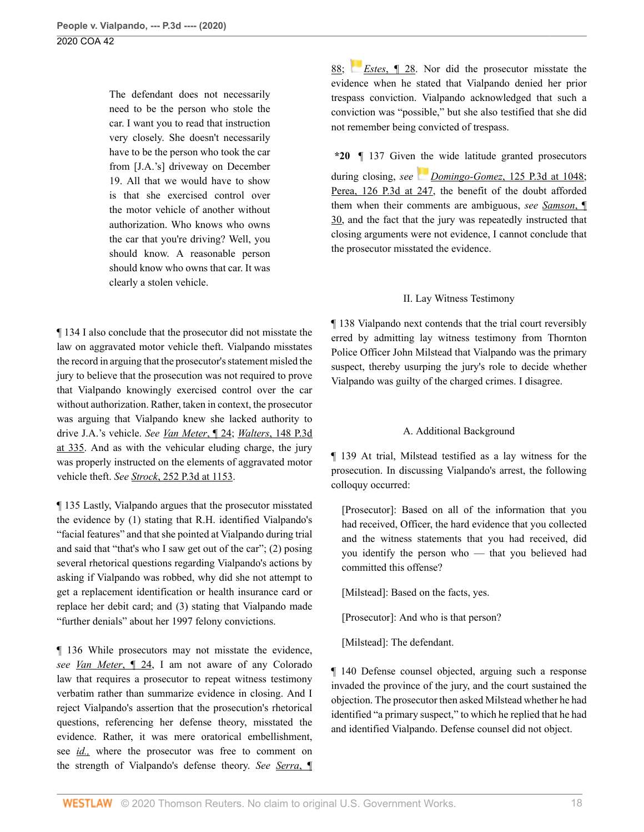The defendant does not necessarily need to be the person who stole the car. I want you to read that instruction very closely. She doesn't necessarily have to be the person who took the car from [J.A.'s] driveway on December 19. All that we would have to show is that she exercised control over the motor vehicle of another without authorization. Who knows who owns the car that you're driving? Well, you should know. A reasonable person should know who owns that car. It was clearly a stolen vehicle.

¶ 134 I also conclude that the prosecutor did not misstate the law on aggravated motor vehicle theft. Vialpando misstates the record in arguing that the prosecutor's statement misled the jury to believe that the prosecution was not required to prove that Vialpando knowingly exercised control over the car without authorization. Rather, taken in context, the prosecutor was arguing that Vialpando knew she lacked authority to drive J.A.'s vehicle. *See [Van Meter](http://www.westlaw.com/Link/Document/FullText?findType=Y&serNum=2043776406&pubNum=0007780&originatingDoc=I933b04f06a0911ea81d388262956b33a&refType=RP&originationContext=document&vr=3.0&rs=cblt1.0&transitionType=DocumentItem&contextData=(sc.Search))*, ¶ 24; *Walters*[, 148 P.3d](http://www.westlaw.com/Link/Document/FullText?findType=Y&serNum=2009542973&pubNum=0004645&originatingDoc=I933b04f06a0911ea81d388262956b33a&refType=RP&fi=co_pp_sp_4645_335&originationContext=document&vr=3.0&rs=cblt1.0&transitionType=DocumentItem&contextData=(sc.Search)#co_pp_sp_4645_335) [at 335](http://www.westlaw.com/Link/Document/FullText?findType=Y&serNum=2009542973&pubNum=0004645&originatingDoc=I933b04f06a0911ea81d388262956b33a&refType=RP&fi=co_pp_sp_4645_335&originationContext=document&vr=3.0&rs=cblt1.0&transitionType=DocumentItem&contextData=(sc.Search)#co_pp_sp_4645_335). And as with the vehicular eluding charge, the jury was properly instructed on the elements of aggravated motor vehicle theft. *See Strock*[, 252 P.3d at 1153](http://www.westlaw.com/Link/Document/FullText?findType=Y&serNum=2022800269&pubNum=0004645&originatingDoc=I933b04f06a0911ea81d388262956b33a&refType=RP&fi=co_pp_sp_4645_1153&originationContext=document&vr=3.0&rs=cblt1.0&transitionType=DocumentItem&contextData=(sc.Search)#co_pp_sp_4645_1153).

¶ 135 Lastly, Vialpando argues that the prosecutor misstated the evidence by (1) stating that R.H. identified Vialpando's "facial features" and that she pointed at Vialpando during trial and said that "that's who I saw get out of the car"; (2) posing several rhetorical questions regarding Vialpando's actions by asking if Vialpando was robbed, why did she not attempt to get a replacement identification or health insurance card or replace her debit card; and (3) stating that Vialpando made "further denials" about her 1997 felony convictions.

¶ 136 While prosecutors may not misstate the evidence, *see [Van Meter](http://www.westlaw.com/Link/Document/FullText?findType=Y&serNum=2043776406&pubNum=0007780&originatingDoc=I933b04f06a0911ea81d388262956b33a&refType=RP&originationContext=document&vr=3.0&rs=cblt1.0&transitionType=DocumentItem&contextData=(sc.Search))*, ¶ 24, I am not aware of any Colorado law that requires a prosecutor to repeat witness testimony verbatim rather than summarize evidence in closing. And I reject Vialpando's assertion that the prosecution's rhetorical questions, referencing her defense theory, misstated the evidence. Rather, it was mere oratorical embellishment, see *[id.,](http://www.westlaw.com/Link/Document/FullText?findType=Y&serNum=2022800269&pubNum=0004645&originatingDoc=I933b04f06a0911ea81d388262956b33a&refType=RP&originationContext=document&vr=3.0&rs=cblt1.0&transitionType=DocumentItem&contextData=(sc.Search))* where the prosecutor was free to comment on the strength of Vialpando's defense theory. *See [Serra](http://www.westlaw.com/Link/Document/FullText?findType=Y&serNum=2037237958&pubNum=0007780&originatingDoc=I933b04f06a0911ea81d388262956b33a&refType=RP&originationContext=document&vr=3.0&rs=cblt1.0&transitionType=DocumentItem&contextData=(sc.Search))*, ¶ [88](http://www.westlaw.com/Link/Document/FullText?findType=Y&serNum=2037237958&pubNum=0007780&originatingDoc=I933b04f06a0911ea81d388262956b33a&refType=RP&originationContext=document&vr=3.0&rs=cblt1.0&transitionType=DocumentItem&contextData=(sc.Search)); *[E](https://1.next.westlaw.com/Link/RelatedInformation/Flag?documentGuid=I8db1791f6ee511e196ddf76f9be2cc49&transitionType=InlineKeyCiteFlags&originationContext=docHeaderFlag&Rank=0&contextData=(sc.Search) )stes*[, ¶ 28](http://www.westlaw.com/Link/Document/FullText?findType=Y&serNum=2027323163&pubNum=0007780&originatingDoc=I933b04f06a0911ea81d388262956b33a&refType=RP&originationContext=document&vr=3.0&rs=cblt1.0&transitionType=DocumentItem&contextData=(sc.Search)). Nor did the prosecutor misstate the evidence when he stated that Vialpando denied her prior trespass conviction. Vialpando acknowledged that such a conviction was "possible," but she also testified that she did not remember being convicted of trespass.

**\*20** ¶ 137 Given the wide latitude granted prosecutors during closing, *see [D](https://1.next.westlaw.com/Link/RelatedInformation/Flag?documentGuid=I8fddc2b470ce11daa20eccddde63d628&transitionType=InlineKeyCiteFlags&originationContext=docHeaderFlag&Rank=0&contextData=(sc.Search) )omingo-Gomez*[, 125 P.3d at 1048](http://www.westlaw.com/Link/Document/FullText?findType=Y&serNum=2007908950&pubNum=0004645&originatingDoc=I933b04f06a0911ea81d388262956b33a&refType=RP&fi=co_pp_sp_4645_1048&originationContext=document&vr=3.0&rs=cblt1.0&transitionType=DocumentItem&contextData=(sc.Search)#co_pp_sp_4645_1048); [Perea, 126 P.3d at 247,](http://www.westlaw.com/Link/Document/FullText?findType=Y&serNum=2007047168&pubNum=0004645&originatingDoc=I933b04f06a0911ea81d388262956b33a&refType=RP&fi=co_pp_sp_4645_247&originationContext=document&vr=3.0&rs=cblt1.0&transitionType=DocumentItem&contextData=(sc.Search)#co_pp_sp_4645_247) the benefit of the doubt afforded them when their comments are ambiguous, *see [Samson](http://www.westlaw.com/Link/Document/FullText?findType=Y&serNum=2028832112&pubNum=0007780&originatingDoc=I933b04f06a0911ea81d388262956b33a&refType=RP&originationContext=document&vr=3.0&rs=cblt1.0&transitionType=DocumentItem&contextData=(sc.Search))*, ¶ [30](http://www.westlaw.com/Link/Document/FullText?findType=Y&serNum=2028832112&pubNum=0007780&originatingDoc=I933b04f06a0911ea81d388262956b33a&refType=RP&originationContext=document&vr=3.0&rs=cblt1.0&transitionType=DocumentItem&contextData=(sc.Search)), and the fact that the jury was repeatedly instructed that closing arguments were not evidence, I cannot conclude that the prosecutor misstated the evidence.

## II. Lay Witness Testimony

¶ 138 Vialpando next contends that the trial court reversibly erred by admitting lay witness testimony from Thornton Police Officer John Milstead that Vialpando was the primary suspect, thereby usurping the jury's role to decide whether Vialpando was guilty of the charged crimes. I disagree.

## A. Additional Background

¶ 139 At trial, Milstead testified as a lay witness for the prosecution. In discussing Vialpando's arrest, the following colloquy occurred:

[Prosecutor]: Based on all of the information that you had received, Officer, the hard evidence that you collected and the witness statements that you had received, did you identify the person who — that you believed had committed this offense?

[Milstead]: Based on the facts, yes.

[Prosecutor]: And who is that person?

[Milstead]: The defendant.

¶ 140 Defense counsel objected, arguing such a response invaded the province of the jury, and the court sustained the objection. The prosecutor then asked Milstead whether he had identified "a primary suspect," to which he replied that he had and identified Vialpando. Defense counsel did not object.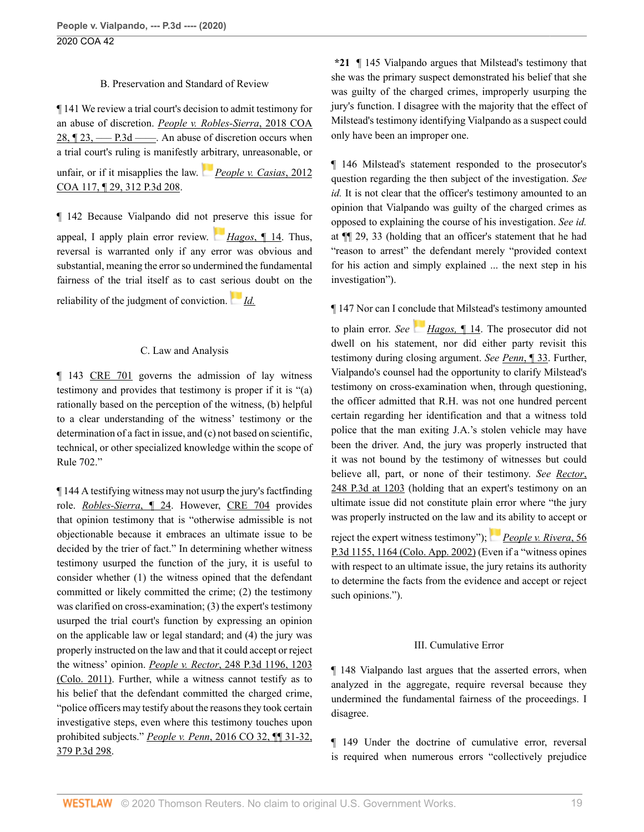## B. Preservation and Standard of Review

¶ 141 We review a trial court's decision to admit testimony for an abuse of discretion. *[People v. Robles-Sierra](http://www.westlaw.com/Link/Document/FullText?findType=Y&serNum=2043991021&pubNum=0007780&originatingDoc=I933b04f06a0911ea81d388262956b33a&refType=RP&originationContext=document&vr=3.0&rs=cblt1.0&transitionType=DocumentItem&contextData=(sc.Search))*, 2018 COA 28,  $\sqrt{23}$ ,  $\frac{123}{2}$  ––– P.3d –––. An abuse of discretion occurs when a trial court's ruling is manifestly [arbi](https://1.next.westlaw.com/Link/RelatedInformation/Flag?documentGuid=Ieec5ad2ef6a311e18757b822cf994add&transitionType=InlineKeyCiteFlags&originationContext=docHeaderFlag&Rank=0&contextData=(sc.Search) )trary, unreasonable, or

unfair, or if it misapplies the law. *[People v. Casias](http://www.westlaw.com/Link/Document/FullText?findType=Y&serNum=2028523839&pubNum=0004645&originatingDoc=I933b04f06a0911ea81d388262956b33a&refType=RP&originationContext=document&vr=3.0&rs=cblt1.0&transitionType=DocumentItem&contextData=(sc.Search))*, 2012 [COA 117, ¶ 29, 312 P.3d 208](http://www.westlaw.com/Link/Document/FullText?findType=Y&serNum=2028523839&pubNum=0004645&originatingDoc=I933b04f06a0911ea81d388262956b33a&refType=RP&originationContext=document&vr=3.0&rs=cblt1.0&transitionType=DocumentItem&contextData=(sc.Search)).

¶ 142 Because Vialpando did not [pres](https://1.next.westlaw.com/Link/RelatedInformation/Flag?documentGuid=I7b72f870281611e28757b822cf994add&transitionType=InlineKeyCiteFlags&originationContext=docHeaderFlag&Rank=0&contextData=(sc.Search) )erve this issue for appeal, I apply plain error review. *Hagos*[, ¶ 14.](http://www.westlaw.com/Link/Document/FullText?findType=Y&serNum=2029140604&pubNum=0007779&originatingDoc=I933b04f06a0911ea81d388262956b33a&refType=RP&originationContext=document&vr=3.0&rs=cblt1.0&transitionType=DocumentItem&contextData=(sc.Search)) Thus, reversal is warranted only if any error was obvious and substantial, meaning the error so undermined the fundamental fairness of the trial itself as to cast se[riou](https://1.next.westlaw.com/Link/RelatedInformation/Flag?documentGuid=I7b72f870281611e28757b822cf994add&transitionType=InlineKeyCiteFlags&originationContext=docHeaderFlag&Rank=0&contextData=(sc.Search) )s doubt on the

reliability of the judgment of conviction. *[Id.](http://www.westlaw.com/Link/Document/FullText?findType=Y&serNum=2029140604&pubNum=0007779&originatingDoc=I933b04f06a0911ea81d388262956b33a&refType=RP&originationContext=document&vr=3.0&rs=cblt1.0&transitionType=DocumentItem&contextData=(sc.Search))*

## C. Law and Analysis

¶ 143 [CRE 701](http://www.westlaw.com/Link/Document/FullText?findType=L&pubNum=1005389&cite=COSTREVR701&originatingDoc=I933b04f06a0911ea81d388262956b33a&refType=LQ&originationContext=document&vr=3.0&rs=cblt1.0&transitionType=DocumentItem&contextData=(sc.Search)) governs the admission of lay witness testimony and provides that testimony is proper if it is "(a) rationally based on the perception of the witness, (b) helpful to a clear understanding of the witness' testimony or the determination of a fact in issue, and (c) not based on scientific, technical, or other specialized knowledge within the scope of Rule 702."

¶ 144 A testifying witness may not usurp the jury's factfinding role. *[Robles-Sierra](http://www.westlaw.com/Link/Document/FullText?findType=Y&serNum=2043991021&pubNum=0007780&originatingDoc=I933b04f06a0911ea81d388262956b33a&refType=RP&originationContext=document&vr=3.0&rs=cblt1.0&transitionType=DocumentItem&contextData=(sc.Search))*, ¶ 24. However, [CRE 704](http://www.westlaw.com/Link/Document/FullText?findType=L&pubNum=1005389&cite=COSTREVR704&originatingDoc=I933b04f06a0911ea81d388262956b33a&refType=LQ&originationContext=document&vr=3.0&rs=cblt1.0&transitionType=DocumentItem&contextData=(sc.Search)) provides that opinion testimony that is "otherwise admissible is not objectionable because it embraces an ultimate issue to be decided by the trier of fact." In determining whether witness testimony usurped the function of the jury, it is useful to consider whether (1) the witness opined that the defendant committed or likely committed the crime; (2) the testimony was clarified on cross-examination; (3) the expert's testimony usurped the trial court's function by expressing an opinion on the applicable law or legal standard; and (4) the jury was properly instructed on the law and that it could accept or reject the witness' opinion. *People v. Rector*[, 248 P.3d 1196, 1203](http://www.westlaw.com/Link/Document/FullText?findType=Y&serNum=2024784901&pubNum=0004645&originatingDoc=I933b04f06a0911ea81d388262956b33a&refType=RP&fi=co_pp_sp_4645_1203&originationContext=document&vr=3.0&rs=cblt1.0&transitionType=DocumentItem&contextData=(sc.Search)#co_pp_sp_4645_1203) [\(Colo. 2011\)](http://www.westlaw.com/Link/Document/FullText?findType=Y&serNum=2024784901&pubNum=0004645&originatingDoc=I933b04f06a0911ea81d388262956b33a&refType=RP&fi=co_pp_sp_4645_1203&originationContext=document&vr=3.0&rs=cblt1.0&transitionType=DocumentItem&contextData=(sc.Search)#co_pp_sp_4645_1203). Further, while a witness cannot testify as to his belief that the defendant committed the charged crime, "police officers may testify about the reasons they took certain investigative steps, even where this testimony touches upon prohibited subjects." *People v. Penn*[, 2016 CO 32, ¶¶ 31-32,](http://www.westlaw.com/Link/Document/FullText?findType=Y&serNum=2038852787&pubNum=0004645&originatingDoc=I933b04f06a0911ea81d388262956b33a&refType=RP&originationContext=document&vr=3.0&rs=cblt1.0&transitionType=DocumentItem&contextData=(sc.Search)) [379 P.3d 298.](http://www.westlaw.com/Link/Document/FullText?findType=Y&serNum=2038852787&pubNum=0004645&originatingDoc=I933b04f06a0911ea81d388262956b33a&refType=RP&originationContext=document&vr=3.0&rs=cblt1.0&transitionType=DocumentItem&contextData=(sc.Search))

**\*21** ¶ 145 Vialpando argues that Milstead's testimony that she was the primary suspect demonstrated his belief that she was guilty of the charged crimes, improperly usurping the jury's function. I disagree with the majority that the effect of Milstead's testimony identifying Vialpando as a suspect could only have been an improper one.

¶ 146 Milstead's statement responded to the prosecutor's question regarding the then subject of the investigation. *See id.* It is not clear that the officer's testimony amounted to an opinion that Vialpando was guilty of the charged crimes as opposed to explaining the course of his investigation. *See id.* at ¶¶ 29, 33 (holding that an officer's statement that he had "reason to arrest" the defendant merely "provided context for his action and simply explained ... the next step in his investigation").

## ¶ 147 Nor can I conclude that Milstead's testimony amounted

to plain error. *See [Hagos,](http://www.westlaw.com/Link/Document/FullText?findType=Y&serNum=2029140604&pubNum=0007779&originatingDoc=I933b04f06a0911ea81d388262956b33a&refType=RP&originationContext=document&vr=3.0&rs=cblt1.0&transitionType=DocumentItem&contextData=(sc.Search))* ¶ 14. The prosecutor did not dwell on his statement, nor did either party revisit this testimony during closing argument. *See Penn*[, ¶ 33](http://www.westlaw.com/Link/Document/FullText?findType=Y&serNum=2038852787&pubNum=0007779&originatingDoc=I933b04f06a0911ea81d388262956b33a&refType=RP&originationContext=document&vr=3.0&rs=cblt1.0&transitionType=DocumentItem&contextData=(sc.Search)). Further, Vialpando's counsel had the opportunity to clarify Milstead's testimony on cross-examination when, through questioning, the officer admitted that R.H. was not one hundred percent certain regarding her identification and that a witness told police that the man exiting J.A.'s stolen vehicle may have been the driver. And, the jury was properly instructed that it was not bound by the testimony of witnesses but could believe all, part, or none of their testimony. *See [Rector](http://www.westlaw.com/Link/Document/FullText?findType=Y&serNum=2024784901&pubNum=0004645&originatingDoc=I933b04f06a0911ea81d388262956b33a&refType=RP&fi=co_pp_sp_4645_1203&originationContext=document&vr=3.0&rs=cblt1.0&transitionType=DocumentItem&contextData=(sc.Search)#co_pp_sp_4645_1203)*, [248 P.3d at 1203](http://www.westlaw.com/Link/Document/FullText?findType=Y&serNum=2024784901&pubNum=0004645&originatingDoc=I933b04f06a0911ea81d388262956b33a&refType=RP&fi=co_pp_sp_4645_1203&originationContext=document&vr=3.0&rs=cblt1.0&transitionType=DocumentItem&contextData=(sc.Search)#co_pp_sp_4645_1203) (holding that an expert's testimony on an ultimate issue did not constitute plain error where "the jury was properly instructed on the law an[d its](https://1.next.westlaw.com/Link/RelatedInformation/Flag?documentGuid=Ibe74aa6af53c11d9bf60c1d57ebc853e&transitionType=InlineKeyCiteFlags&originationContext=docHeaderFlag&Rank=0&contextData=(sc.Search) ) ability to accept or

reject the expert witness testimony"); *[People v. Rivera](http://www.westlaw.com/Link/Document/FullText?findType=Y&serNum=2002646881&pubNum=0004645&originatingDoc=I933b04f06a0911ea81d388262956b33a&refType=RP&fi=co_pp_sp_4645_1164&originationContext=document&vr=3.0&rs=cblt1.0&transitionType=DocumentItem&contextData=(sc.Search)#co_pp_sp_4645_1164)*, 56 [P.3d 1155, 1164 \(Colo. App. 2002\)](http://www.westlaw.com/Link/Document/FullText?findType=Y&serNum=2002646881&pubNum=0004645&originatingDoc=I933b04f06a0911ea81d388262956b33a&refType=RP&fi=co_pp_sp_4645_1164&originationContext=document&vr=3.0&rs=cblt1.0&transitionType=DocumentItem&contextData=(sc.Search)#co_pp_sp_4645_1164) (Even if a "witness opines with respect to an ultimate issue, the jury retains its authority to determine the facts from the evidence and accept or reject such opinions.").

# III. Cumulative Error

¶ 148 Vialpando last argues that the asserted errors, when analyzed in the aggregate, require reversal because they undermined the fundamental fairness of the proceedings. I disagree.

¶ 149 Under the doctrine of cumulative error, reversal is required when numerous errors "collectively prejudice